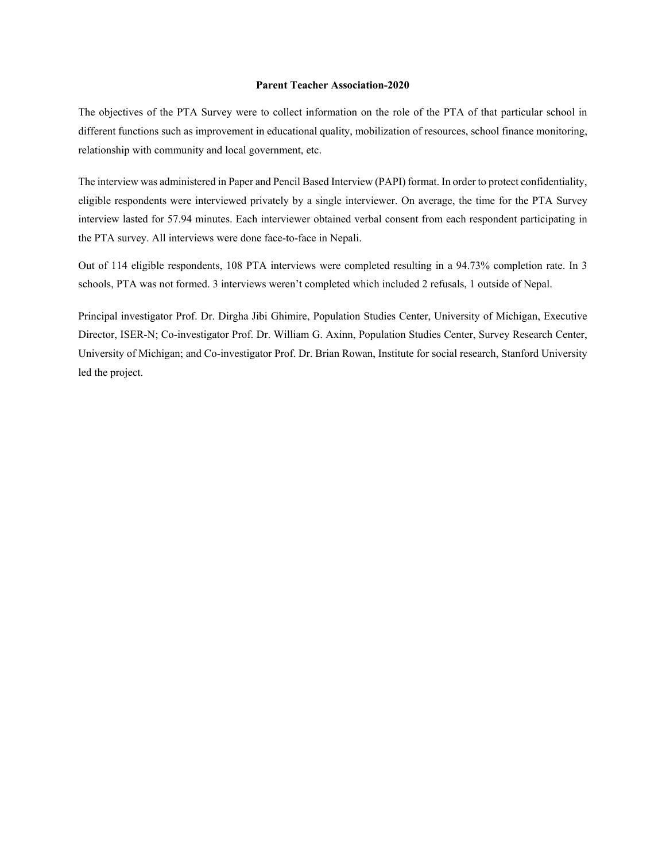## **Parent Teacher Association-2020**

The objectives of the PTA Survey were to collect information on the role of the PTA of that particular school in different functions such as improvement in educational quality, mobilization of resources, school finance monitoring, relationship with community and local government, etc.

The interview was administered in Paper and Pencil Based Interview (PAPI) format. In order to protect confidentiality, eligible respondents were interviewed privately by a single interviewer. On average, the time for the PTA Survey interview lasted for 57.94 minutes. Each interviewer obtained verbal consent from each respondent participating in the PTA survey. All interviews were done face-to-face in Nepali.

Out of 114 eligible respondents, 108 PTA interviews were completed resulting in a 94.73% completion rate. In 3 schools, PTA was not formed. 3 interviews weren't completed which included 2 refusals, 1 outside of Nepal.

Principal investigator Prof. Dr. Dirgha Jibi Ghimire, Population Studies Center, University of Michigan, Executive Director, ISER-N; Co-investigator Prof. Dr. William G. Axinn, Population Studies Center, Survey Research Center, University of Michigan; and Co-investigator Prof. Dr. Brian Rowan, Institute for social research, Stanford University led the project.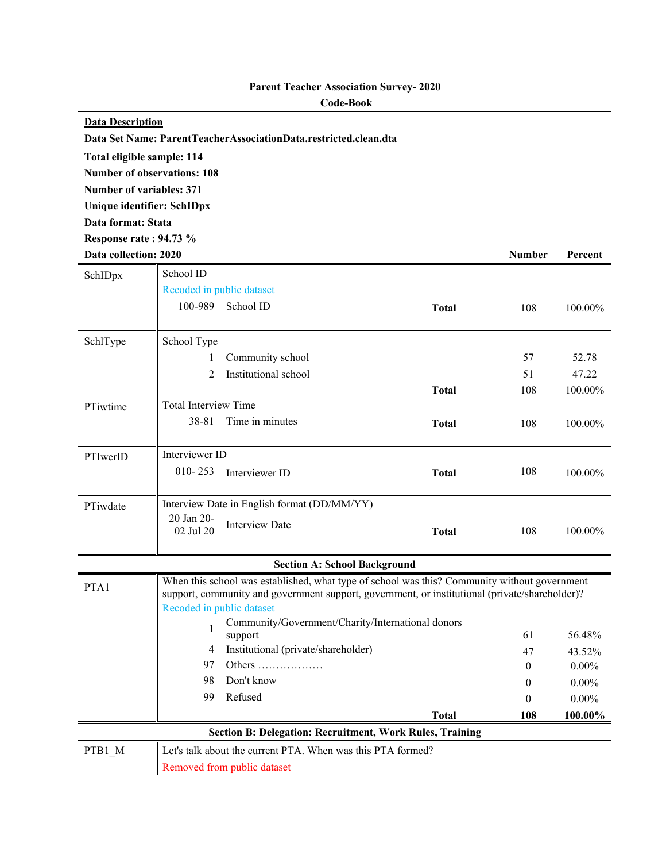| <b>Data Description</b>            |                             |                                                                                                |              |               |          |
|------------------------------------|-----------------------------|------------------------------------------------------------------------------------------------|--------------|---------------|----------|
|                                    |                             | Data Set Name: ParentTeacherAssociationData.restricted.clean.dta                               |              |               |          |
| Total eligible sample: 114         |                             |                                                                                                |              |               |          |
| <b>Number of observations: 108</b> |                             |                                                                                                |              |               |          |
| <b>Number of variables: 371</b>    |                             |                                                                                                |              |               |          |
| Unique identifier: SchIDpx         |                             |                                                                                                |              |               |          |
| Data format: Stata                 |                             |                                                                                                |              |               |          |
| Response rate: 94.73 %             |                             |                                                                                                |              |               |          |
| Data collection: 2020              |                             |                                                                                                |              | <b>Number</b> | Percent  |
| SchIDpx                            | School ID                   |                                                                                                |              |               |          |
|                                    | Recoded in public dataset   |                                                                                                |              |               |          |
|                                    | 100-989<br>School ID        |                                                                                                | <b>Total</b> | 108           | 100.00%  |
|                                    |                             |                                                                                                |              |               |          |
| SchlType                           | School Type                 |                                                                                                |              |               |          |
|                                    | 1                           | Community school                                                                               |              | 57            | 52.78    |
|                                    | 2                           | Institutional school                                                                           |              | 51            | 47.22    |
|                                    |                             |                                                                                                | <b>Total</b> | 108           | 100.00%  |
| PTiwtime                           | <b>Total Interview Time</b> |                                                                                                |              |               |          |
|                                    | 38-81                       | Time in minutes                                                                                | <b>Total</b> | 108           | 100.00%  |
|                                    |                             |                                                                                                |              |               |          |
| PTIwerID                           | Interviewer ID              |                                                                                                |              |               |          |
|                                    | $010 - 253$                 | Interviewer ID                                                                                 | <b>Total</b> | 108           | 100.00%  |
|                                    |                             |                                                                                                |              |               |          |
| PTiwdate                           |                             | Interview Date in English format (DD/MM/YY)                                                    |              |               |          |
|                                    | 20 Jan 20-                  | <b>Interview Date</b>                                                                          |              |               |          |
|                                    | 02 Jul 20                   |                                                                                                | <b>Total</b> | 108           | 100.00%  |
|                                    |                             | <b>Section A: School Background</b>                                                            |              |               |          |
|                                    |                             | When this school was established, what type of school was this? Community without government   |              |               |          |
| PTA1                               |                             | support, community and government support, government, or institutional (private/shareholder)? |              |               |          |
|                                    | Recoded in public dataset   |                                                                                                |              |               |          |
|                                    | 1                           | Community/Government/Charity/International donors                                              |              |               |          |
|                                    | support                     |                                                                                                |              | 61            | 56.48%   |
|                                    | 4                           | Institutional (private/shareholder)                                                            |              | 47            | 43.52%   |
|                                    | 97                          | Others $\dots\dots\dots\dots\dots\dots$                                                        |              | $\mathbf{0}$  | $0.00\%$ |
|                                    | Don't know<br>98            |                                                                                                |              | $\mathbf{0}$  | $0.00\%$ |
|                                    | Refused<br>99               |                                                                                                |              | $\bf{0}$      | $0.00\%$ |
|                                    |                             |                                                                                                | <b>Total</b> | 108           | 100.00%  |
|                                    |                             | <b>Section B: Delegation: Recruitment, Work Rules, Training</b>                                |              |               |          |
| PTB1_M                             |                             | Let's talk about the current PTA. When was this PTA formed?                                    |              |               |          |
|                                    | Removed from public dataset |                                                                                                |              |               |          |

## **Parent Teacher Association Survey- 2020**

 **Code-Book**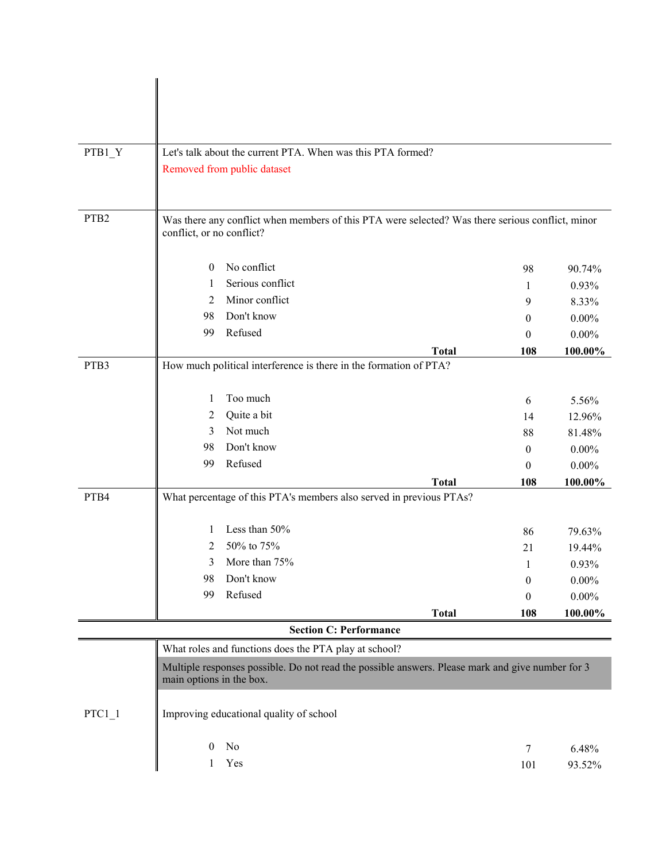| PTB1_Y           |                           |                                                       | Let's talk about the current PTA. When was this PTA formed?                                      |                  |          |
|------------------|---------------------------|-------------------------------------------------------|--------------------------------------------------------------------------------------------------|------------------|----------|
|                  |                           | Removed from public dataset                           |                                                                                                  |                  |          |
|                  |                           |                                                       |                                                                                                  |                  |          |
|                  |                           |                                                       |                                                                                                  |                  |          |
| PTB <sub>2</sub> |                           |                                                       |                                                                                                  |                  |          |
|                  | conflict, or no conflict? |                                                       | Was there any conflict when members of this PTA were selected? Was there serious conflict, minor |                  |          |
|                  |                           |                                                       |                                                                                                  |                  |          |
|                  | $\theta$                  | No conflict                                           |                                                                                                  | 98               | 90.74%   |
|                  | 1                         | Serious conflict                                      |                                                                                                  | 1                | 0.93%    |
|                  | 2                         | Minor conflict                                        |                                                                                                  | 9                | 8.33%    |
|                  | 98                        | Don't know                                            |                                                                                                  | $\theta$         | $0.00\%$ |
|                  | 99                        | Refused                                               |                                                                                                  | $\theta$         | $0.00\%$ |
|                  |                           |                                                       | <b>Total</b>                                                                                     | 108              | 100.00%  |
| PTB3             |                           |                                                       | How much political interference is there in the formation of PTA?                                |                  |          |
|                  |                           |                                                       |                                                                                                  |                  |          |
|                  | 1                         | Too much                                              |                                                                                                  | 6                | 5.56%    |
|                  | 2                         | Quite a bit                                           |                                                                                                  | 14               | 12.96%   |
|                  | 3                         | Not much                                              |                                                                                                  | 88               | 81.48%   |
|                  | 98                        | Don't know                                            |                                                                                                  | $\boldsymbol{0}$ | $0.00\%$ |
|                  | 99                        | Refused                                               |                                                                                                  | $\theta$         | $0.00\%$ |
|                  |                           |                                                       | <b>Total</b>                                                                                     | 108              | 100.00%  |
| PTB4             |                           |                                                       | What percentage of this PTA's members also served in previous PTAs?                              |                  |          |
|                  |                           |                                                       |                                                                                                  |                  |          |
|                  | $\mathbf{I}$              | Less than 50%                                         |                                                                                                  | 86               | 79.63%   |
|                  | 2                         | 50% to 75%                                            |                                                                                                  | 21               | 19.44%   |
|                  | 3                         | More than 75%                                         |                                                                                                  |                  | 0.93%    |
|                  | 98                        | Don't know                                            |                                                                                                  | $\boldsymbol{0}$ | $0.00\%$ |
|                  | 99                        | Refused                                               |                                                                                                  | $\theta$         | $0.00\%$ |
|                  |                           |                                                       | <b>Total</b>                                                                                     | 108              | 100.00%  |
|                  |                           |                                                       | <b>Section C: Performance</b>                                                                    |                  |          |
|                  |                           | What roles and functions does the PTA play at school? |                                                                                                  |                  |          |
|                  |                           |                                                       | Multiple responses possible. Do not read the possible answers. Please mark and give number for 3 |                  |          |
|                  | main options in the box.  |                                                       |                                                                                                  |                  |          |
|                  |                           |                                                       |                                                                                                  |                  |          |
| $PTC1_1$         |                           | Improving educational quality of school               |                                                                                                  |                  |          |
|                  |                           |                                                       |                                                                                                  |                  |          |
|                  | $\theta$                  | No                                                    |                                                                                                  | 7                | 6.48%    |
|                  | 1                         | Yes                                                   |                                                                                                  | 101              | 93.52%   |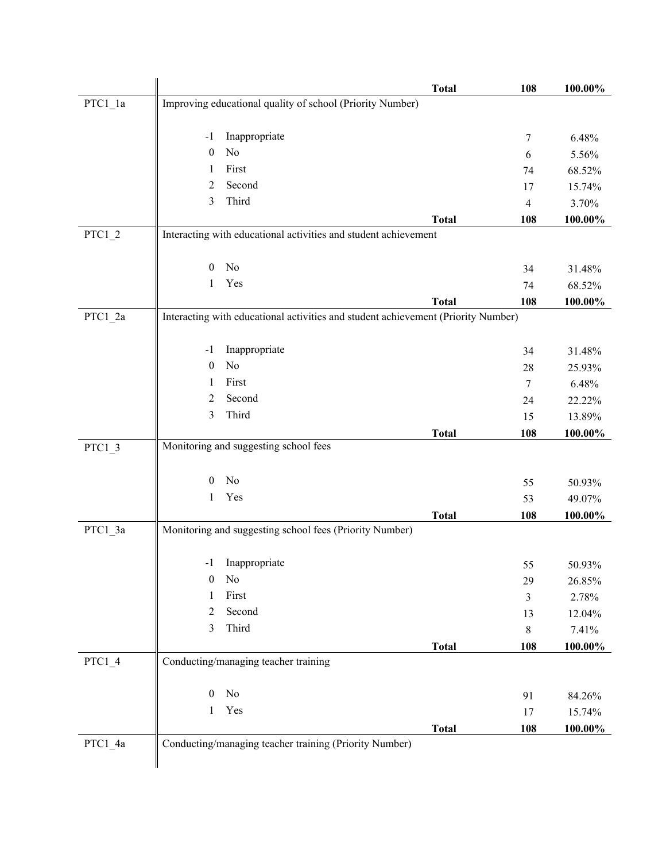|           | <b>Total</b>                                                                      | 108            | 100.00%          |
|-----------|-----------------------------------------------------------------------------------|----------------|------------------|
| $PTC1_1a$ | Improving educational quality of school (Priority Number)                         |                |                  |
|           |                                                                                   |                |                  |
|           | Inappropriate<br>$-1$                                                             | 7              | 6.48%            |
|           | No<br>$\boldsymbol{0}$                                                            | 6              | 5.56%            |
|           | First<br>1                                                                        | 74             | 68.52%           |
|           | Second<br>2                                                                       | 17             | 15.74%           |
|           | Third<br>3                                                                        | $\overline{4}$ | 3.70%            |
|           | <b>Total</b>                                                                      | 108            | 100.00%          |
| $PTC1_2$  | Interacting with educational activities and student achievement                   |                |                  |
|           | No<br>$\mathbf{0}$                                                                | 34             | 31.48%           |
|           | Yes<br>1                                                                          | 74             | 68.52%           |
|           | <b>Total</b>                                                                      | 108            | 100.00%          |
| PTC1_2a   | Interacting with educational activities and student achievement (Priority Number) |                |                  |
|           |                                                                                   |                |                  |
|           | Inappropriate<br>$-1$                                                             | 34             | 31.48%           |
|           | No<br>$\boldsymbol{0}$                                                            | 28             | 25.93%           |
|           | First<br>1                                                                        | 7              | 6.48%            |
|           | Second<br>2                                                                       | 24             | 22.22%           |
|           | Third<br>3                                                                        | 15             | 13.89%           |
|           | <b>Total</b>                                                                      | 108            | 100.00%          |
| $PTC1_3$  | Monitoring and suggesting school fees                                             |                |                  |
|           | No<br>$\theta$                                                                    |                |                  |
|           | Yes<br>$\mathbf{1}$                                                               | 55<br>53       | 50.93%<br>49.07% |
|           | <b>Total</b>                                                                      | 108            | 100.00%          |
| PTC1_3a   | Monitoring and suggesting school fees (Priority Number)                           |                |                  |
|           |                                                                                   |                |                  |
|           | Inappropriate<br>$-1$                                                             | 55             | 50.93%           |
|           | $\mathbf{0}$<br>No                                                                | 29             | 26.85%           |
|           | First<br>1                                                                        | 3              | 2.78%            |
|           | Second<br>2                                                                       | 13             | 12.04%           |
|           | Third<br>3                                                                        | 8              | 7.41%            |
|           | <b>Total</b>                                                                      | 108            | $100.00\%$       |
| PTC1 4    | Conducting/managing teacher training                                              |                |                  |
|           | $\rm No$<br>$\boldsymbol{0}$                                                      |                |                  |
|           | Yes<br>1                                                                          | 91             | 84.26%           |
|           |                                                                                   | 17             | 15.74%           |
| PTC1_4a   | <b>Total</b><br>Conducting/managing teacher training (Priority Number)            | 108            | 100.00%          |
|           |                                                                                   |                |                  |
|           |                                                                                   |                |                  |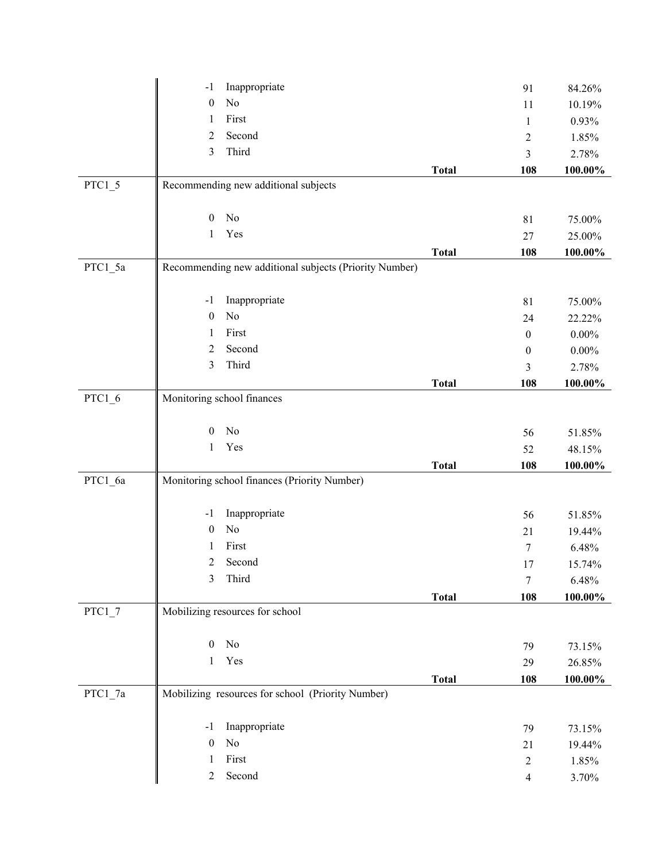|          | Inappropriate<br>$-1$                                  |              | 91               | 84.26%     |
|----------|--------------------------------------------------------|--------------|------------------|------------|
|          | No<br>$\boldsymbol{0}$                                 |              | 11               | 10.19%     |
|          | First<br>1                                             |              | $\mathbf{1}$     | 0.93%      |
|          | Second<br>$\overline{2}$                               |              | $\overline{c}$   | 1.85%      |
|          | Third<br>3                                             |              | 3                | 2.78%      |
|          |                                                        | <b>Total</b> | 108              | 100.00%    |
| $PTC1_5$ | Recommending new additional subjects                   |              |                  |            |
|          |                                                        |              |                  |            |
|          | No<br>$\boldsymbol{0}$                                 |              | 81               | 75.00%     |
|          | Yes<br>1                                               |              | 27               | 25.00%     |
|          |                                                        | <b>Total</b> | 108              | 100.00%    |
| PTC1_5a  | Recommending new additional subjects (Priority Number) |              |                  |            |
|          |                                                        |              |                  |            |
|          | Inappropriate<br>$-1$                                  |              | 81               | 75.00%     |
|          | No<br>$\boldsymbol{0}$                                 |              | 24               | 22.22%     |
|          | First<br>1                                             |              | $\mathbf{0}$     | $0.00\%$   |
|          | Second<br>$\overline{2}$                               |              | $\boldsymbol{0}$ | $0.00\%$   |
|          | Third<br>3                                             |              | 3                | 2.78%      |
|          |                                                        | <b>Total</b> | 108              | $100.00\%$ |
| $PTC1_6$ | Monitoring school finances                             |              |                  |            |
|          |                                                        |              |                  |            |
|          | No<br>$\boldsymbol{0}$                                 |              | 56               | 51.85%     |
|          | Yes<br>$\mathbf{1}$                                    |              | 52               | 48.15%     |
|          |                                                        | <b>Total</b> | 108              | 100.00%    |
| PTC1_6a  | Monitoring school finances (Priority Number)           |              |                  |            |
|          |                                                        |              |                  |            |
|          | Inappropriate<br>$-1$                                  |              | 56               | 51.85%     |
|          | No<br>$\boldsymbol{0}$                                 |              | 21               | 19.44%     |
|          | First<br>1                                             |              | 7                | 6.48%      |
|          | $\overline{c}$<br>Second                               |              | 17               | 15.74%     |
|          | Third<br>3                                             |              | $\tau$           | 6.48%      |
|          |                                                        | <b>Total</b> | 108              | 100.00%    |
| $PTC1_7$ | Mobilizing resources for school                        |              |                  |            |
|          |                                                        |              |                  |            |
|          | $\boldsymbol{0}$<br>No                                 |              | 79               | 73.15%     |
|          | Yes<br>$\mathbf{1}$                                    |              | 29               | 26.85%     |
|          |                                                        | <b>Total</b> | 108              | 100.00%    |
| PTC1_7a  | Mobilizing resources for school (Priority Number)      |              |                  |            |
|          |                                                        |              |                  |            |
|          | Inappropriate<br>$-1$                                  |              | 79               | 73.15%     |
|          | $\rm No$<br>$\boldsymbol{0}$                           |              | 21               | 19.44%     |
|          | First<br>1                                             |              | $\overline{c}$   | 1.85%      |
|          | Second<br>$\overline{2}$                               |              | $\overline{4}$   | 3.70%      |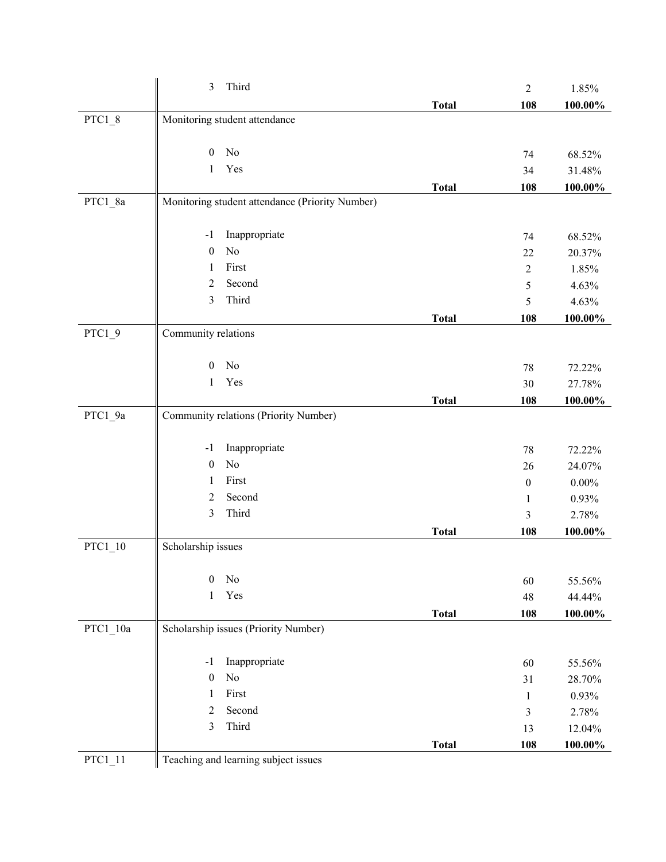|            | $\mathfrak{Z}$<br>Third                         |              | $\overline{2}$   | 1.85%    |
|------------|-------------------------------------------------|--------------|------------------|----------|
|            |                                                 | <b>Total</b> | 108              | 100.00%  |
| $PTC1_8$   | Monitoring student attendance                   |              |                  |          |
|            | No<br>$\mathbf{0}$                              |              | 74               | 68.52%   |
|            | Yes<br>$\mathbf{1}$                             |              | 34               | 31.48%   |
|            |                                                 | <b>Total</b> | 108              | 100.00%  |
| PTC1_8a    | Monitoring student attendance (Priority Number) |              |                  |          |
|            | Inappropriate<br>$-1$                           |              | 74               | 68.52%   |
|            | No<br>$\boldsymbol{0}$                          |              | 22               | 20.37%   |
|            | First<br>1                                      |              | $\mathbf{2}$     | 1.85%    |
|            | Second<br>2                                     |              | 5                | 4.63%    |
|            | Third<br>3                                      |              | 5                | 4.63%    |
|            |                                                 | <b>Total</b> | 108              | 100.00%  |
| $PTC1_9$   | Community relations                             |              |                  |          |
|            | No<br>$\boldsymbol{0}$                          |              | 78               | 72.22%   |
|            | Yes<br>1                                        |              | 30               | 27.78%   |
|            |                                                 | <b>Total</b> | 108              | 100.00%  |
| PTC1_9a    | Community relations (Priority Number)           |              |                  |          |
|            | Inappropriate<br>$-1$                           |              | 78               | 72.22%   |
|            | No<br>$\boldsymbol{0}$                          |              | 26               | 24.07%   |
|            | First<br>1                                      |              | $\boldsymbol{0}$ | $0.00\%$ |
|            | 2<br>Second                                     |              | 1                | 0.93%    |
|            | Third<br>$\mathfrak{Z}$                         |              | $\mathfrak{Z}$   | 2.78%    |
|            |                                                 | <b>Total</b> | 108              | 100.00%  |
| $PTC1_10$  | Scholarship issues                              |              |                  |          |
|            | $\boldsymbol{0}$<br>No                          |              | 60               | 55.56%   |
|            | Yes<br>1                                        |              | 48               | 44.44%   |
|            |                                                 | <b>Total</b> | 108              | 100.00%  |
| $PTC1_10a$ | Scholarship issues (Priority Number)            |              |                  |          |
|            | Inappropriate<br>$-1$                           |              | 60               | 55.56%   |
|            | $\rm No$<br>$\boldsymbol{0}$                    |              | 31               | 28.70%   |
|            | First<br>1                                      |              | 1                | 0.93%    |
|            | Second<br>$\overline{2}$                        |              | $\mathfrak{Z}$   | 2.78%    |
|            | Third<br>$\mathfrak{Z}$                         |              | 13               | 12.04%   |
|            |                                                 | <b>Total</b> | 108              | 100.00%  |
| $PTC1_11$  | Teaching and learning subject issues            |              |                  |          |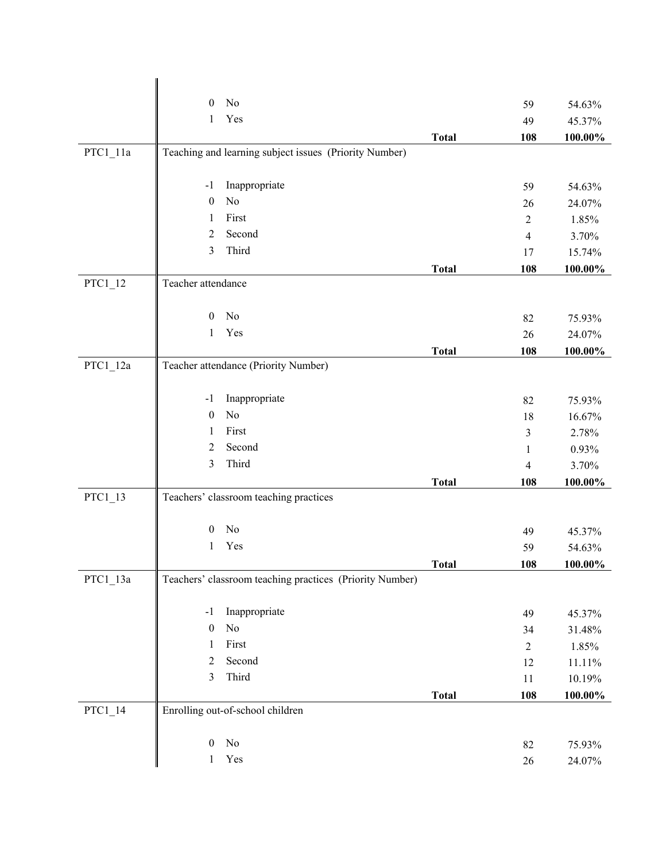|            | No<br>$\Omega$                                              |              | 59                    | 54.63%     |
|------------|-------------------------------------------------------------|--------------|-----------------------|------------|
|            | Yes<br>1                                                    |              | 49                    | 45.37%     |
|            |                                                             | <b>Total</b> | 108                   | 100.00%    |
| $PTC1_11a$ | Teaching and learning subject issues (Priority Number)      |              |                       |            |
|            |                                                             |              |                       |            |
|            | Inappropriate<br>$-1$                                       |              | 59                    | 54.63%     |
|            | No<br>$\boldsymbol{0}$                                      |              | 26                    | 24.07%     |
|            | First<br>1                                                  |              | $\overline{2}$        | 1.85%      |
|            | Second<br>$\overline{2}$                                    |              | $\overline{4}$        | 3.70%      |
|            | Third<br>3                                                  |              | 17                    | 15.74%     |
|            |                                                             | <b>Total</b> | 108                   | 100.00%    |
| $PTC1_12$  | Teacher attendance                                          |              |                       |            |
|            |                                                             |              |                       |            |
|            | No<br>$\overline{0}$                                        |              | 82                    | 75.93%     |
|            | Yes<br>$\mathbf{1}$                                         |              | 26                    | 24.07%     |
|            |                                                             | <b>Total</b> | 108                   | 100.00%    |
| $PTC1_12a$ | Teacher attendance (Priority Number)                        |              |                       |            |
|            |                                                             |              |                       |            |
|            | Inappropriate<br>$-1$<br>N <sub>o</sub><br>$\boldsymbol{0}$ |              | 82                    | 75.93%     |
|            | First<br>1                                                  |              | 18                    | 16.67%     |
|            | Second<br>$\overline{2}$                                    |              | $\mathfrak{Z}$        | 2.78%      |
|            | Third<br>3                                                  |              | $\mathbf{1}$          | 0.93%      |
|            |                                                             |              | $\overline{4}$<br>108 | 3.70%      |
| $PTC1_13$  | Teachers' classroom teaching practices                      | <b>Total</b> |                       | $100.00\%$ |
|            |                                                             |              |                       |            |
|            | No<br>$\boldsymbol{0}$                                      |              | 49                    | 45.37%     |
|            | Yes<br>1                                                    |              | 59                    | 54.63%     |
|            |                                                             | <b>Total</b> | 108                   | 100.00%    |
| $PTC1_13a$ | Teachers' classroom teaching practices (Priority Number)    |              |                       |            |
|            |                                                             |              |                       |            |
|            | Inappropriate<br>$-1$                                       |              | 49                    | 45.37%     |
|            | $\rm No$<br>$\boldsymbol{0}$                                |              | 34                    | 31.48%     |
|            | First<br>$\mathbf{1}$                                       |              | $\sqrt{2}$            | 1.85%      |
|            | Second<br>2                                                 |              | 12                    | 11.11%     |
|            | Third<br>3                                                  |              | 11                    | 10.19%     |
|            |                                                             | <b>Total</b> | 108                   | 100.00%    |
| $PTC1_14$  | Enrolling out-of-school children                            |              |                       |            |
|            |                                                             |              |                       |            |
|            | No<br>$\mathbf{0}$                                          |              | 82                    | 75.93%     |
|            | Yes<br>$\mathbf{1}$                                         |              | $26\,$                | 24.07%     |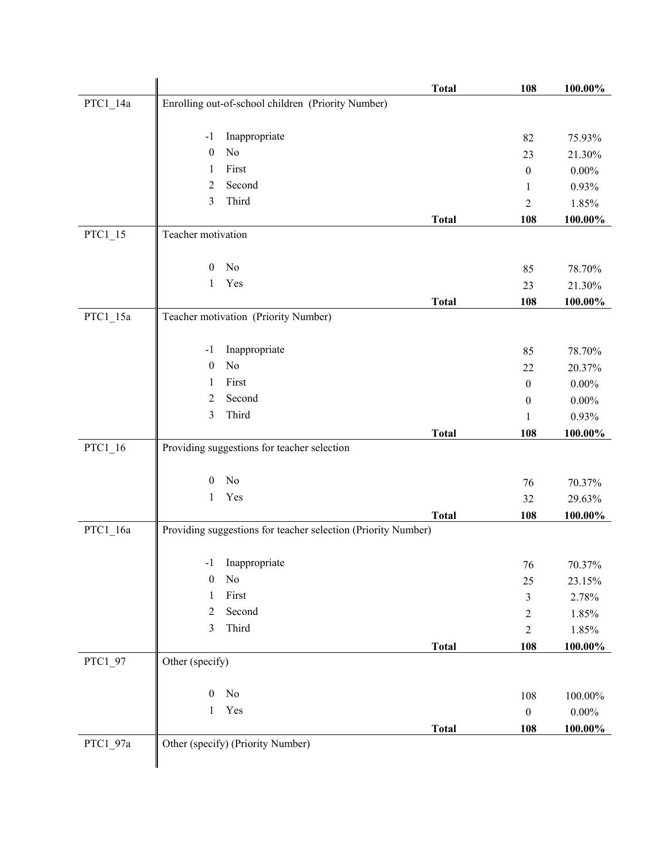|            |                                                               | <b>Total</b> | 108              | 100.00%    |
|------------|---------------------------------------------------------------|--------------|------------------|------------|
| PTC1_14a   | Enrolling out-of-school children (Priority Number)            |              |                  |            |
|            |                                                               |              |                  |            |
|            | Inappropriate<br>$-1$                                         |              | 82               | 75.93%     |
|            | No<br>$\mathbf{0}$                                            |              | 23               | 21.30%     |
|            | First<br>1<br>Second                                          |              | $\boldsymbol{0}$ | $0.00\%$   |
|            | 2<br>Third<br>3                                               |              | 1                | 0.93%      |
|            |                                                               |              | $\overline{2}$   | 1.85%      |
| $PTC1_15$  | Teacher motivation                                            | <b>Total</b> | 108              | 100.00%    |
|            |                                                               |              |                  |            |
|            | No<br>$\boldsymbol{0}$                                        |              | 85               | 78.70%     |
|            | Yes<br>1                                                      |              | 23               | 21.30%     |
|            |                                                               | <b>Total</b> | 108              | 100.00%    |
| PTC1_15a   | Teacher motivation (Priority Number)                          |              |                  |            |
|            |                                                               |              |                  |            |
|            | Inappropriate<br>$-1$                                         |              | 85               | 78.70%     |
|            | No<br>$\boldsymbol{0}$                                        |              | 22               | 20.37%     |
|            | First<br>1                                                    |              | $\boldsymbol{0}$ | $0.00\%$   |
|            | Second<br>2                                                   |              | 0                | $0.00\%$   |
|            | Third<br>3                                                    |              | 1                | 0.93%      |
|            |                                                               | <b>Total</b> | 108              | 100.00%    |
| $PTC1_16$  | Providing suggestions for teacher selection                   |              |                  |            |
|            |                                                               |              |                  |            |
|            |                                                               |              |                  |            |
|            | No<br>$\mathbf{0}$                                            |              | 76               | 70.37%     |
|            | Yes<br>$\mathbf{1}$                                           |              | 32               | 29.63%     |
|            |                                                               | <b>Total</b> | 108              | 100.00%    |
| PTC1_16a   | Providing suggestions for teacher selection (Priority Number) |              |                  |            |
|            |                                                               |              |                  |            |
|            | Inappropriate<br>$-1$                                         |              | 76               | 70.37%     |
|            | No<br>$\boldsymbol{0}$                                        |              | 25               | 23.15%     |
|            | First<br>1                                                    |              | 3                | 2.78%      |
|            | $\overline{c}$<br>Second                                      |              | $\overline{c}$   | 1.85%      |
|            | Third<br>3                                                    |              | $\overline{c}$   | 1.85%      |
|            | Other (specify)                                               | <b>Total</b> | 108              | $100.00\%$ |
| $PTC1_97$  |                                                               |              |                  |            |
|            | $\rm No$<br>$\boldsymbol{0}$                                  |              | 108              | $100.00\%$ |
|            | Yes<br>1                                                      |              | $\boldsymbol{0}$ | $0.00\%$   |
|            |                                                               | <b>Total</b> | 108              | 100.00%    |
| $PTC1_97a$ | Other (specify) (Priority Number)                             |              |                  |            |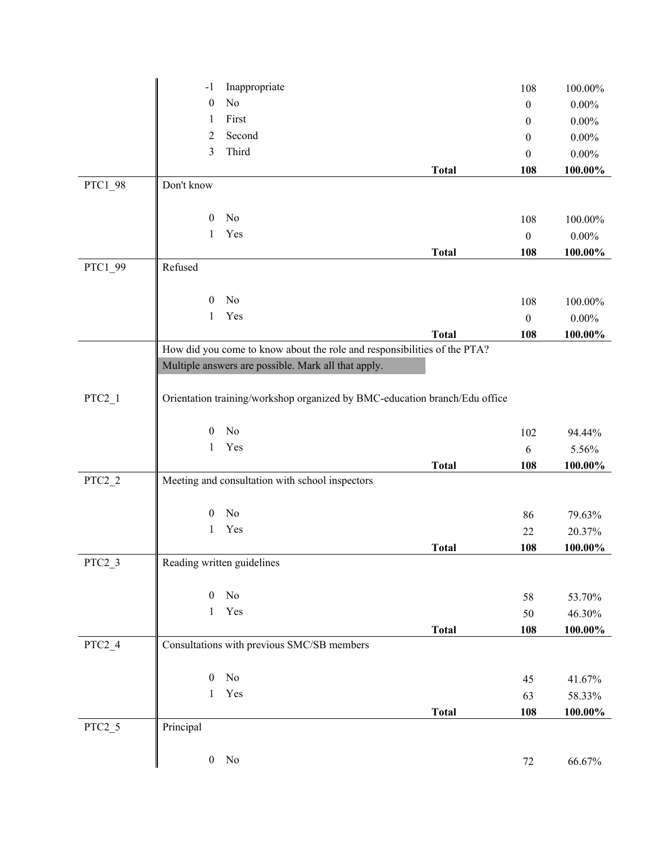| $\rm No$<br>$\boldsymbol{0}$<br>$0.00\%$<br>$\boldsymbol{0}$<br>First<br>1<br>$0.00\%$<br>0<br>Second<br>2<br>$0.00\%$<br>0<br>3<br>Third<br>$0.00\%$<br>$\theta$<br><b>Total</b><br>108<br>100.00%<br>Don't know<br>PTC1_98<br>No<br>$\boldsymbol{0}$<br>108<br>100.00%<br>Yes<br>1<br>$\boldsymbol{0}$<br>$0.00\%$<br>108<br>100.00%<br><b>Total</b><br>Refused<br>PTC1_99<br>No<br>$\mathbf{0}$<br>100.00%<br>108<br>Yes<br>$\mathbf{1}$<br>$\boldsymbol{0}$<br>$0.00\%$<br><b>Total</b><br>108<br>100.00%<br>How did you come to know about the role and responsibilities of the PTA?<br>Multiple answers are possible. Mark all that apply.<br>Orientation training/workshop organized by BMC-education branch/Edu office<br>$PTC2_1$<br>No<br>$\boldsymbol{0}$<br>102<br>94.44%<br>Yes<br>1<br>6<br>5.56%<br><b>Total</b><br>108<br>100.00%<br>$PTC2_2$<br>Meeting and consultation with school inspectors<br>No<br>$\mathbf{0}$<br>86<br>79.63%<br>Yes<br>1<br>22<br>20.37%<br><b>Total</b><br>108<br>100.00%<br>$PTC2_3$<br>Reading written guidelines<br>$\rm No$<br>$\boldsymbol{0}$<br>58<br>53.70%<br>Yes<br>$\mathbf{1}$<br>50<br>46.30%<br>$100.00\%$<br><b>Total</b><br>108<br>$PTC2_4$<br>Consultations with previous SMC/SB members<br>No<br>$\mathbf{0}$<br>45<br>41.67%<br>Yes<br>1<br>63 | Inappropriate<br>$-1$ | 108 | 100.00% |
|--------------------------------------------------------------------------------------------------------------------------------------------------------------------------------------------------------------------------------------------------------------------------------------------------------------------------------------------------------------------------------------------------------------------------------------------------------------------------------------------------------------------------------------------------------------------------------------------------------------------------------------------------------------------------------------------------------------------------------------------------------------------------------------------------------------------------------------------------------------------------------------------------------------------------------------------------------------------------------------------------------------------------------------------------------------------------------------------------------------------------------------------------------------------------------------------------------------------------------------------------------------------------------------------------------------|-----------------------|-----|---------|
|                                                                                                                                                                                                                                                                                                                                                                                                                                                                                                                                                                                                                                                                                                                                                                                                                                                                                                                                                                                                                                                                                                                                                                                                                                                                                                              |                       |     |         |
|                                                                                                                                                                                                                                                                                                                                                                                                                                                                                                                                                                                                                                                                                                                                                                                                                                                                                                                                                                                                                                                                                                                                                                                                                                                                                                              |                       |     |         |
|                                                                                                                                                                                                                                                                                                                                                                                                                                                                                                                                                                                                                                                                                                                                                                                                                                                                                                                                                                                                                                                                                                                                                                                                                                                                                                              |                       |     |         |
|                                                                                                                                                                                                                                                                                                                                                                                                                                                                                                                                                                                                                                                                                                                                                                                                                                                                                                                                                                                                                                                                                                                                                                                                                                                                                                              |                       |     |         |
|                                                                                                                                                                                                                                                                                                                                                                                                                                                                                                                                                                                                                                                                                                                                                                                                                                                                                                                                                                                                                                                                                                                                                                                                                                                                                                              |                       |     |         |
|                                                                                                                                                                                                                                                                                                                                                                                                                                                                                                                                                                                                                                                                                                                                                                                                                                                                                                                                                                                                                                                                                                                                                                                                                                                                                                              |                       |     |         |
|                                                                                                                                                                                                                                                                                                                                                                                                                                                                                                                                                                                                                                                                                                                                                                                                                                                                                                                                                                                                                                                                                                                                                                                                                                                                                                              |                       |     |         |
|                                                                                                                                                                                                                                                                                                                                                                                                                                                                                                                                                                                                                                                                                                                                                                                                                                                                                                                                                                                                                                                                                                                                                                                                                                                                                                              |                       |     |         |
|                                                                                                                                                                                                                                                                                                                                                                                                                                                                                                                                                                                                                                                                                                                                                                                                                                                                                                                                                                                                                                                                                                                                                                                                                                                                                                              |                       |     |         |
|                                                                                                                                                                                                                                                                                                                                                                                                                                                                                                                                                                                                                                                                                                                                                                                                                                                                                                                                                                                                                                                                                                                                                                                                                                                                                                              |                       |     |         |
|                                                                                                                                                                                                                                                                                                                                                                                                                                                                                                                                                                                                                                                                                                                                                                                                                                                                                                                                                                                                                                                                                                                                                                                                                                                                                                              |                       |     |         |
|                                                                                                                                                                                                                                                                                                                                                                                                                                                                                                                                                                                                                                                                                                                                                                                                                                                                                                                                                                                                                                                                                                                                                                                                                                                                                                              |                       |     |         |
|                                                                                                                                                                                                                                                                                                                                                                                                                                                                                                                                                                                                                                                                                                                                                                                                                                                                                                                                                                                                                                                                                                                                                                                                                                                                                                              |                       |     |         |
|                                                                                                                                                                                                                                                                                                                                                                                                                                                                                                                                                                                                                                                                                                                                                                                                                                                                                                                                                                                                                                                                                                                                                                                                                                                                                                              |                       |     |         |
|                                                                                                                                                                                                                                                                                                                                                                                                                                                                                                                                                                                                                                                                                                                                                                                                                                                                                                                                                                                                                                                                                                                                                                                                                                                                                                              |                       |     |         |
|                                                                                                                                                                                                                                                                                                                                                                                                                                                                                                                                                                                                                                                                                                                                                                                                                                                                                                                                                                                                                                                                                                                                                                                                                                                                                                              |                       |     |         |
|                                                                                                                                                                                                                                                                                                                                                                                                                                                                                                                                                                                                                                                                                                                                                                                                                                                                                                                                                                                                                                                                                                                                                                                                                                                                                                              |                       |     |         |
|                                                                                                                                                                                                                                                                                                                                                                                                                                                                                                                                                                                                                                                                                                                                                                                                                                                                                                                                                                                                                                                                                                                                                                                                                                                                                                              |                       |     |         |
|                                                                                                                                                                                                                                                                                                                                                                                                                                                                                                                                                                                                                                                                                                                                                                                                                                                                                                                                                                                                                                                                                                                                                                                                                                                                                                              |                       |     |         |
|                                                                                                                                                                                                                                                                                                                                                                                                                                                                                                                                                                                                                                                                                                                                                                                                                                                                                                                                                                                                                                                                                                                                                                                                                                                                                                              |                       |     |         |
|                                                                                                                                                                                                                                                                                                                                                                                                                                                                                                                                                                                                                                                                                                                                                                                                                                                                                                                                                                                                                                                                                                                                                                                                                                                                                                              |                       |     |         |
|                                                                                                                                                                                                                                                                                                                                                                                                                                                                                                                                                                                                                                                                                                                                                                                                                                                                                                                                                                                                                                                                                                                                                                                                                                                                                                              |                       |     |         |
|                                                                                                                                                                                                                                                                                                                                                                                                                                                                                                                                                                                                                                                                                                                                                                                                                                                                                                                                                                                                                                                                                                                                                                                                                                                                                                              |                       |     |         |
|                                                                                                                                                                                                                                                                                                                                                                                                                                                                                                                                                                                                                                                                                                                                                                                                                                                                                                                                                                                                                                                                                                                                                                                                                                                                                                              |                       |     |         |
|                                                                                                                                                                                                                                                                                                                                                                                                                                                                                                                                                                                                                                                                                                                                                                                                                                                                                                                                                                                                                                                                                                                                                                                                                                                                                                              |                       |     |         |
|                                                                                                                                                                                                                                                                                                                                                                                                                                                                                                                                                                                                                                                                                                                                                                                                                                                                                                                                                                                                                                                                                                                                                                                                                                                                                                              |                       |     |         |
|                                                                                                                                                                                                                                                                                                                                                                                                                                                                                                                                                                                                                                                                                                                                                                                                                                                                                                                                                                                                                                                                                                                                                                                                                                                                                                              |                       |     |         |
|                                                                                                                                                                                                                                                                                                                                                                                                                                                                                                                                                                                                                                                                                                                                                                                                                                                                                                                                                                                                                                                                                                                                                                                                                                                                                                              |                       |     |         |
|                                                                                                                                                                                                                                                                                                                                                                                                                                                                                                                                                                                                                                                                                                                                                                                                                                                                                                                                                                                                                                                                                                                                                                                                                                                                                                              |                       |     |         |
|                                                                                                                                                                                                                                                                                                                                                                                                                                                                                                                                                                                                                                                                                                                                                                                                                                                                                                                                                                                                                                                                                                                                                                                                                                                                                                              |                       |     |         |
|                                                                                                                                                                                                                                                                                                                                                                                                                                                                                                                                                                                                                                                                                                                                                                                                                                                                                                                                                                                                                                                                                                                                                                                                                                                                                                              |                       |     |         |
|                                                                                                                                                                                                                                                                                                                                                                                                                                                                                                                                                                                                                                                                                                                                                                                                                                                                                                                                                                                                                                                                                                                                                                                                                                                                                                              |                       |     |         |
|                                                                                                                                                                                                                                                                                                                                                                                                                                                                                                                                                                                                                                                                                                                                                                                                                                                                                                                                                                                                                                                                                                                                                                                                                                                                                                              |                       |     |         |
|                                                                                                                                                                                                                                                                                                                                                                                                                                                                                                                                                                                                                                                                                                                                                                                                                                                                                                                                                                                                                                                                                                                                                                                                                                                                                                              |                       |     |         |
|                                                                                                                                                                                                                                                                                                                                                                                                                                                                                                                                                                                                                                                                                                                                                                                                                                                                                                                                                                                                                                                                                                                                                                                                                                                                                                              |                       |     |         |
| <b>Total</b><br>108                                                                                                                                                                                                                                                                                                                                                                                                                                                                                                                                                                                                                                                                                                                                                                                                                                                                                                                                                                                                                                                                                                                                                                                                                                                                                          |                       |     | 58.33%  |
| 100.00%<br>$PTC2_5$<br>Principal                                                                                                                                                                                                                                                                                                                                                                                                                                                                                                                                                                                                                                                                                                                                                                                                                                                                                                                                                                                                                                                                                                                                                                                                                                                                             |                       |     |         |
|                                                                                                                                                                                                                                                                                                                                                                                                                                                                                                                                                                                                                                                                                                                                                                                                                                                                                                                                                                                                                                                                                                                                                                                                                                                                                                              |                       |     |         |
| $\mathbf{0}$<br>No<br>$72\,$<br>66.67%                                                                                                                                                                                                                                                                                                                                                                                                                                                                                                                                                                                                                                                                                                                                                                                                                                                                                                                                                                                                                                                                                                                                                                                                                                                                       |                       |     |         |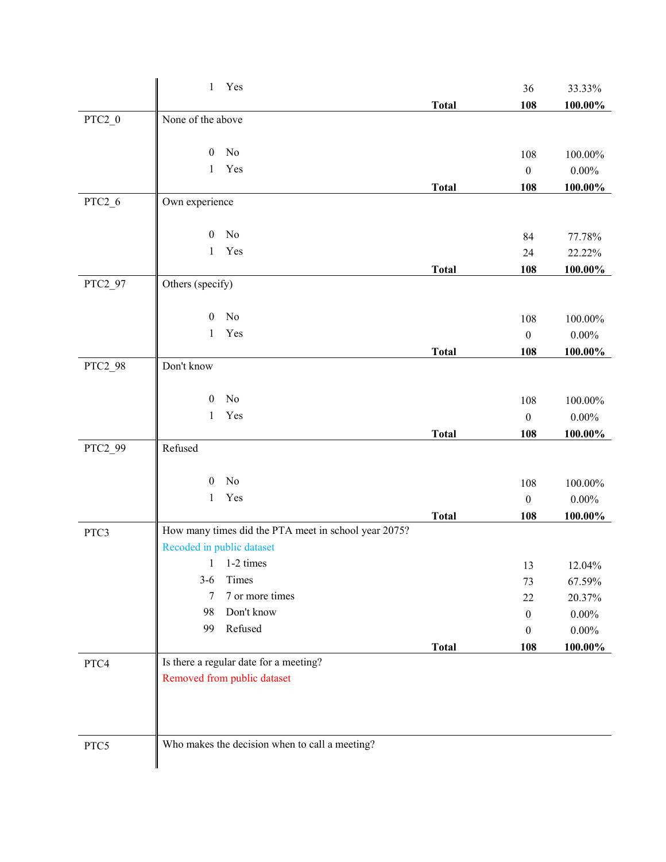|          | Yes<br>1                                             |              | 36               | 33.33%     |
|----------|------------------------------------------------------|--------------|------------------|------------|
|          |                                                      | <b>Total</b> | 108              | 100.00%    |
| $PTC2_0$ | None of the above                                    |              |                  |            |
|          |                                                      |              |                  |            |
|          | $\boldsymbol{0}$<br>No                               |              | 108              | 100.00%    |
|          | Yes<br>$\mathbf{1}$                                  |              | $\boldsymbol{0}$ | $0.00\%$   |
|          |                                                      | <b>Total</b> | 108              | $100.00\%$ |
| $PTC2_6$ | Own experience                                       |              |                  |            |
|          | No<br>$\mathbf{0}$                                   |              | 84               | 77.78%     |
|          | Yes<br>1                                             |              | 24               | 22.22%     |
|          |                                                      | <b>Total</b> | 108              | 100.00%    |
| PTC2_97  | Others (specify)                                     |              |                  |            |
|          |                                                      |              |                  |            |
|          | No<br>$\mathbf{0}$                                   |              | 108              | 100.00%    |
|          | Yes<br>1                                             |              | $\boldsymbol{0}$ | $0.00\%$   |
|          |                                                      | <b>Total</b> | 108              | 100.00%    |
| PTC2_98  | Don't know                                           |              |                  |            |
|          |                                                      |              |                  |            |
|          | $\boldsymbol{0}$<br>No                               |              | 108              | 100.00%    |
|          | Yes<br>$\mathbf{1}$                                  |              | $\boldsymbol{0}$ | $0.00\%$   |
|          |                                                      | <b>Total</b> | 108              | 100.00%    |
| PTC2_99  | Refused                                              |              |                  |            |
|          |                                                      |              |                  |            |
|          | No<br>$\mathbf{0}$                                   |              | 108              | $100.00\%$ |
|          | Yes<br>$\mathbf{1}$                                  |              | $\boldsymbol{0}$ | $0.00\%$   |
|          |                                                      | <b>Total</b> | 108              | 100.00%    |
| PTC3     | How many times did the PTA meet in school year 2075? |              |                  |            |
|          | Recoded in public dataset                            |              |                  |            |
|          | $1 \quad 1-2 \text{ times}$                          |              | 13               | 12.04%     |
|          | Times<br>$3 - 6$<br>7 or more times                  |              | 73               | 67.59%     |
|          | 7                                                    |              | 22               | 20.37%     |
|          | Don't know<br>98<br>99                               |              | $\overline{0}$   | $0.00\%$   |
|          | Refused                                              |              | $\theta$         | $0.00\%$   |
|          |                                                      | <b>Total</b> | 108              | 100.00%    |
| PTC4     | Is there a regular date for a meeting?               |              |                  |            |
|          | Removed from public dataset                          |              |                  |            |
|          |                                                      |              |                  |            |
|          |                                                      |              |                  |            |
|          |                                                      |              |                  |            |
| PTC5     | Who makes the decision when to call a meeting?       |              |                  |            |
|          |                                                      |              |                  |            |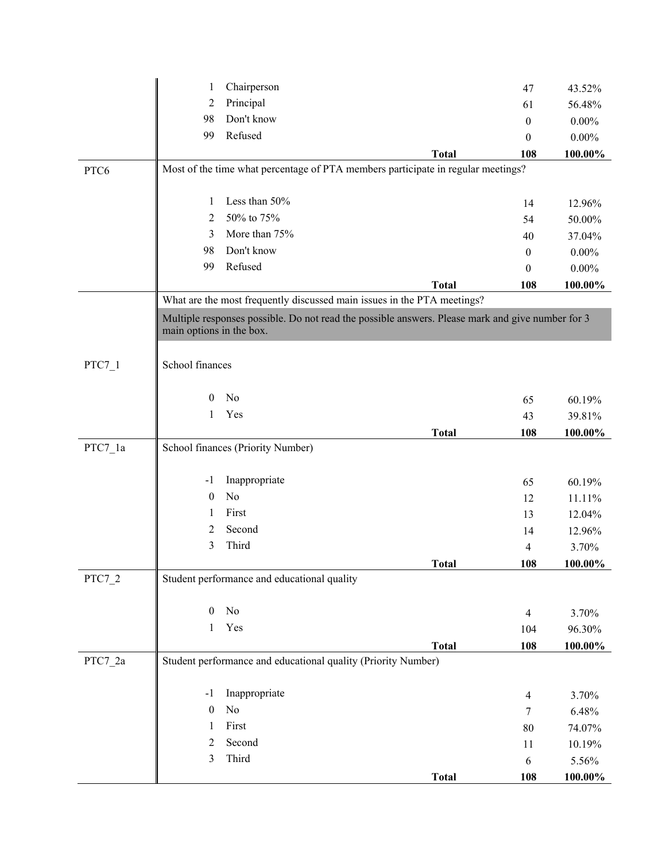|           | 1                        | Chairperson                                                             |                                                                                                  | 47               | 43.52%     |
|-----------|--------------------------|-------------------------------------------------------------------------|--------------------------------------------------------------------------------------------------|------------------|------------|
|           | $\overline{2}$           | Principal                                                               |                                                                                                  | 61               | 56.48%     |
|           | 98                       | Don't know                                                              |                                                                                                  | $\boldsymbol{0}$ | $0.00\%$   |
|           | 99                       | Refused                                                                 |                                                                                                  | $\mathbf{0}$     | $0.00\%$   |
|           |                          |                                                                         | <b>Total</b>                                                                                     | 108              | 100.00%    |
| PTC6      |                          |                                                                         | Most of the time what percentage of PTA members participate in regular meetings?                 |                  |            |
|           |                          |                                                                         |                                                                                                  |                  |            |
|           | 1                        | Less than 50%                                                           |                                                                                                  | 14               | 12.96%     |
|           | 2                        | 50% to 75%                                                              |                                                                                                  | 54               | 50.00%     |
|           | 3                        | More than 75%                                                           |                                                                                                  | 40               | 37.04%     |
|           | 98                       | Don't know                                                              |                                                                                                  | $\mathbf{0}$     | $0.00\%$   |
|           | 99                       | Refused                                                                 |                                                                                                  | $\mathbf{0}$     | $0.00\%$   |
|           |                          |                                                                         | <b>Total</b>                                                                                     | 108              | 100.00%    |
|           |                          | What are the most frequently discussed main issues in the PTA meetings? |                                                                                                  |                  |            |
|           |                          |                                                                         | Multiple responses possible. Do not read the possible answers. Please mark and give number for 3 |                  |            |
|           | main options in the box. |                                                                         |                                                                                                  |                  |            |
|           |                          |                                                                         |                                                                                                  |                  |            |
| $PTC7_1$  | School finances          |                                                                         |                                                                                                  |                  |            |
|           |                          |                                                                         |                                                                                                  |                  |            |
|           | $\overline{0}$           | No                                                                      |                                                                                                  | 65               | 60.19%     |
|           | 1                        | Yes                                                                     |                                                                                                  | 43               | 39.81%     |
|           |                          |                                                                         | <b>Total</b>                                                                                     | 108              | 100.00%    |
| $PTC7_1a$ |                          | School finances (Priority Number)                                       |                                                                                                  |                  |            |
|           | $-1$                     | Inappropriate                                                           |                                                                                                  | 65               | 60.19%     |
|           | $\boldsymbol{0}$         | No                                                                      |                                                                                                  | 12               | 11.11%     |
|           | 1                        | First                                                                   |                                                                                                  | 13               | 12.04%     |
|           | 2                        | Second                                                                  |                                                                                                  | 14               | 12.96%     |
|           | 3                        | Third                                                                   |                                                                                                  | 4                | 3.70%      |
|           |                          |                                                                         | <b>Total</b>                                                                                     | 108              | 100.00%    |
| PTC7_2    |                          | Student performance and educational quality                             |                                                                                                  |                  |            |
|           |                          |                                                                         |                                                                                                  |                  |            |
|           | $\boldsymbol{0}$         | No                                                                      |                                                                                                  | $\overline{4}$   | 3.70%      |
|           | 1                        | Yes                                                                     |                                                                                                  | 104              | 96.30%     |
|           |                          |                                                                         | <b>Total</b>                                                                                     | 108              | 100.00%    |
| PTC7_2a   |                          | Student performance and educational quality (Priority Number)           |                                                                                                  |                  |            |
|           |                          |                                                                         |                                                                                                  |                  |            |
|           | $-1$                     | Inappropriate                                                           |                                                                                                  | $\overline{4}$   | 3.70%      |
|           | $\boldsymbol{0}$         | No                                                                      |                                                                                                  | 7                | 6.48%      |
|           | 1                        | First                                                                   |                                                                                                  | 80               | 74.07%     |
|           | 2                        | Second                                                                  |                                                                                                  | 11               | 10.19%     |
|           | 3                        | Third                                                                   |                                                                                                  | 6                | 5.56%      |
|           |                          |                                                                         | <b>Total</b>                                                                                     | 108              | $100.00\%$ |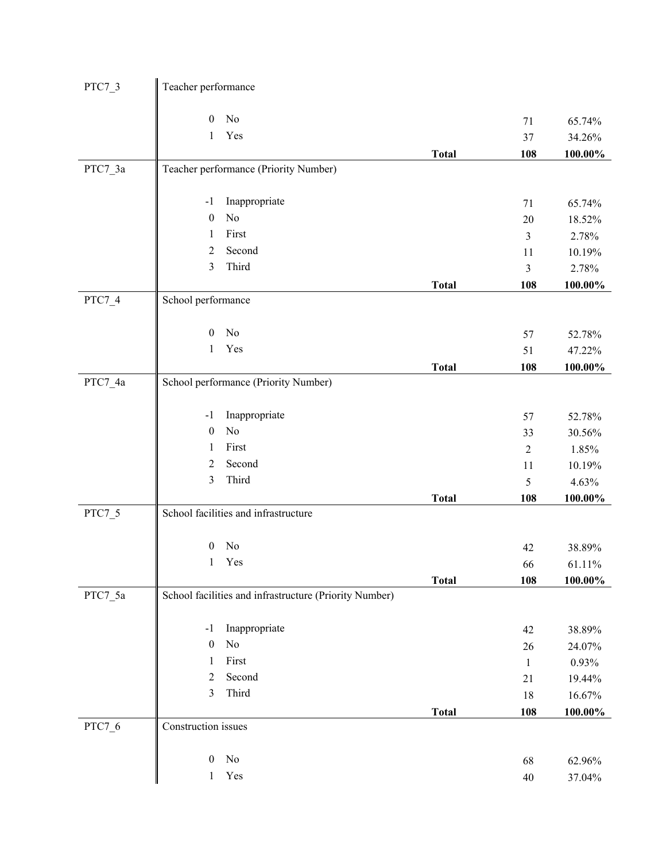| PTC7_3   | Teacher performance                                    |              |                |                  |
|----------|--------------------------------------------------------|--------------|----------------|------------------|
|          | No<br>$\boldsymbol{0}$                                 |              |                |                  |
|          | Yes<br>$\mathbf{1}$                                    |              | 71<br>37       | 65.74%<br>34.26% |
|          |                                                        | <b>Total</b> | 108            | $100.00\%$       |
| PTC7_3a  | Teacher performance (Priority Number)                  |              |                |                  |
|          |                                                        |              |                |                  |
|          | Inappropriate<br>$-1$                                  |              | 71             | 65.74%           |
|          | No<br>$\boldsymbol{0}$                                 |              | 20             | 18.52%           |
|          | First<br>1                                             |              | 3              | 2.78%            |
|          | Second<br>$\overline{2}$                               |              | 11             | 10.19%           |
|          | 3<br>Third                                             |              | 3              | 2.78%            |
|          |                                                        | <b>Total</b> | 108            | $100.00\%$       |
| $PTC7_4$ | School performance                                     |              |                |                  |
|          | No<br>$\mathbf{0}$                                     |              | 57             | 52.78%           |
|          | Yes<br>$\mathbf{1}$                                    |              | 51             | 47.22%           |
|          |                                                        | <b>Total</b> | 108            | $100.00\%$       |
| PTC7_4a  | School performance (Priority Number)                   |              |                |                  |
|          | Inappropriate<br>$-1$                                  |              | 57             | 52.78%           |
|          | No<br>$\boldsymbol{0}$                                 |              | 33             | 30.56%           |
|          | First<br>1                                             |              | $\overline{c}$ | 1.85%            |
|          | Second<br>$\overline{2}$                               |              | 11             | 10.19%           |
|          | Third<br>3                                             |              | 5              | 4.63%            |
|          |                                                        | <b>Total</b> | 108            | 100.00%          |
| PTC7 5   | School facilities and infrastructure                   |              |                |                  |
|          | No<br>$\boldsymbol{0}$                                 |              | 42             | 38.89%           |
|          | Yes<br>$\mathbf{1}$                                    |              | 66             | 61.11%           |
|          |                                                        | <b>Total</b> | 108            | $100.00\%$       |
| PTC7_5a  | School facilities and infrastructure (Priority Number) |              |                |                  |
|          | Inappropriate<br>$-1$                                  |              | 42             | 38.89%           |
|          | No<br>$\boldsymbol{0}$                                 |              | 26             | 24.07%           |
|          | First<br>1                                             |              | 1              | 0.93%            |
|          | Second<br>$\overline{2}$                               |              | 21             | 19.44%           |
|          | Third<br>3                                             |              | 18             | 16.67%           |
|          |                                                        | <b>Total</b> | 108            | $100.00\%$       |
| PTC7_6   | Construction issues                                    |              |                |                  |
|          | No<br>$\boldsymbol{0}$                                 |              | 68             | 62.96%           |
|          | Yes<br>$\mathbf{1}$                                    |              | $40\,$         | 37.04%           |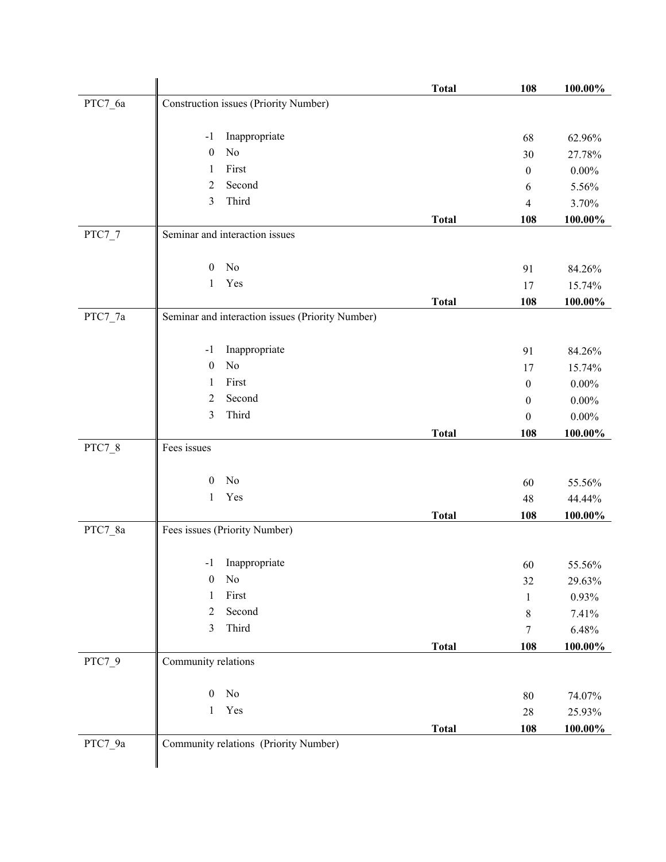|                              |                                                  | <b>Total</b> | 108              | 100.00%         |
|------------------------------|--------------------------------------------------|--------------|------------------|-----------------|
| PTC7_6a                      | Construction issues (Priority Number)            |              |                  |                 |
|                              |                                                  |              |                  |                 |
|                              | Inappropriate<br>$-1$                            |              | 68               | 62.96%          |
|                              | No<br>$\mathbf{0}$                               |              | 30               | 27.78%          |
|                              | First<br>1                                       |              | $\boldsymbol{0}$ | $0.00\%$        |
|                              | Second<br>2                                      |              | 6                | 5.56%           |
|                              | Third<br>3                                       |              | 4                | 3.70%           |
|                              |                                                  | <b>Total</b> | 108              | 100.00%         |
| PTC7_7                       | Seminar and interaction issues                   |              |                  |                 |
|                              | No<br>$\boldsymbol{0}$                           |              | 91               | 84.26%          |
|                              | Yes<br>1                                         |              | 17               | 15.74%          |
|                              |                                                  | <b>Total</b> | 108              | 100.00%         |
| $\mathrm{PTC7}\_\mathrm{7}a$ | Seminar and interaction issues (Priority Number) |              |                  |                 |
|                              |                                                  |              |                  |                 |
|                              | Inappropriate<br>$-1$<br>No<br>$\boldsymbol{0}$  |              | 91               | 84.26%          |
|                              | First<br>1                                       |              | 17               | 15.74%          |
|                              | Second<br>$\overline{2}$                         |              | $\boldsymbol{0}$ | $0.00\%$        |
|                              | Third<br>3                                       |              | $\boldsymbol{0}$ | $0.00\%$        |
|                              |                                                  |              | 0                | $0.00\%$        |
| PTC7_8                       | Fees issues                                      | <b>Total</b> | 108              | 100.00%         |
|                              |                                                  |              |                  |                 |
|                              | No<br>$\overline{0}$                             |              | 60               | 55.56%          |
|                              | Yes<br>$\mathbf{1}$                              |              | 48               | 44.44%          |
|                              |                                                  | <b>Total</b> | 108              | 100.00%         |
| PTC7_8a                      | Fees issues (Priority Number)                    |              |                  |                 |
|                              | Inappropriate<br>$-1$                            |              |                  |                 |
|                              | No<br>$\mathbf{0}$                               |              | 60<br>32         | 55.56%          |
|                              | $\rm First$<br>1                                 |              | 1                | 29.63%<br>0.93% |
|                              | Second<br>$\overline{2}$                         |              | 8                | 7.41%           |
|                              | Third<br>3                                       |              | 7                | 6.48%           |
|                              |                                                  | <b>Total</b> | 108              | 100.00%         |
| PTC7_9                       | Community relations                              |              |                  |                 |
|                              |                                                  |              |                  |                 |
|                              | $\rm No$<br>$\boldsymbol{0}$                     |              | 80               | 74.07%          |
|                              | Yes<br>1                                         |              | $28\,$           | 25.93%          |
|                              |                                                  | <b>Total</b> | 108              | 100.00%         |
| PTC7_9a                      | Community relations (Priority Number)            |              |                  |                 |
|                              |                                                  |              |                  |                 |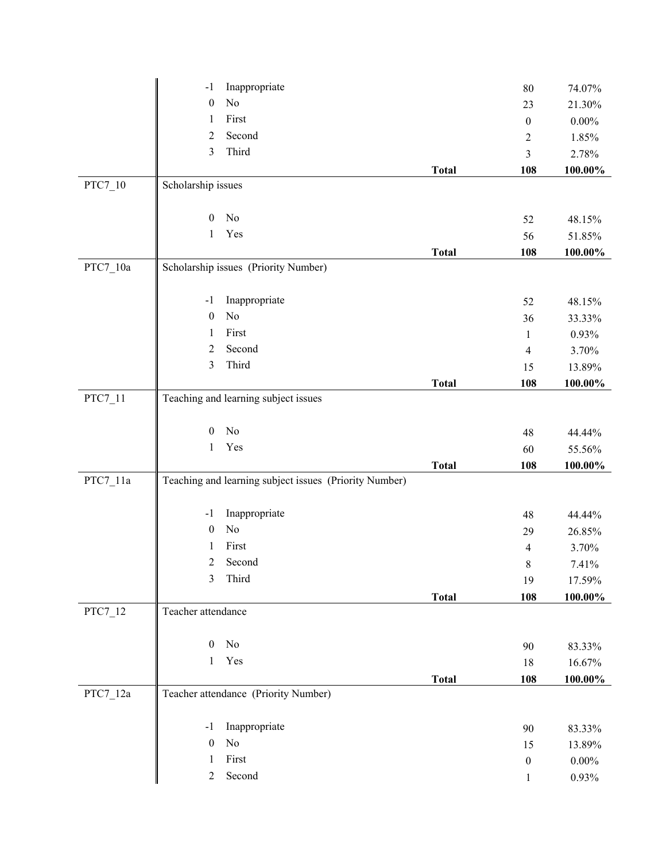|                     | Inappropriate<br>$-1$                                  |              | 80               | 74.07%     |
|---------------------|--------------------------------------------------------|--------------|------------------|------------|
|                     | $\rm No$<br>$\boldsymbol{0}$                           |              | 23               | 21.30%     |
|                     | First<br>$\mathbf{1}$                                  |              | $\boldsymbol{0}$ | $0.00\%$   |
|                     | Second<br>$\overline{c}$                               |              | 2                | 1.85%      |
|                     | Third<br>3                                             |              | 3                | 2.78%      |
|                     |                                                        | <b>Total</b> | 108              | 100.00%    |
| $\mathrm{PTC7}\_10$ | Scholarship issues                                     |              |                  |            |
|                     |                                                        |              |                  |            |
|                     | No<br>$\mathbf{0}$                                     |              | 52               | 48.15%     |
|                     | Yes<br>$\mathbf{1}$                                    |              | 56               | 51.85%     |
|                     |                                                        | <b>Total</b> | 108              | $100.00\%$ |
| $PTC7_10a$          | Scholarship issues (Priority Number)                   |              |                  |            |
|                     |                                                        |              |                  |            |
|                     | Inappropriate<br>$-1$                                  |              | 52               | 48.15%     |
|                     | No<br>$\boldsymbol{0}$                                 |              | 36               | 33.33%     |
|                     | First<br>1                                             |              | 1                | 0.93%      |
|                     | Second<br>$\overline{2}$                               |              | $\overline{4}$   | 3.70%      |
|                     | Third<br>3                                             |              | 15               | 13.89%     |
|                     |                                                        | <b>Total</b> | 108              | 100.00%    |
| PTC7_11             | Teaching and learning subject issues                   |              |                  |            |
|                     |                                                        |              |                  |            |
|                     | No<br>$\boldsymbol{0}$                                 |              | 48               | 44.44%     |
|                     | Yes<br>$\mathbf{1}$                                    |              | 60               | 55.56%     |
|                     |                                                        | <b>Total</b> | 108              | 100.00%    |
| $PTC7_11a$          | Teaching and learning subject issues (Priority Number) |              |                  |            |
|                     |                                                        |              |                  |            |
|                     | Inappropriate<br>$-1$                                  |              | 48               | 44.44%     |
|                     | No<br>$\boldsymbol{0}$                                 |              | 29               | 26.85%     |
|                     | First<br>1                                             |              | $\overline{4}$   | 3.70%      |
|                     | 2<br>Second                                            |              | $8\,$            | 7.41%      |
|                     | Third<br>$\mathfrak{Z}$                                |              | 19               | 17.59%     |
|                     |                                                        | <b>Total</b> | 108              | 100.00%    |
| $PTC7_12$           | Teacher attendance                                     |              |                  |            |
|                     |                                                        |              |                  |            |
|                     | No<br>$\boldsymbol{0}$                                 |              | 90               | 83.33%     |
|                     | Yes<br>$\mathbf{1}$                                    |              | 18               | 16.67%     |
|                     |                                                        | <b>Total</b> | 108              | 100.00%    |
| PTC7 12a            | Teacher attendance (Priority Number)                   |              |                  |            |
|                     |                                                        |              |                  |            |
|                     | Inappropriate<br>$-1$                                  |              | 90               | 83.33%     |
|                     | $\rm No$<br>$\boldsymbol{0}$                           |              | 15               | 13.89%     |
|                     | First<br>1                                             |              | $\boldsymbol{0}$ | $0.00\%$   |
|                     | Second<br>$\overline{c}$                               |              |                  | $0.93\%$   |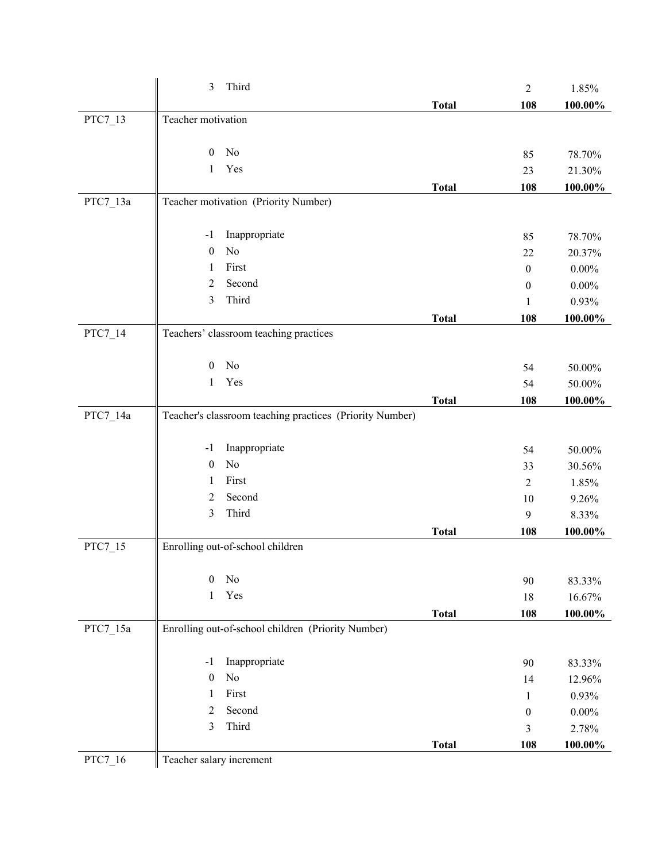|          | $\mathfrak{Z}$<br>Third                                  |              | $\overline{2}$   | 1.85%      |
|----------|----------------------------------------------------------|--------------|------------------|------------|
|          |                                                          | <b>Total</b> | 108              | 100.00%    |
| PTC7_13  | Teacher motivation                                       |              |                  |            |
|          |                                                          |              |                  |            |
|          | No<br>$\mathbf{0}$                                       |              | 85               | 78.70%     |
|          | Yes<br>1                                                 |              | 23               | 21.30%     |
|          |                                                          | <b>Total</b> | 108              | 100.00%    |
| PTC7_13a | Teacher motivation (Priority Number)                     |              |                  |            |
|          | Inappropriate<br>$-1$                                    |              | 85               | 78.70%     |
|          | No<br>$\boldsymbol{0}$                                   |              | 22               | 20.37%     |
|          | First<br>1                                               |              | $\boldsymbol{0}$ | $0.00\%$   |
|          | Second<br>2                                              |              | $\boldsymbol{0}$ | $0.00\%$   |
|          | Third<br>3                                               |              | $\mathbf{1}$     | 0.93%      |
|          |                                                          | <b>Total</b> | 108              | 100.00%    |
| PTC7_14  | Teachers' classroom teaching practices                   |              |                  |            |
|          |                                                          |              |                  |            |
|          | No<br>$\overline{0}$<br>Yes                              |              | 54               | 50.00%     |
|          | 1                                                        |              | 54               | 50.00%     |
|          |                                                          | <b>Total</b> | 108              | 100.00%    |
| PTC7_14a | Teacher's classroom teaching practices (Priority Number) |              |                  |            |
|          | Inappropriate<br>$-1$                                    |              | 54               | 50.00%     |
|          | No<br>$\boldsymbol{0}$                                   |              | 33               | 30.56%     |
|          | First<br>1                                               |              | $\sqrt{2}$       | 1.85%      |
|          | Second<br>$\overline{2}$                                 |              | 10               | 9.26%      |
|          | Third<br>3                                               |              | 9                | 8.33%      |
|          |                                                          | <b>Total</b> | 108              | 100.00%    |
| PTC7_15  | Enrolling out-of-school children                         |              |                  |            |
|          | $\boldsymbol{0}$                                         |              |                  |            |
|          | No                                                       |              | 90               | 83.33%     |
|          | Yes<br>$\mathbf{1}$                                      |              | 18               | 16.67%     |
| PTC7_15a | Enrolling out-of-school children (Priority Number)       | <b>Total</b> | 108              | $100.00\%$ |
|          |                                                          |              |                  |            |
|          | Inappropriate<br>$-1$                                    |              | 90               | 83.33%     |
|          | No<br>$\boldsymbol{0}$                                   |              | 14               | 12.96%     |
|          | First<br>1                                               |              | $\mathbf{1}$     | 0.93%      |
|          | Second<br>$\overline{2}$                                 |              | $\boldsymbol{0}$ | $0.00\%$   |
|          | Third<br>3                                               |              | 3                | 2.78%      |
|          |                                                          | <b>Total</b> | 108              | 100.00%    |
| PTC7_16  | Teacher salary increment                                 |              |                  |            |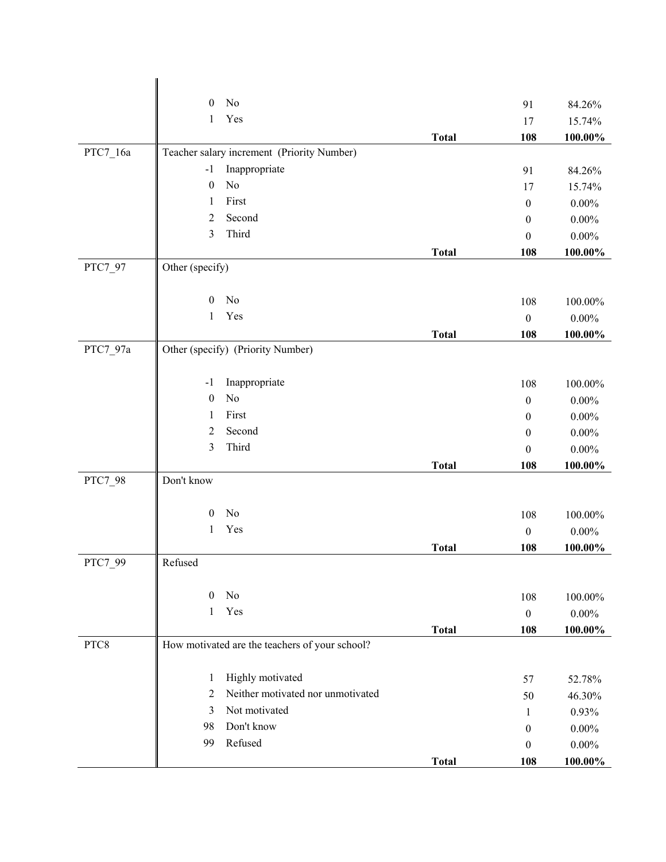|          | No<br>$\mathbf{0}$                             |              | 91               | 84.26%     |
|----------|------------------------------------------------|--------------|------------------|------------|
|          | Yes<br>1                                       |              | 17               | 15.74%     |
|          |                                                | <b>Total</b> | 108              | 100.00%    |
| PTC7_16a | Teacher salary increment (Priority Number)     |              |                  |            |
|          | Inappropriate<br>$-1$                          |              | 91               | 84.26%     |
|          | No<br>$\boldsymbol{0}$                         |              | 17               | 15.74%     |
|          | First<br>1                                     |              | $\boldsymbol{0}$ | $0.00\%$   |
|          | Second<br>$\overline{2}$                       |              | $\boldsymbol{0}$ | $0.00\%$   |
|          | Third<br>3                                     |              | $\theta$         | $0.00\%$   |
|          |                                                | <b>Total</b> | 108              | 100.00%    |
| PTC7_97  | Other (specify)                                |              |                  |            |
|          | No<br>$\mathbf{0}$                             |              | 108              | 100.00%    |
|          | Yes<br>1                                       |              | $\boldsymbol{0}$ |            |
|          |                                                |              |                  | $0.00\%$   |
| PTC7_97a | Other (specify) (Priority Number)              | <b>Total</b> | 108              | 100.00%    |
|          |                                                |              |                  |            |
|          | Inappropriate<br>$-1$                          |              | 108              | 100.00%    |
|          | No<br>$\boldsymbol{0}$                         |              | $\boldsymbol{0}$ | $0.00\%$   |
|          | First<br>1                                     |              | $\boldsymbol{0}$ | $0.00\%$   |
|          | Second<br>2                                    |              | $\boldsymbol{0}$ | $0.00\%$   |
|          | Third<br>3                                     |              | $\boldsymbol{0}$ | $0.00\%$   |
|          |                                                | <b>Total</b> | 108              | 100.00%    |
| PTC7_98  | Don't know                                     |              |                  |            |
|          |                                                |              |                  |            |
|          | $\mathbf{0}$<br>No                             |              | 108              | 100.00%    |
|          | Yes<br>1                                       |              | $\boldsymbol{0}$ | $0.00\%$   |
|          |                                                | <b>Total</b> | 108              | 100.00%    |
| PTC7_99  | Refused                                        |              |                  |            |
|          | No<br>$\mathbf{0}$                             |              | 108              | 100.00%    |
|          | Yes<br>1                                       |              | $\boldsymbol{0}$ | $0.00\%$   |
|          |                                                | <b>Total</b> | 108              | 100.00%    |
| PTC8     | How motivated are the teachers of your school? |              |                  |            |
|          |                                                |              |                  |            |
|          | Highly motivated<br>1                          |              | 57               | 52.78%     |
|          | Neither motivated nor unmotivated<br>2         |              | 50               | 46.30%     |
|          | Not motivated<br>3                             |              | 1                | 0.93%      |
|          | Don't know<br>98                               |              | $\boldsymbol{0}$ | $0.00\%$   |
|          | Refused<br>99                                  |              | $\boldsymbol{0}$ | $0.00\%$   |
|          |                                                | <b>Total</b> | 108              | $100.00\%$ |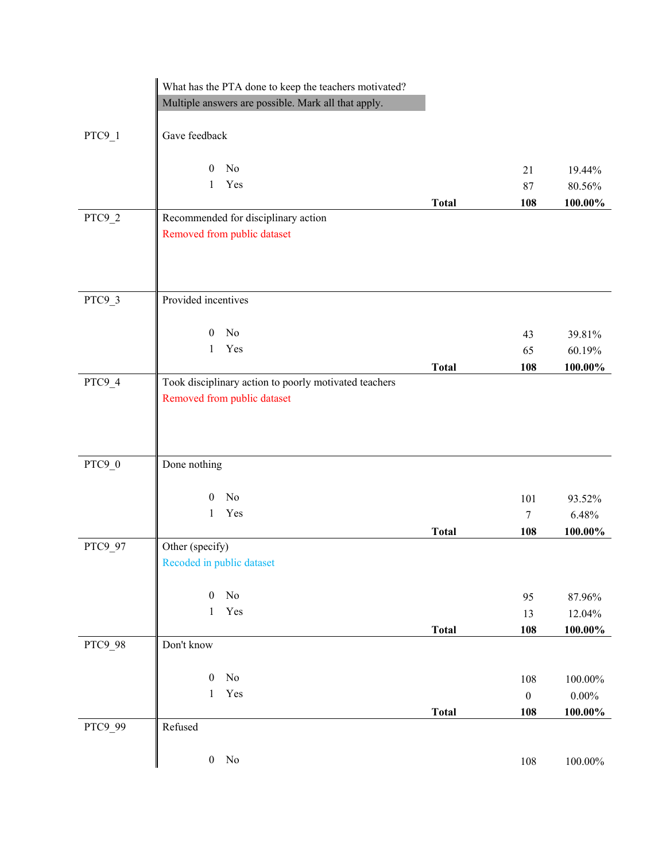|          | What has the PTA done to keep the teachers motivated? |              |                  |                  |
|----------|-------------------------------------------------------|--------------|------------------|------------------|
|          | Multiple answers are possible. Mark all that apply.   |              |                  |                  |
|          |                                                       |              |                  |                  |
| $PTC9_1$ | Gave feedback                                         |              |                  |                  |
|          | No<br>$\mathbf{0}$                                    |              |                  |                  |
|          | Yes<br>1                                              |              | 21<br>87         | 19.44%<br>80.56% |
|          |                                                       |              |                  | 100.00%          |
| PTC9_2   | Recommended for disciplinary action                   | <b>Total</b> | 108              |                  |
|          | Removed from public dataset                           |              |                  |                  |
|          |                                                       |              |                  |                  |
|          |                                                       |              |                  |                  |
|          |                                                       |              |                  |                  |
| PTC9_3   | Provided incentives                                   |              |                  |                  |
|          | N <sub>o</sub><br>$\mathbf{0}$                        |              |                  |                  |
|          | Yes<br>1                                              |              | 43               | 39.81%           |
|          |                                                       |              | 65               | 60.19%           |
| PTC9_4   | Took disciplinary action to poorly motivated teachers | <b>Total</b> | 108              | $100.00\%$       |
|          | Removed from public dataset                           |              |                  |                  |
|          |                                                       |              |                  |                  |
|          |                                                       |              |                  |                  |
|          |                                                       |              |                  |                  |
| PTC9_0   | Done nothing                                          |              |                  |                  |
|          |                                                       |              |                  |                  |
|          | N <sub>o</sub><br>$\boldsymbol{0}$                    |              | 101              | 93.52%           |
|          | Yes<br>$\mathbf{1}$                                   |              | $\tau$           | 6.48%            |
|          |                                                       | <b>Total</b> | 108              | 100.00%          |
| PTC9_97  | Other (specify)                                       |              |                  |                  |
|          | Recoded in public dataset                             |              |                  |                  |
|          |                                                       |              |                  |                  |
|          | $\rm No$<br>$\boldsymbol{0}$                          |              | 95               | 87.96%           |
|          | Yes<br>$\,1$                                          |              | 13               | 12.04%           |
|          |                                                       | <b>Total</b> | 108              | $100.00\%$       |
| PTC9_98  | Don't know                                            |              |                  |                  |
|          |                                                       |              |                  |                  |
|          | $\boldsymbol{0}$<br>No                                |              | $108\,$          | $100.00\%$       |
|          | Yes<br>1                                              |              | $\boldsymbol{0}$ | $0.00\%$         |
|          |                                                       | <b>Total</b> | 108              | $100.00\%$       |
| PTC9_99  | Refused                                               |              |                  |                  |
|          |                                                       |              |                  |                  |
|          | $\rm No$<br>$\boldsymbol{0}$                          |              | 108              | $100.00\%$       |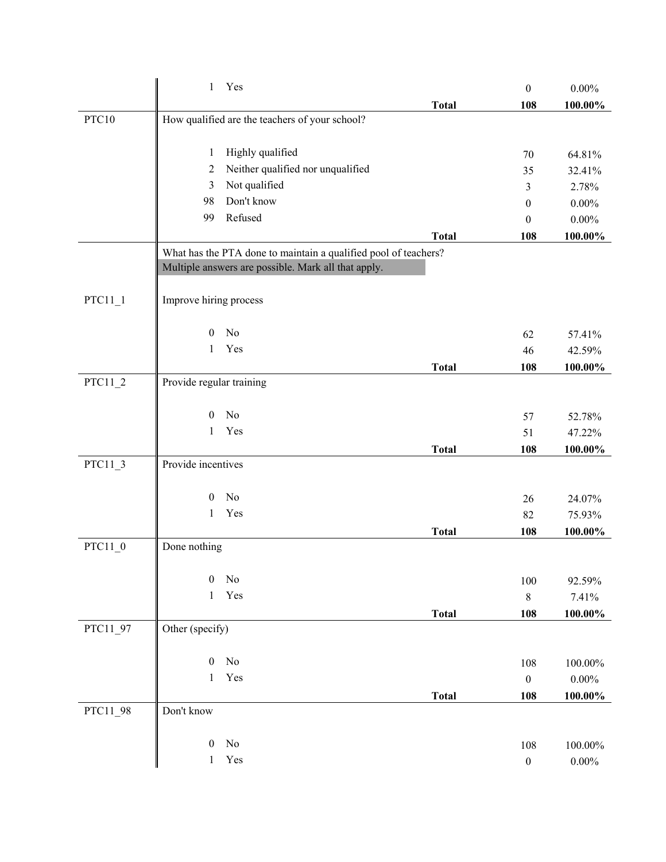|           | Yes<br>$\mathbf{1}$                                             |              | $\boldsymbol{0}$ | $0.00\%$   |
|-----------|-----------------------------------------------------------------|--------------|------------------|------------|
|           |                                                                 | <b>Total</b> | 108              | 100.00%    |
| PTC10     | How qualified are the teachers of your school?                  |              |                  |            |
|           | Highly qualified<br>1                                           |              | 70               | 64.81%     |
|           | Neither qualified nor unqualified<br>2                          |              | 35               | 32.41%     |
|           | Not qualified<br>3                                              |              | 3                | 2.78%      |
|           | Don't know<br>98                                                |              | $\boldsymbol{0}$ | $0.00\%$   |
|           | Refused<br>99                                                   |              | $\theta$         | $0.00\%$   |
|           |                                                                 | <b>Total</b> | 108              | 100.00%    |
|           | What has the PTA done to maintain a qualified pool of teachers? |              |                  |            |
|           | Multiple answers are possible. Mark all that apply.             |              |                  |            |
| $PTC11_1$ | Improve hiring process                                          |              |                  |            |
|           | No<br>$\boldsymbol{0}$                                          |              | 62               | 57.41%     |
|           | Yes<br>1                                                        |              | 46               | 42.59%     |
|           |                                                                 | <b>Total</b> | 108              | 100.00%    |
| $PTC11_2$ | Provide regular training                                        |              |                  |            |
|           | No<br>$\overline{0}$                                            |              | 57               | 52.78%     |
|           | Yes<br>1                                                        |              | 51               | 47.22%     |
|           |                                                                 | <b>Total</b> | 108              | 100.00%    |
| PTC11_3   | Provide incentives                                              |              |                  |            |
|           | No<br>$\boldsymbol{0}$                                          |              | 26               | 24.07%     |
|           | Yes<br>1                                                        |              | 82               | 75.93%     |
|           |                                                                 | <b>Total</b> | 108              | 100.00%    |
| PTC11 0   | Done nothing                                                    |              |                  |            |
|           | $\boldsymbol{0}$<br>No                                          |              | 100              | 92.59%     |
|           | Yes<br>$\mathbf{1}$                                             |              | $\,8\,$          | 7.41%      |
|           |                                                                 | <b>Total</b> | 108              | $100.00\%$ |
| PTC11_97  | Other (specify)                                                 |              |                  |            |
|           | No<br>$\boldsymbol{0}$                                          |              | 108              | 100.00%    |
|           | Yes<br>$\mathbf{1}$                                             |              | $\boldsymbol{0}$ | $0.00\%$   |
|           |                                                                 | <b>Total</b> | 108              | $100.00\%$ |
| PTC11_98  | Don't know                                                      |              |                  |            |
|           | No<br>$\boldsymbol{0}$                                          |              | 108              | 100.00%    |
|           | Yes<br>1                                                        |              | $\boldsymbol{0}$ | $0.00\%$   |
|           |                                                                 |              |                  |            |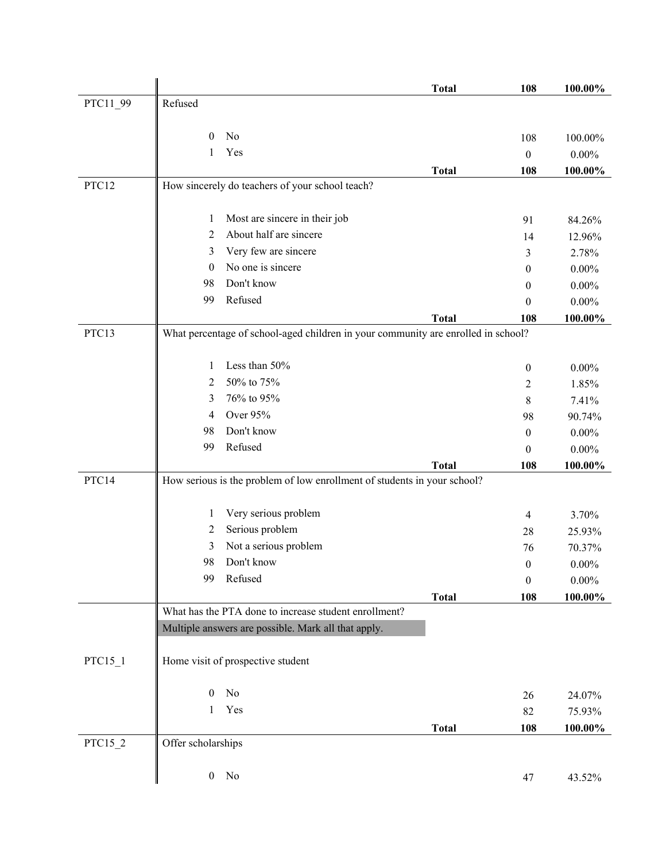|           |                                                                                   |                                                                          | <b>Total</b> | 108              | 100.00%    |
|-----------|-----------------------------------------------------------------------------------|--------------------------------------------------------------------------|--------------|------------------|------------|
| PTC11_99  | Refused                                                                           |                                                                          |              |                  |            |
|           |                                                                                   |                                                                          |              |                  |            |
|           | $\mathbf{0}$                                                                      | No                                                                       |              | 108              | 100.00%    |
|           | 1                                                                                 | Yes                                                                      |              | $\boldsymbol{0}$ | $0.00\%$   |
|           |                                                                                   |                                                                          | <b>Total</b> | 108              | $100.00\%$ |
| PTC12     |                                                                                   | How sincerely do teachers of your school teach?                          |              |                  |            |
|           |                                                                                   |                                                                          |              |                  |            |
|           | 1                                                                                 | Most are sincere in their job                                            |              | 91               | 84.26%     |
|           | 2                                                                                 | About half are sincere                                                   |              | 14               | 12.96%     |
|           | 3                                                                                 | Very few are sincere                                                     |              | 3                | 2.78%      |
|           | $\bf{0}$                                                                          | No one is sincere                                                        |              | 0                | $0.00\%$   |
|           | 98                                                                                | Don't know                                                               |              | 0                | $0.00\%$   |
|           | 99                                                                                | Refused                                                                  |              | 0                | $0.00\%$   |
|           |                                                                                   |                                                                          | <b>Total</b> | 108              | 100.00%    |
| PTC13     | What percentage of school-aged children in your community are enrolled in school? |                                                                          |              |                  |            |
|           |                                                                                   |                                                                          |              |                  |            |
|           | 1                                                                                 | Less than 50%                                                            |              | $\boldsymbol{0}$ | $0.00\%$   |
|           | 2                                                                                 | 50% to 75%                                                               |              | 2                | 1.85%      |
|           | 3                                                                                 | 76% to 95%                                                               |              | 8                | 7.41%      |
|           | 4                                                                                 | Over 95%                                                                 |              | 98               | 90.74%     |
|           | 98                                                                                | Don't know                                                               |              | $\boldsymbol{0}$ | $0.00\%$   |
|           | 99                                                                                | Refused                                                                  |              | 0                | $0.00\%$   |
|           |                                                                                   |                                                                          | <b>Total</b> | 108              | 100.00%    |
| PTC14     |                                                                                   | How serious is the problem of low enrollment of students in your school? |              |                  |            |
|           |                                                                                   |                                                                          |              |                  |            |
|           | 1                                                                                 | Very serious problem                                                     |              | $\overline{4}$   | 3.70%      |
|           | 2                                                                                 | Serious problem                                                          |              | 28               | 25.93%     |
|           | 3                                                                                 | Not a serious problem                                                    |              | 76               | 70.37%     |
|           | 98                                                                                | Don't know                                                               |              | $\boldsymbol{0}$ | $0.00\%$   |
|           | 99                                                                                | Refused                                                                  |              | $\boldsymbol{0}$ | $0.00\%$   |
|           |                                                                                   |                                                                          | <b>Total</b> | 108              | 100.00%    |
|           |                                                                                   | What has the PTA done to increase student enrollment?                    |              |                  |            |
|           |                                                                                   | Multiple answers are possible. Mark all that apply.                      |              |                  |            |
| $PTC15_1$ |                                                                                   | Home visit of prospective student                                        |              |                  |            |
|           |                                                                                   |                                                                          |              |                  |            |
|           | $\mathbf{0}$                                                                      | No                                                                       |              |                  |            |
|           | 1                                                                                 | Yes                                                                      |              | 26               | 24.07%     |
|           |                                                                                   |                                                                          |              | 82               | 75.93%     |
| PTC15_2   | Offer scholarships                                                                |                                                                          | <b>Total</b> | 108              | 100.00%    |
|           |                                                                                   |                                                                          |              |                  |            |
|           | $\boldsymbol{0}$                                                                  | No                                                                       |              |                  |            |
|           |                                                                                   |                                                                          |              | 47               | 43.52%     |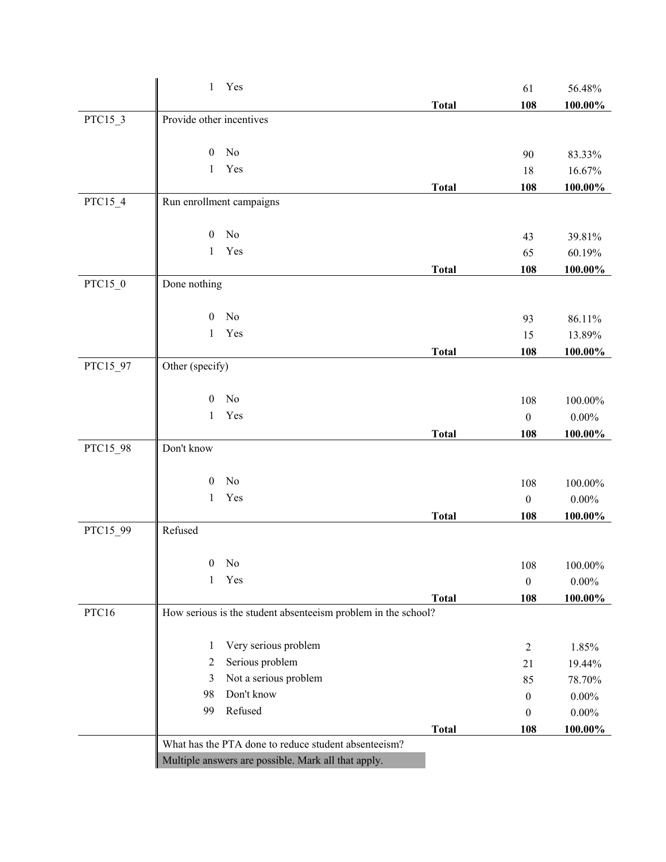|          | $\mathbf{1}$             | Yes                                                           |              | 61               | 56.48%     |
|----------|--------------------------|---------------------------------------------------------------|--------------|------------------|------------|
|          |                          |                                                               | <b>Total</b> | 108              | 100.00%    |
| PTC15_3  | Provide other incentives |                                                               |              |                  |            |
|          |                          |                                                               |              |                  |            |
|          | $\boldsymbol{0}$         | No                                                            |              | 90               | 83.33%     |
|          | 1                        | Yes                                                           |              | 18               | 16.67%     |
|          |                          |                                                               | <b>Total</b> | 108              | 100.00%    |
| PTC15_4  |                          | Run enrollment campaigns                                      |              |                  |            |
|          |                          |                                                               |              |                  |            |
|          | $\boldsymbol{0}$         | No                                                            |              | 43               | 39.81%     |
|          | $\mathbf{1}$             | Yes                                                           |              | 65               | 60.19%     |
| PTC15_0  | Done nothing             |                                                               | <b>Total</b> | 108              | $100.00\%$ |
|          |                          |                                                               |              |                  |            |
|          | $\boldsymbol{0}$         | No                                                            |              | 93               | 86.11%     |
|          | $\mathbf{1}$             | Yes                                                           |              | 15               | 13.89%     |
|          |                          |                                                               | <b>Total</b> | 108              | $100.00\%$ |
| PTC15_97 | Other (specify)          |                                                               |              |                  |            |
|          |                          |                                                               |              |                  |            |
|          | $\boldsymbol{0}$         | No                                                            |              | 108              | 100.00%    |
|          | 1                        | Yes                                                           |              | $\boldsymbol{0}$ | $0.00\%$   |
|          |                          |                                                               | <b>Total</b> | 108              | 100.00%    |
| PTC15_98 | Don't know               |                                                               |              |                  |            |
|          |                          |                                                               |              |                  |            |
|          | $\mathbf{0}$             | No                                                            |              | 108              | $100.00\%$ |
|          | $\,1\,$                  | Yes                                                           |              | $\boldsymbol{0}$ | $0.00\%$   |
|          |                          |                                                               | <b>Total</b> | 108              | 100.00%    |
| PTC15_99 | Refused                  |                                                               |              |                  |            |
|          |                          |                                                               |              |                  |            |
|          | $\mathbf{1}$             | $0$ No<br>Yes                                                 |              | 108              | 100.00%    |
|          |                          |                                                               |              | $\boldsymbol{0}$ | $0.00\%$   |
| PTC16    |                          | How serious is the student absenteeism problem in the school? | <b>Total</b> | 108              | 100.00%    |
|          |                          |                                                               |              |                  |            |
|          | 1                        | Very serious problem                                          |              | $\overline{2}$   | 1.85%      |
|          | 2                        | Serious problem                                               |              | 21               | 19.44%     |
|          | 3                        | Not a serious problem                                         |              | 85               | 78.70%     |
|          | 98                       | Don't know                                                    |              | $\mathbf{0}$     | $0.00\%$   |
|          | 99                       | Refused                                                       |              | $\boldsymbol{0}$ | $0.00\%$   |
|          |                          |                                                               | <b>Total</b> | 108              | 100.00%    |
|          |                          | What has the PTA done to reduce student absenteeism?          |              |                  |            |
|          |                          | Multiple answers are possible. Mark all that apply.           |              |                  |            |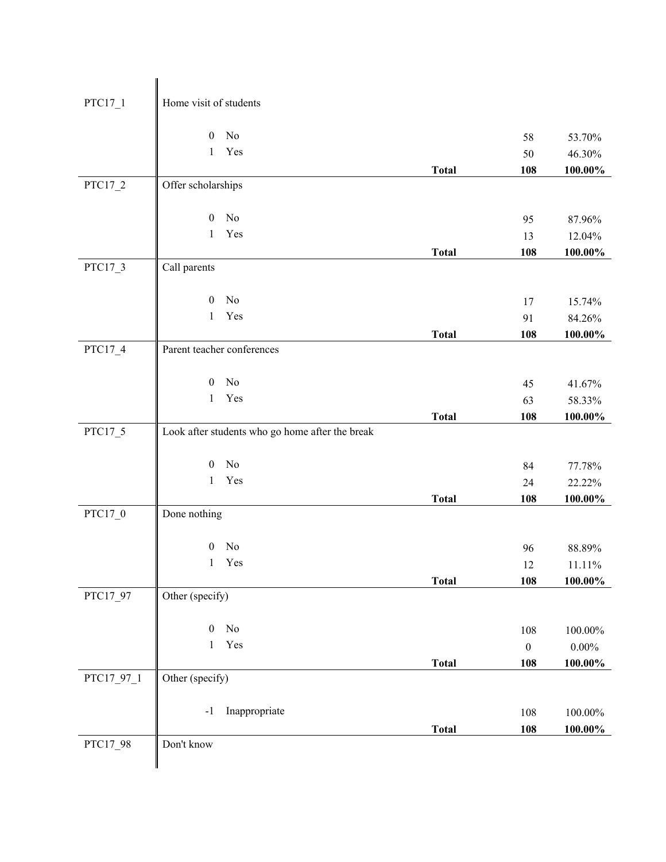| $PTC17_1$  | Home visit of students                          |              |                         |                        |
|------------|-------------------------------------------------|--------------|-------------------------|------------------------|
|            | $\rm No$<br>$\boldsymbol{0}$                    |              |                         |                        |
|            | Yes<br>$\mathbf{1}$                             |              | 58<br>50                | 53.70%<br>46.30%       |
|            |                                                 | <b>Total</b> | 108                     | $100.00\%$             |
| $PTC17_2$  | Offer scholarships                              |              |                         |                        |
|            |                                                 |              |                         |                        |
|            | No<br>$\boldsymbol{0}$                          |              | 95                      | 87.96%                 |
|            | Yes<br>$\mathbf{1}$                             |              | 13                      | 12.04%                 |
|            |                                                 | <b>Total</b> | 108                     | $100.00\%$             |
| PTC17_3    | Call parents                                    |              |                         |                        |
|            |                                                 |              |                         |                        |
|            | $\boldsymbol{0}$<br>No                          |              | 17                      | 15.74%                 |
|            | Yes<br>$\mathbf{1}$                             |              | 91                      | 84.26%                 |
|            |                                                 | <b>Total</b> | 108                     | $100.00\%$             |
| PTC17_4    | Parent teacher conferences                      |              |                         |                        |
|            |                                                 |              |                         |                        |
|            | No<br>$\boldsymbol{0}$                          |              | 45                      | 41.67%                 |
|            | Yes<br>$\mathbf{1}$                             |              | 63                      | 58.33%                 |
|            |                                                 | <b>Total</b> | 108                     | $100.00\%$             |
| PTC17_5    | Look after students who go home after the break |              |                         |                        |
|            | No<br>$\boldsymbol{0}$                          |              | 84                      | 77.78%                 |
|            | Yes<br>$\mathbf{1}$                             |              | 24                      | 22.22%                 |
|            |                                                 | <b>Total</b> | 108                     | 100.00%                |
| PTC17_0    | Done nothing                                    |              |                         |                        |
|            |                                                 |              |                         |                        |
|            | No<br>$\boldsymbol{0}$                          |              | 96                      | 88.89%                 |
|            | Yes<br>1                                        |              | 12                      | 11.11%                 |
|            |                                                 | <b>Total</b> | 108                     | $100.00\%$             |
| PTC17_97   | Other (specify)                                 |              |                         |                        |
|            | $\boldsymbol{0}$<br>No                          |              |                         |                        |
|            | Yes<br>$\mathbf{1}$                             |              | 108<br>$\boldsymbol{0}$ | $100.00\%$<br>$0.00\%$ |
|            |                                                 | <b>Total</b> | 108                     | $100.00\%$             |
| PTC17_97_1 | Other (specify)                                 |              |                         |                        |
|            |                                                 |              |                         |                        |
|            | Inappropriate<br>$-1$                           |              | 108                     | $100.00\%$             |
|            |                                                 | <b>Total</b> | 108                     | 100.00%                |
| PTC17_98   | Don't know                                      |              |                         |                        |
|            |                                                 |              |                         |                        |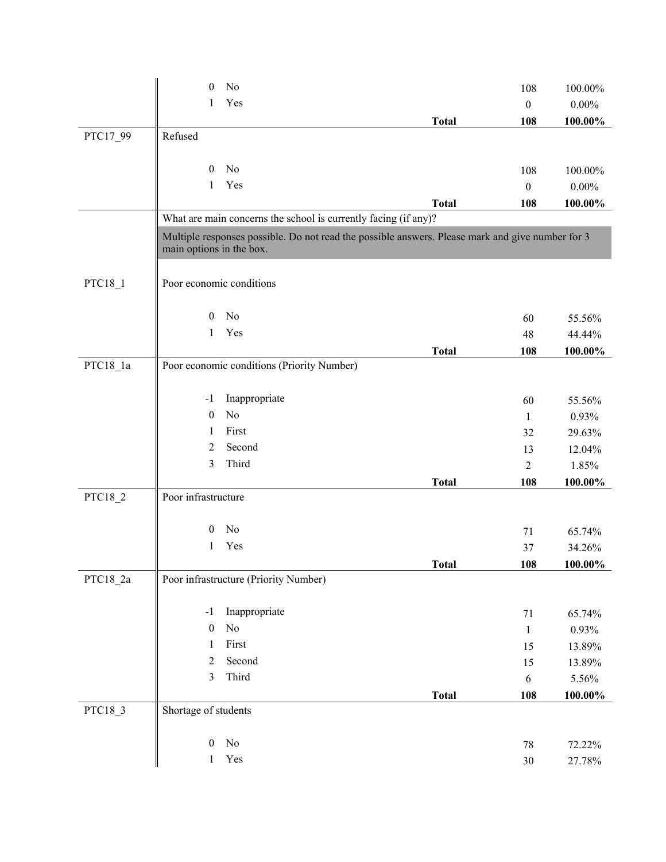|            | No<br>$\boldsymbol{0}$                                                                           |              | 108              | 100.00%  |
|------------|--------------------------------------------------------------------------------------------------|--------------|------------------|----------|
|            | Yes<br>1                                                                                         |              | $\boldsymbol{0}$ | $0.00\%$ |
|            |                                                                                                  | <b>Total</b> | 108              | 100.00%  |
| PTC17_99   | Refused                                                                                          |              |                  |          |
|            |                                                                                                  |              |                  |          |
|            | No<br>$\mathbf{0}$                                                                               |              | 108              | 100.00%  |
|            | Yes<br>1                                                                                         |              | $\boldsymbol{0}$ | $0.00\%$ |
|            |                                                                                                  | <b>Total</b> | 108              | 100.00%  |
|            | What are main concerns the school is currently facing (if any)?                                  |              |                  |          |
|            | Multiple responses possible. Do not read the possible answers. Please mark and give number for 3 |              |                  |          |
|            | main options in the box.                                                                         |              |                  |          |
|            |                                                                                                  |              |                  |          |
| PTC18_1    | Poor economic conditions                                                                         |              |                  |          |
|            | No<br>$\mathbf{0}$                                                                               |              | 60               | 55.56%   |
|            | Yes<br>1                                                                                         |              | 48               | 44.44%   |
|            |                                                                                                  | <b>Total</b> | 108              | 100.00%  |
| $PTC18_1a$ | Poor economic conditions (Priority Number)                                                       |              |                  |          |
|            |                                                                                                  |              |                  |          |
|            | Inappropriate<br>$-1$                                                                            |              | 60               | 55.56%   |
|            | No<br>$\boldsymbol{0}$                                                                           |              | $\mathbf{1}$     | 0.93%    |
|            | First<br>1                                                                                       |              | 32               | 29.63%   |
|            | Second<br>$\overline{2}$                                                                         |              | 13               | 12.04%   |
|            | Third<br>3                                                                                       |              | $\overline{2}$   | 1.85%    |
|            |                                                                                                  | <b>Total</b> | 108              | 100.00%  |
| PTC18_2    | Poor infrastructure                                                                              |              |                  |          |
|            |                                                                                                  |              |                  |          |
|            | No<br>$\theta$                                                                                   |              | 71               | 65.74%   |
|            | Yes<br>1                                                                                         |              | 37               | 34.26%   |
|            |                                                                                                  | <b>Total</b> | 108              | 100.00%  |
| PTC18_2a   | Poor infrastructure (Priority Number)                                                            |              |                  |          |
|            | Inappropriate                                                                                    |              |                  |          |
|            | $-1$<br>$\rm No$<br>$\boldsymbol{0}$                                                             |              | 71               | 65.74%   |
|            | First<br>1                                                                                       |              | $\mathbf{1}$     | 0.93%    |
|            | Second<br>$\overline{c}$                                                                         |              | 15               | 13.89%   |
|            | Third<br>$\mathfrak{Z}$                                                                          |              | 15               | 13.89%   |
|            |                                                                                                  |              | 6                | 5.56%    |
| PTC18_3    | Shortage of students                                                                             | <b>Total</b> | 108              | 100.00%  |
|            |                                                                                                  |              |                  |          |
|            | $\rm No$<br>$\boldsymbol{0}$                                                                     |              | 78               | 72.22%   |
|            | Yes<br>$\mathbf{1}$                                                                              |              | $30\,$           | 27.78%   |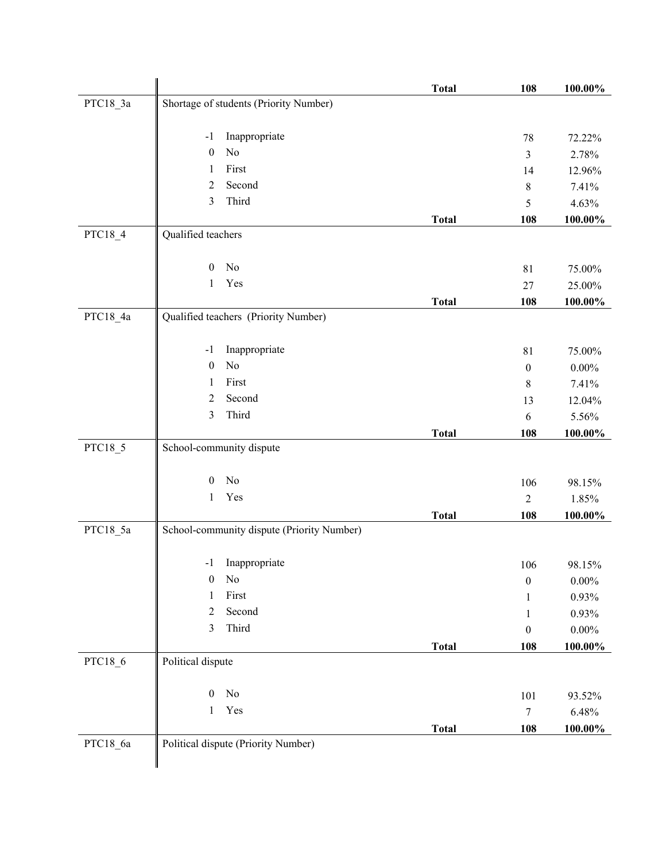|          |                                            | <b>Total</b> | 108              | 100.00%    |
|----------|--------------------------------------------|--------------|------------------|------------|
| PTC18_3a | Shortage of students (Priority Number)     |              |                  |            |
|          | Inappropriate<br>$-1$                      |              | 78               | 72.22%     |
|          | No<br>$\boldsymbol{0}$                     |              | 3                | 2.78%      |
|          | First<br>1                                 |              | 14               | 12.96%     |
|          | Second<br>$\overline{2}$                   |              | 8                | 7.41%      |
|          | 3<br>Third                                 |              | 5                | 4.63%      |
|          |                                            | <b>Total</b> | 108              | 100.00%    |
| PTC18_4  | Qualified teachers                         |              |                  |            |
|          | No<br>$\mathbf{0}$                         |              | 81               | 75.00%     |
|          | Yes<br>1                                   |              | 27               | 25.00%     |
|          |                                            | <b>Total</b> | 108              | $100.00\%$ |
| PTC18_4a | Qualified teachers (Priority Number)       |              |                  |            |
|          | Inappropriate<br>$-1$                      |              | 81               | 75.00%     |
|          | $\rm No$<br>$\boldsymbol{0}$               |              | $\boldsymbol{0}$ | $0.00\%$   |
|          | First<br>1                                 |              | 8                | 7.41%      |
|          | 2<br>Second                                |              | 13               | 12.04%     |
|          | Third<br>3                                 |              | 6                | 5.56%      |
|          |                                            | <b>Total</b> | 108              | 100.00%    |
| PTC18_5  | School-community dispute                   |              |                  |            |
|          | No<br>$\overline{0}$                       |              | 106              | 98.15%     |
|          | Yes<br>1                                   |              | $\overline{2}$   | 1.85%      |
|          |                                            | <b>Total</b> | 108              | 100.00%    |
| PTC18_5a | School-community dispute (Priority Number) |              |                  |            |
|          | Inappropriate<br>$-1$                      |              | 106              | 98.15%     |
|          | $\mathbf{0}$<br>N <sub>0</sub>             |              | $\boldsymbol{0}$ | $0.00\%$   |
|          | First<br>1                                 |              | 1                | 0.93%      |
|          | Second<br>2                                |              | 1                | 0.93%      |
|          | Third<br>3                                 |              | $\boldsymbol{0}$ | $0.00\%$   |
|          |                                            | <b>Total</b> | 108              | $100.00\%$ |
| PTC18_6  | Political dispute                          |              |                  |            |
|          | $\boldsymbol{0}$<br>No                     |              | 101              | 93.52%     |
|          | Yes<br>$\mathbf{1}$                        |              | $\tau$           | 6.48%      |
|          |                                            | <b>Total</b> | 108              | $100.00\%$ |
| PTC18_6a | Political dispute (Priority Number)        |              |                  |            |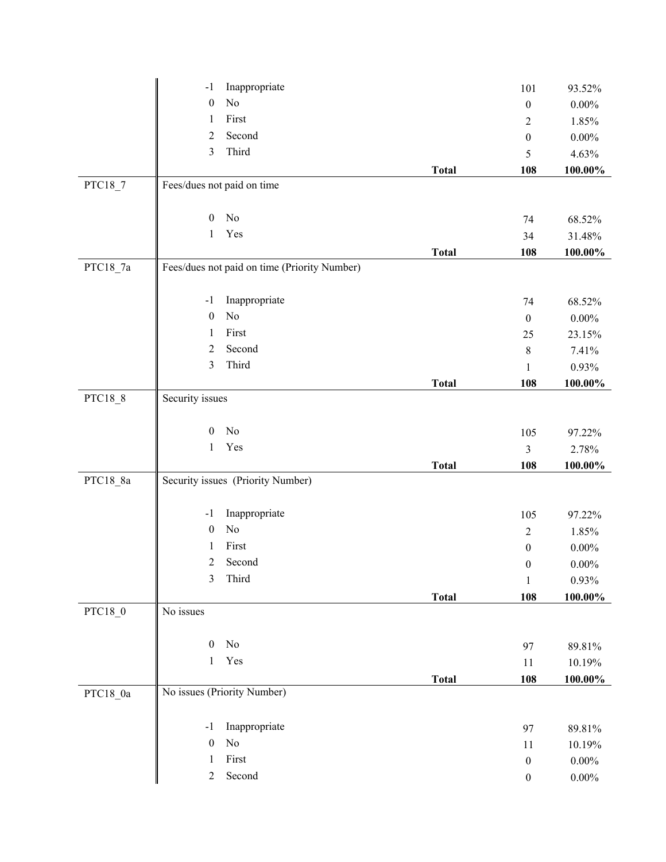|          | Inappropriate<br>$-1$                        |              | 101              | 93.52%   |
|----------|----------------------------------------------|--------------|------------------|----------|
|          | $\rm No$<br>$\boldsymbol{0}$                 |              | $\boldsymbol{0}$ | $0.00\%$ |
|          | First<br>1                                   |              | $\overline{c}$   | 1.85%    |
|          | Second<br>$\overline{2}$                     |              | $\boldsymbol{0}$ | $0.00\%$ |
|          | Third<br>3                                   |              | 5                | 4.63%    |
|          |                                              | <b>Total</b> | 108              | 100.00%  |
| PTC18_7  | Fees/dues not paid on time                   |              |                  |          |
|          |                                              |              |                  |          |
|          | No<br>$\boldsymbol{0}$                       |              | 74               | 68.52%   |
|          | Yes<br>$\mathbf{1}$                          |              | 34               | 31.48%   |
|          |                                              | <b>Total</b> | 108              | 100.00%  |
| PTC18_7a | Fees/dues not paid on time (Priority Number) |              |                  |          |
|          |                                              |              |                  |          |
|          | Inappropriate<br>$-1$                        |              | 74               | 68.52%   |
|          | No<br>$\boldsymbol{0}$                       |              | $\boldsymbol{0}$ | $0.00\%$ |
|          | First<br>1                                   |              | 25               | 23.15%   |
|          | Second<br>$\overline{2}$                     |              | $8\,$            | 7.41%    |
|          | Third<br>$\mathfrak{Z}$                      |              | $\mathbf{1}$     | $0.93\%$ |
|          |                                              | <b>Total</b> | 108              | 100.00%  |
| PTC18_8  | Security issues                              |              |                  |          |
|          |                                              |              |                  |          |
|          | No<br>$\boldsymbol{0}$                       |              | 105              | 97.22%   |
|          | Yes<br>1                                     |              | $\overline{3}$   | 2.78%    |
|          |                                              | <b>Total</b> | 108              | 100.00%  |
| PTC18_8a | Security issues (Priority Number)            |              |                  |          |
|          |                                              |              |                  |          |
|          | Inappropriate<br>$-1$                        |              | 105              | 97.22%   |
|          | No<br>$\boldsymbol{0}$                       |              | $\overline{2}$   | 1.85%    |
|          | First<br>1                                   |              | $\boldsymbol{0}$ | $0.00\%$ |
|          | $\overline{c}$<br>Second                     |              | $\boldsymbol{0}$ | $0.00\%$ |
|          | Third<br>$\mathfrak{Z}$                      |              | $\,1$            | 0.93%    |
|          |                                              | <b>Total</b> | 108              | 100.00%  |
| PTC18_0  | No issues                                    |              |                  |          |
|          |                                              |              |                  |          |
|          | $\rm No$<br>$\boldsymbol{0}$                 |              | 97               | 89.81%   |
|          | Yes<br>$\mathbf{1}$                          |              | 11               | 10.19%   |
|          |                                              | <b>Total</b> | 108              | 100.00%  |
| PTC18_0a | No issues (Priority Number)                  |              |                  |          |
|          |                                              |              |                  |          |
|          | Inappropriate<br>$-1$                        |              | 97               | 89.81%   |
|          | $\rm No$<br>$\boldsymbol{0}$                 |              | 11               | 10.19%   |
|          | First<br>1                                   |              | $\boldsymbol{0}$ | $0.00\%$ |
|          | Second<br>$\overline{2}$                     |              | $\boldsymbol{0}$ | $0.00\%$ |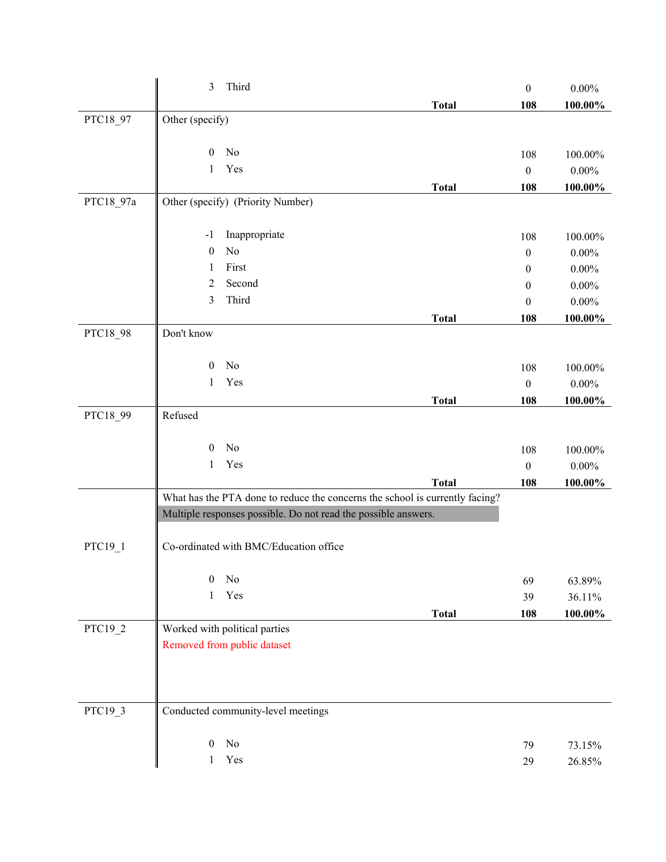|           | $\mathfrak{Z}$<br>Third                                                      |              | $\boldsymbol{0}$ | $0.00\%$   |
|-----------|------------------------------------------------------------------------------|--------------|------------------|------------|
|           |                                                                              | <b>Total</b> | 108              | 100.00%    |
| PTC18_97  | Other (specify)                                                              |              |                  |            |
|           |                                                                              |              |                  |            |
|           | No<br>$\mathbf{0}$                                                           |              | 108              | 100.00%    |
|           | Yes<br>$\mathbf{1}$                                                          |              | $\boldsymbol{0}$ | $0.00\%$   |
|           |                                                                              | <b>Total</b> | 108              | 100.00%    |
| PTC18_97a | Other (specify) (Priority Number)                                            |              |                  |            |
|           | Inappropriate<br>$-1$                                                        |              | 108              | 100.00%    |
|           | No<br>$\boldsymbol{0}$                                                       |              | $\boldsymbol{0}$ | $0.00\%$   |
|           | First<br>1                                                                   |              | $\boldsymbol{0}$ | $0.00\%$   |
|           | Second<br>$\overline{2}$                                                     |              | 0                | $0.00\%$   |
|           | Third<br>3                                                                   |              | $\boldsymbol{0}$ | $0.00\%$   |
|           |                                                                              | <b>Total</b> | 108              | 100.00%    |
| PTC18_98  | Don't know                                                                   |              |                  |            |
|           |                                                                              |              |                  |            |
|           | No<br>$\boldsymbol{0}$                                                       |              | 108              | 100.00%    |
|           | Yes<br>1                                                                     |              | $\boldsymbol{0}$ | $0.00\%$   |
|           |                                                                              | <b>Total</b> | 108              | 100.00%    |
| PTC18_99  | Refused                                                                      |              |                  |            |
|           | No<br>$\boldsymbol{0}$                                                       |              | 108              | $100.00\%$ |
|           | Yes<br>$\mathbf{1}$                                                          |              | $\boldsymbol{0}$ | $0.00\%$   |
|           |                                                                              | <b>Total</b> | 108              | 100.00%    |
|           | What has the PTA done to reduce the concerns the school is currently facing? |              |                  |            |
|           | Multiple responses possible. Do not read the possible answers.               |              |                  |            |
|           |                                                                              |              |                  |            |
| PTC19_1   | Co-ordinated with BMC/Education office                                       |              |                  |            |
|           |                                                                              |              |                  |            |
|           | $\boldsymbol{0}$<br>No                                                       |              | 69               | 63.89%     |
|           | Yes<br>$\mathbf{1}$                                                          |              | 39               | 36.11%     |
|           |                                                                              | <b>Total</b> | 108              | 100.00%    |
| PTC19_2   | Worked with political parties                                                |              |                  |            |
|           | Removed from public dataset                                                  |              |                  |            |
|           |                                                                              |              |                  |            |
|           |                                                                              |              |                  |            |
| PTC19_3   | Conducted community-level meetings                                           |              |                  |            |
|           |                                                                              |              |                  |            |
|           | $\rm No$<br>$\boldsymbol{0}$                                                 |              | 79               | 73.15%     |
|           | Yes<br>1                                                                     |              | 29               | 26.85%     |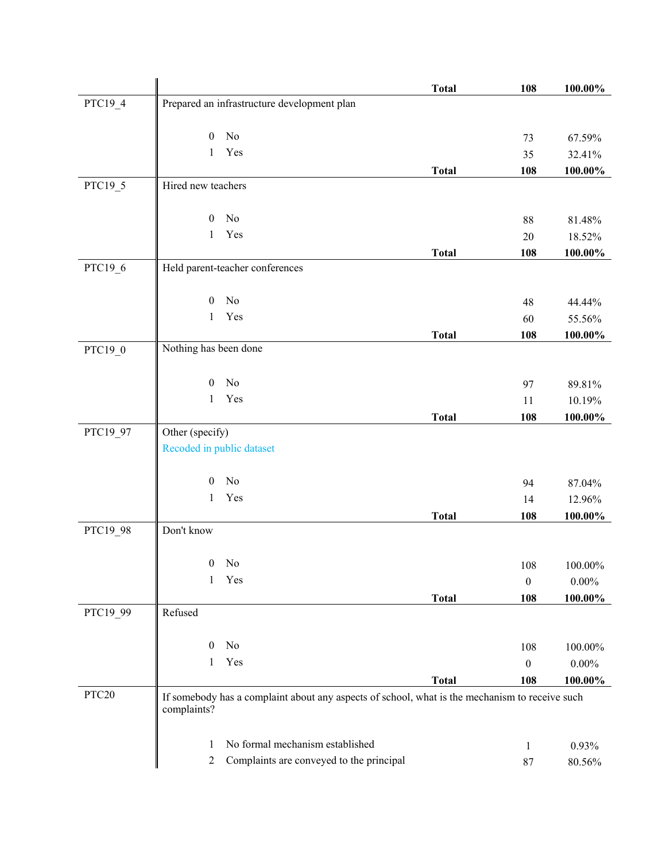|                   |                                                                                                               | <b>Total</b> | 108              | 100.00%  |
|-------------------|---------------------------------------------------------------------------------------------------------------|--------------|------------------|----------|
| PTC19_4           | Prepared an infrastructure development plan                                                                   |              |                  |          |
|                   | No<br>$\boldsymbol{0}$                                                                                        |              | 73               | 67.59%   |
|                   | Yes<br>1                                                                                                      |              | 35               | 32.41%   |
|                   |                                                                                                               | <b>Total</b> | 108              | 100.00%  |
| PTC19_5           | Hired new teachers                                                                                            |              |                  |          |
|                   | No<br>$\mathbf{0}$                                                                                            |              | 88               | 81.48%   |
|                   | Yes<br>1                                                                                                      |              | 20               | 18.52%   |
|                   |                                                                                                               | <b>Total</b> | 108              | 100.00%  |
| PTC19_6           | Held parent-teacher conferences                                                                               |              |                  |          |
|                   | No<br>$\boldsymbol{0}$                                                                                        |              | 48               | 44.44%   |
|                   | Yes<br>1                                                                                                      |              | 60               | 55.56%   |
|                   |                                                                                                               | <b>Total</b> | 108              | 100.00%  |
| PTC19_0           | Nothing has been done                                                                                         |              |                  |          |
|                   | No<br>$\boldsymbol{0}$                                                                                        |              | 97               | 89.81%   |
|                   | Yes<br>1                                                                                                      |              | 11               | 10.19%   |
|                   |                                                                                                               | <b>Total</b> | 108              | 100.00%  |
| PTC19_97          | Other (specify)                                                                                               |              |                  |          |
|                   | Recoded in public dataset                                                                                     |              |                  |          |
|                   | No<br>$\boldsymbol{0}$                                                                                        |              | 94               | 87.04%   |
|                   | Yes<br>1                                                                                                      |              | 14               | 12.96%   |
|                   |                                                                                                               | <b>Total</b> | 108              | 100.00%  |
| PTC19_98          | Don't know                                                                                                    |              |                  |          |
|                   | $\boldsymbol{0}$<br>No                                                                                        |              | 108              | 100.00%  |
|                   | Yes<br>1                                                                                                      |              | $\boldsymbol{0}$ | $0.00\%$ |
|                   |                                                                                                               | <b>Total</b> | 108              | 100.00%  |
| PTC19_99          | Refused                                                                                                       |              |                  |          |
|                   | No<br>$\mathbf{0}$                                                                                            |              | 108              | 100.00%  |
|                   | Yes<br>1                                                                                                      |              | $\boldsymbol{0}$ | $0.00\%$ |
|                   |                                                                                                               | <b>Total</b> | 108              | 100.00%  |
| PTC <sub>20</sub> | If somebody has a complaint about any aspects of school, what is the mechanism to receive such<br>complaints? |              |                  |          |
|                   | No formal mechanism established<br>1                                                                          |              | 1                | 0.93%    |
|                   | Complaints are conveyed to the principal<br>2                                                                 |              | 87               | 80.56%   |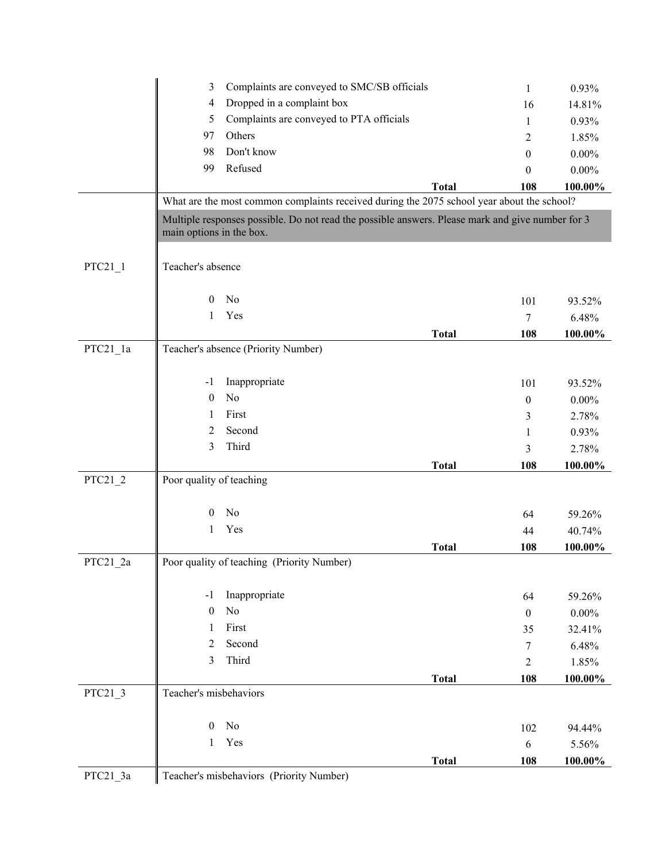|            | Complaints are conveyed to SMC/SB officials<br>3                                                                             | $\mathbf{1}$     | 0.93%      |
|------------|------------------------------------------------------------------------------------------------------------------------------|------------------|------------|
|            | Dropped in a complaint box<br>4                                                                                              | 16               | 14.81%     |
|            | Complaints are conveyed to PTA officials<br>5                                                                                | 1                | 0.93%      |
|            | Others<br>97                                                                                                                 | 2                | 1.85%      |
|            | Don't know<br>98                                                                                                             | $\theta$         | $0.00\%$   |
|            | 99<br>Refused                                                                                                                | $\theta$         | $0.00\%$   |
|            | <b>Total</b>                                                                                                                 | 108              | 100.00%    |
|            | What are the most common complaints received during the 2075 school year about the school?                                   |                  |            |
|            | Multiple responses possible. Do not read the possible answers. Please mark and give number for 3<br>main options in the box. |                  |            |
| $PTC21_1$  | Teacher's absence                                                                                                            |                  |            |
|            | N <sub>o</sub><br>$\boldsymbol{0}$                                                                                           | 101              | 93.52%     |
|            | Yes<br>1                                                                                                                     | $\boldsymbol{7}$ | 6.48%      |
|            | <b>Total</b>                                                                                                                 | 108              | $100.00\%$ |
| PTC21_1a   | Teacher's absence (Priority Number)                                                                                          |                  |            |
|            |                                                                                                                              |                  |            |
|            | Inappropriate<br>$-1$                                                                                                        | 101              | 93.52%     |
|            | No<br>$\theta$                                                                                                               | $\boldsymbol{0}$ | $0.00\%$   |
|            | First<br>1                                                                                                                   | 3                | 2.78%      |
|            | Second<br>2                                                                                                                  | 1                | 0.93%      |
|            | Third<br>3                                                                                                                   | 3                | 2.78%      |
|            | <b>Total</b>                                                                                                                 | 108              | 100.00%    |
| $PTC21_2$  | Poor quality of teaching                                                                                                     |                  |            |
|            |                                                                                                                              |                  |            |
|            | No<br>$\mathbf{0}$                                                                                                           | 64               | 59.26%     |
|            | Yes<br>1                                                                                                                     | 44               | 40.74%     |
|            | <b>Total</b>                                                                                                                 | 108              | 100.00%    |
| $PTC21_2a$ | Poor quality of teaching (Priority Number)                                                                                   |                  |            |
|            | Inappropriate<br>$-1$                                                                                                        | 64               | 59.26%     |
|            | $\rm No$<br>$\boldsymbol{0}$                                                                                                 | $\boldsymbol{0}$ | $0.00\%$   |
|            | First<br>1                                                                                                                   | 35               | 32.41%     |
|            | Second<br>2                                                                                                                  | $\tau$           | 6.48%      |
|            | Third<br>3                                                                                                                   | $\overline{2}$   | 1.85%      |
|            | <b>Total</b>                                                                                                                 | 108              | 100.00%    |
| $PTC21_3$  | Teacher's misbehaviors                                                                                                       |                  |            |
|            | $\rm No$<br>$\boldsymbol{0}$                                                                                                 | 102              | 94.44%     |
|            | Yes<br>1                                                                                                                     | $\sqrt{6}$       | $5.56\%$   |
|            | <b>Total</b>                                                                                                                 | 108              | 100.00%    |
| PTC21_3a   | Teacher's misbehaviors (Priority Number)                                                                                     |                  |            |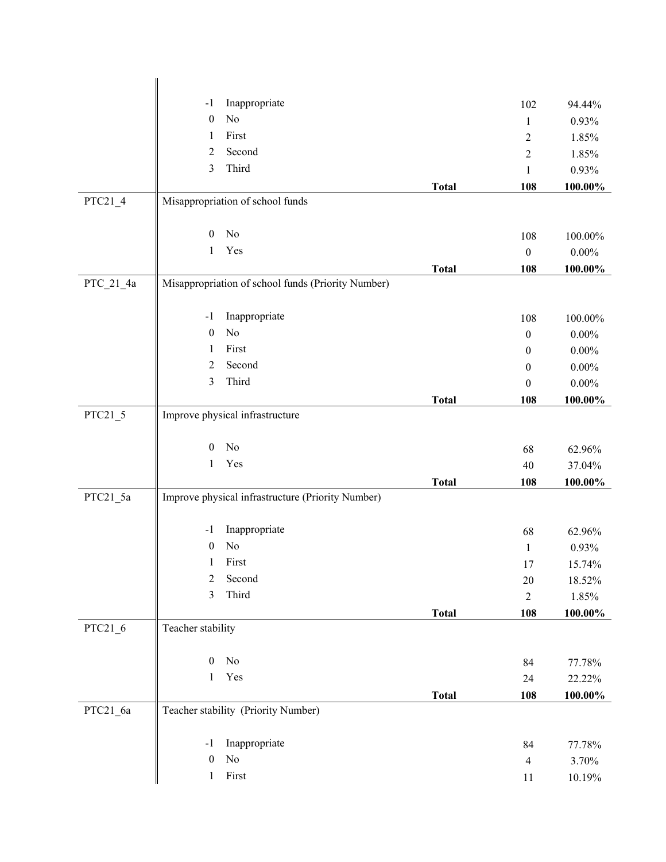|             | Inappropriate<br>$-1$                              |              | 102                  | 94.44%          |
|-------------|----------------------------------------------------|--------------|----------------------|-----------------|
|             | No<br>$\boldsymbol{0}$                             |              | $\mathbf{1}$         | 0.93%           |
|             | First<br>1                                         |              | $\sqrt{2}$           | 1.85%           |
|             | Second<br>2                                        |              | $\sqrt{2}$           | 1.85%           |
|             | Third<br>$\mathfrak{Z}$                            |              | $\mathbf{1}$         | 0.93%           |
|             |                                                    | <b>Total</b> | 108                  | 100.00%         |
| $PTC21_4$   | Misappropriation of school funds                   |              |                      |                 |
|             | No<br>$\boldsymbol{0}$                             |              | 108                  | 100.00%         |
|             | Yes<br>1                                           |              | $\boldsymbol{0}$     | $0.00\%$        |
|             |                                                    | <b>Total</b> | 108                  | 100.00%         |
| $PTC_21_4a$ | Misappropriation of school funds (Priority Number) |              |                      |                 |
|             | Inappropriate<br>$-1$                              |              | 108                  | 100.00%         |
|             | No<br>$\boldsymbol{0}$                             |              | $\boldsymbol{0}$     | $0.00\%$        |
|             | First<br>1                                         |              | $\boldsymbol{0}$     | $0.00\%$        |
|             | Second<br>2                                        |              | $\mathbf{0}$         | $0.00\%$        |
|             | Third<br>3                                         |              | $\boldsymbol{0}$     | $0.00\%$        |
|             |                                                    | <b>Total</b> | 108                  | 100.00%         |
| $PTC21_5$   | Improve physical infrastructure                    |              |                      |                 |
|             | No<br>$\overline{0}$                               |              | 68                   | 62.96%          |
|             | Yes<br>$\mathbf{1}$                                |              | 40                   | 37.04%          |
|             |                                                    | <b>Total</b> | 108                  | 100.00%         |
| PTC21_5a    | Improve physical infrastructure (Priority Number)  |              |                      |                 |
|             | Inappropriate<br>$-1$                              |              | 68                   | 62.96%          |
|             | No<br>$\boldsymbol{0}$                             |              | $\mathbf{1}$         | 0.93%           |
|             | First<br>$\mathbf{1}$                              |              | 17                   | 15.74%          |
|             | $\mathfrak{2}$<br>Second                           |              | $20\,$               | 18.52%          |
|             | Third<br>3                                         |              | $\overline{2}$       | 1.85%           |
|             |                                                    | <b>Total</b> | 108                  | $100.00\%$      |
| PTC21_6     | Teacher stability                                  |              |                      |                 |
|             | $\boldsymbol{0}$<br>$\rm No$                       |              | 84                   | 77.78%          |
|             | Yes<br>$\mathbf{1}$                                |              | 24                   | 22.22%          |
|             |                                                    | <b>Total</b> | 108                  | 100.00%         |
| PTC21_6a    | Teacher stability (Priority Number)                |              |                      |                 |
|             | Inappropriate<br>$-1$                              |              |                      |                 |
|             | $\rm No$<br>$\boldsymbol{0}$                       |              | 84<br>$\overline{4}$ | 77.78%<br>3.70% |
|             | $\rm First$<br>$\mathbf{1}$                        |              | 11                   | 10.19%          |
|             |                                                    |              |                      |                 |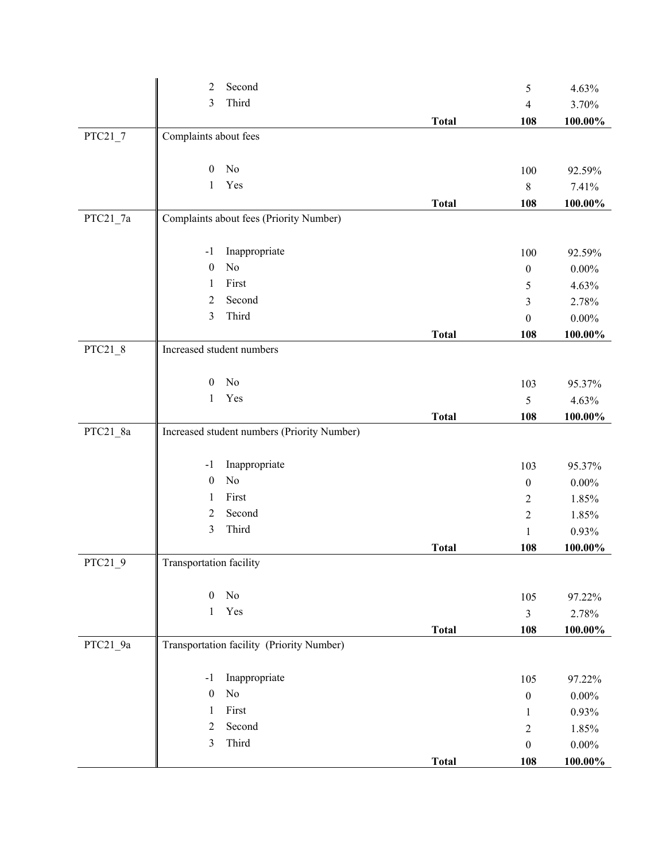|           | Second<br>$\overline{2}$                    |              | 5                | 4.63%      |
|-----------|---------------------------------------------|--------------|------------------|------------|
|           | Third<br>$\mathfrak{Z}$                     |              | $\overline{4}$   | 3.70%      |
|           |                                             | <b>Total</b> | 108              | 100.00%    |
| $PTC21_7$ | Complaints about fees                       |              |                  |            |
|           |                                             |              |                  |            |
|           | No<br>$\boldsymbol{0}$                      |              | 100              | 92.59%     |
|           | Yes<br>$\mathbf{1}$                         |              | $\,8\,$          | 7.41%      |
|           |                                             | <b>Total</b> | 108              | 100.00%    |
| PTC21_7a  | Complaints about fees (Priority Number)     |              |                  |            |
|           |                                             |              |                  |            |
|           | Inappropriate<br>$-1$                       |              | 100              | 92.59%     |
|           | No<br>$\boldsymbol{0}$                      |              | $\boldsymbol{0}$ | $0.00\%$   |
|           | First<br>1                                  |              | 5                | 4.63%      |
|           | Second<br>$\overline{2}$                    |              | 3                | 2.78%      |
|           | Third<br>$\mathfrak{Z}$                     |              | $\boldsymbol{0}$ | $0.00\%$   |
|           |                                             | <b>Total</b> | 108              | 100.00%    |
| $PTC21_8$ | Increased student numbers                   |              |                  |            |
|           |                                             |              |                  |            |
|           | No<br>$\boldsymbol{0}$                      |              | 103              | 95.37%     |
|           | Yes<br>1                                    |              | 5                | 4.63%      |
|           |                                             | <b>Total</b> | 108              | 100.00%    |
| PTC21_8a  | Increased student numbers (Priority Number) |              |                  |            |
|           | Inappropriate<br>$-1$                       |              | 103              | 95.37%     |
|           | No<br>$\boldsymbol{0}$                      |              | $\boldsymbol{0}$ | $0.00\%$   |
|           | First<br>1                                  |              | $\overline{2}$   | 1.85%      |
|           | $\overline{2}$<br>Second                    |              | $\sqrt{2}$       | 1.85%      |
|           | Third<br>$\mathfrak{Z}$                     |              | $\mathbf{1}$     | 0.93%      |
|           |                                             | <b>Total</b> | 108              | 100.00%    |
| $PTC21_9$ | Transportation facility                     |              |                  |            |
|           |                                             |              |                  |            |
|           | No<br>$\boldsymbol{0}$                      |              | 105              | 97.22%     |
|           | Yes<br>$\mathbf{1}$                         |              | $\mathfrak{Z}$   | 2.78%      |
|           |                                             | <b>Total</b> | 108              | 100.00%    |
| PTC21_9a  | Transportation facility (Priority Number)   |              |                  |            |
|           |                                             |              |                  |            |
|           | Inappropriate<br>$-1$                       |              | 105              | 97.22%     |
|           | No<br>$\boldsymbol{0}$                      |              | $\boldsymbol{0}$ | $0.00\%$   |
|           | First<br>$\mathbf{1}$                       |              | 1                | 0.93%      |
|           | Second<br>$\overline{2}$                    |              | $\sqrt{2}$       | 1.85%      |
|           | Third<br>$\mathfrak{Z}$                     |              | $\boldsymbol{0}$ | $0.00\%$   |
|           |                                             | <b>Total</b> | 108              | $100.00\%$ |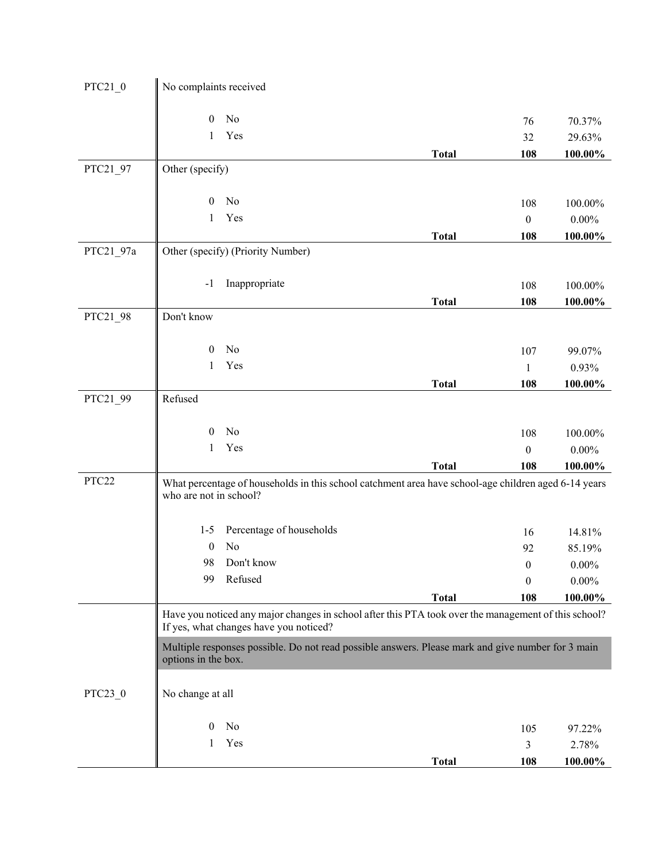| PTC21 0   | No complaints received |                                        |                                                                                                                      |                         |                     |
|-----------|------------------------|----------------------------------------|----------------------------------------------------------------------------------------------------------------------|-------------------------|---------------------|
|           |                        |                                        |                                                                                                                      |                         |                     |
|           | $\boldsymbol{0}$       | No                                     |                                                                                                                      | 76                      | 70.37%              |
|           | 1                      | Yes                                    |                                                                                                                      | 32                      | 29.63%              |
|           |                        |                                        | <b>Total</b>                                                                                                         | 108                     | 100.00%             |
| PTC21_97  | Other (specify)        |                                        |                                                                                                                      |                         |                     |
|           | $\mathbf{0}$           | No                                     |                                                                                                                      |                         |                     |
|           | 1                      | Yes                                    |                                                                                                                      | 108<br>$\boldsymbol{0}$ | 100.00%<br>$0.00\%$ |
|           |                        |                                        | <b>Total</b>                                                                                                         | 108                     |                     |
| PTC21_97a |                        | Other (specify) (Priority Number)      |                                                                                                                      |                         | 100.00%             |
|           |                        |                                        |                                                                                                                      |                         |                     |
|           | $-1$                   | Inappropriate                          |                                                                                                                      | 108                     | 100.00%             |
|           |                        |                                        | <b>Total</b>                                                                                                         | 108                     | 100.00%             |
| PTC21_98  | Don't know             |                                        |                                                                                                                      |                         |                     |
|           |                        |                                        |                                                                                                                      |                         |                     |
|           | $\mathbf{0}$           | No                                     |                                                                                                                      | 107                     | 99.07%              |
|           | 1                      | Yes                                    |                                                                                                                      | $\mathbf{1}$            | 0.93%               |
|           |                        |                                        | <b>Total</b>                                                                                                         | 108                     | 100.00%             |
| PTC21_99  | Refused                |                                        |                                                                                                                      |                         |                     |
|           |                        |                                        |                                                                                                                      |                         |                     |
|           | $\mathbf{0}$           | No                                     |                                                                                                                      | 108                     | 100.00%             |
|           | 1                      | Yes                                    |                                                                                                                      | $\boldsymbol{0}$        | $0.00\%$            |
|           |                        |                                        | <b>Total</b>                                                                                                         | 108                     | 100.00%             |
| PTC22     |                        |                                        | What percentage of households in this school catchment area have school-age children aged 6-14 years                 |                         |                     |
|           | who are not in school? |                                        |                                                                                                                      |                         |                     |
|           |                        |                                        |                                                                                                                      |                         |                     |
|           | $1 - 5$                | Percentage of households<br>No         |                                                                                                                      | 16                      | 14.81%              |
|           | $\boldsymbol{0}$<br>98 | Don't know                             |                                                                                                                      | 92                      | 85.19%              |
|           | 99                     | Refused                                |                                                                                                                      | $\boldsymbol{0}$        | $0.00\%$            |
|           |                        |                                        |                                                                                                                      | $\theta$                | $0.00\%$            |
|           |                        |                                        | <b>Total</b><br>Have you noticed any major changes in school after this PTA took over the management of this school? | 108                     | 100.00%             |
|           |                        | If yes, what changes have you noticed? |                                                                                                                      |                         |                     |
|           |                        |                                        | Multiple responses possible. Do not read possible answers. Please mark and give number for 3 main                    |                         |                     |
|           | options in the box.    |                                        |                                                                                                                      |                         |                     |
|           |                        |                                        |                                                                                                                      |                         |                     |
| PTC23_0   | No change at all       |                                        |                                                                                                                      |                         |                     |
|           |                        |                                        |                                                                                                                      |                         |                     |
|           | $\overline{0}$         | No                                     |                                                                                                                      | 105                     | 97.22%              |
|           | 1                      | Yes                                    |                                                                                                                      | $\mathfrak{Z}$          | 2.78%               |
|           |                        |                                        | <b>Total</b>                                                                                                         | 108                     | $100.00\%$          |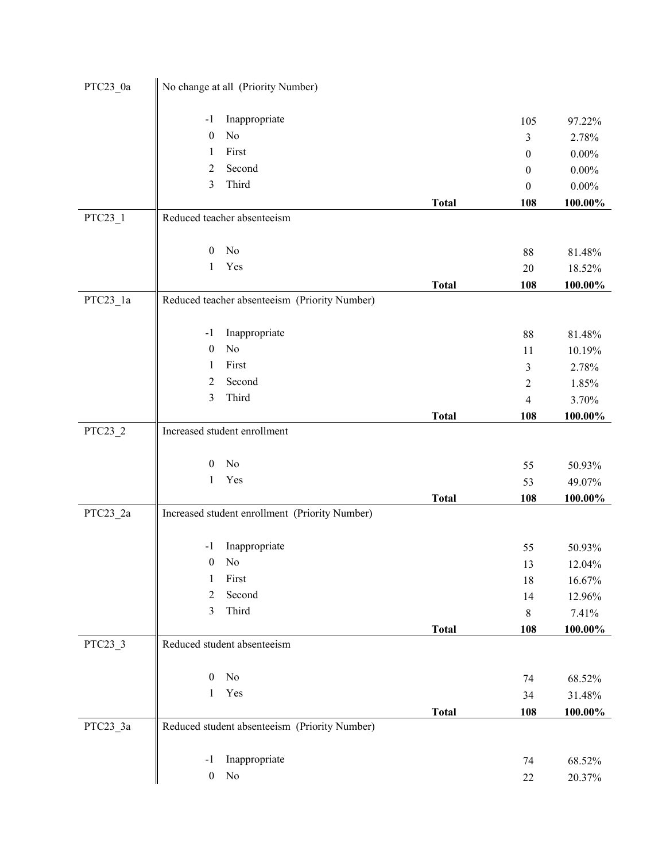| PTC23_0a  | No change at all (Priority Number)                    |              |                          |                  |
|-----------|-------------------------------------------------------|--------------|--------------------------|------------------|
|           | Inappropriate<br>$-1$                                 |              | 105                      | 97.22%           |
|           | No<br>$\boldsymbol{0}$                                |              | 3                        | 2.78%            |
|           | First<br>1                                            |              | $\boldsymbol{0}$         | $0.00\%$         |
|           | Second<br>$\overline{2}$                              |              | $\mathbf{0}$             | $0.00\%$         |
|           | Third<br>3                                            |              | $\boldsymbol{0}$         | $0.00\%$         |
|           |                                                       | <b>Total</b> | 108                      | 100.00%          |
| $PTC23_1$ | Reduced teacher absenteeism                           |              |                          |                  |
|           |                                                       |              |                          |                  |
|           | No<br>$\boldsymbol{0}$                                |              | $88\,$                   | 81.48%           |
|           | Yes<br>$\mathbf{1}$                                   |              | $20\,$                   | 18.52%           |
|           |                                                       | <b>Total</b> | 108                      | 100.00%          |
| PTC23_1a  | Reduced teacher absenteeism (Priority Number)         |              |                          |                  |
|           |                                                       |              |                          |                  |
|           | Inappropriate<br>$-1$                                 |              | 88                       | 81.48%           |
|           | No<br>$\boldsymbol{0}$                                |              | 11                       | 10.19%           |
|           | First<br>1                                            |              | 3                        | 2.78%            |
|           | Second<br>$\overline{2}$                              |              | $\mathfrak{2}$           | 1.85%            |
|           | 3<br>Third                                            |              | $\overline{\mathcal{A}}$ | 3.70%            |
|           |                                                       | <b>Total</b> | 108                      | 100.00%          |
| PTC23_2   | Increased student enrollment                          |              |                          |                  |
|           |                                                       |              |                          |                  |
|           | No<br>$\boldsymbol{0}$                                |              | 55                       | 50.93%           |
|           | Yes<br>1                                              |              | 53                       | 49.07%           |
|           |                                                       | <b>Total</b> | 108                      | $100.00\%$       |
| PTC23_2a  | Increased student enrollment (Priority Number)        |              |                          |                  |
|           | Inappropriate<br>$-1$                                 |              |                          |                  |
|           | No<br>$\boldsymbol{0}$                                |              | 55<br>13                 | 50.93%           |
|           | First<br>$\mathbf{1}$                                 |              | 18                       | 12.04%<br>16.67% |
|           | Second<br>2                                           |              | 14                       | 12.96%           |
|           | Third<br>3                                            |              | 8                        | 7.41%            |
|           |                                                       | <b>Total</b> | 108                      | 100.00%          |
| PTC23_3   | Reduced student absenteeism                           |              |                          |                  |
|           |                                                       |              |                          |                  |
|           | $\rm No$<br>$\boldsymbol{0}$                          |              | 74                       | 68.52%           |
|           | Yes<br>$\mathbf{1}$                                   |              | 34                       | 31.48%           |
|           |                                                       | <b>Total</b> | 108                      | 100.00%          |
| PTC23_3a  | Reduced student absenteeism (Priority Number)         |              |                          |                  |
|           |                                                       |              |                          |                  |
|           | Inappropriate<br>$-1$<br>$\rm No$<br>$\boldsymbol{0}$ |              | 74                       | 68.52%           |
|           |                                                       |              | $22\,$                   | 20.37%           |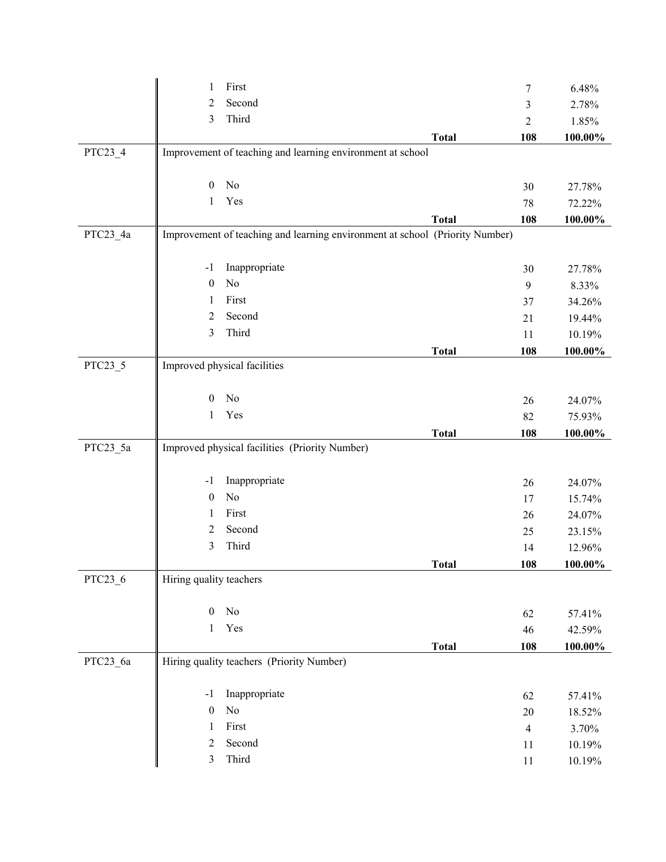|          | First<br>1                                                                   |              | 7              | 6.48%            |
|----------|------------------------------------------------------------------------------|--------------|----------------|------------------|
|          | Second<br>2                                                                  |              | 3              | 2.78%            |
|          | Third<br>3                                                                   |              | $\overline{c}$ | 1.85%            |
|          |                                                                              | <b>Total</b> | 108            | 100.00%          |
| PTC23_4  | Improvement of teaching and learning environment at school                   |              |                |                  |
|          |                                                                              |              |                |                  |
|          | No<br>$\mathbf{0}$                                                           |              | 30             | 27.78%           |
|          | Yes<br>1                                                                     |              | 78             | 72.22%           |
|          |                                                                              | <b>Total</b> | 108            | 100.00%          |
| PTC23_4a | Improvement of teaching and learning environment at school (Priority Number) |              |                |                  |
|          |                                                                              |              |                |                  |
|          | Inappropriate<br>$-1$                                                        |              | 30             | 27.78%           |
|          | No<br>$\boldsymbol{0}$                                                       |              | 9              | 8.33%            |
|          | First<br>1                                                                   |              | 37             | 34.26%           |
|          | Second<br>$\overline{c}$                                                     |              | 21             | 19.44%           |
|          | Third<br>3                                                                   |              | 11             | 10.19%           |
|          |                                                                              | <b>Total</b> | 108            | $100.00\%$       |
| PTC23_5  | Improved physical facilities                                                 |              |                |                  |
|          | No                                                                           |              |                |                  |
|          | $\mathbf{0}$<br>Yes                                                          |              | 26             | 24.07%           |
|          | 1                                                                            |              | 82             | 75.93%           |
| PTC23_5a | Improved physical facilities (Priority Number)                               | <b>Total</b> | 108            | 100.00%          |
|          |                                                                              |              |                |                  |
|          |                                                                              |              |                |                  |
|          |                                                                              |              |                |                  |
|          | Inappropriate<br>$-1$                                                        |              | 26             | 24.07%           |
|          | No<br>$\boldsymbol{0}$<br>1                                                  |              | 17             | 15.74%           |
|          | First                                                                        |              | 26             | 24.07%           |
|          | Second<br>2                                                                  |              | 25             | 23.15%           |
|          | Third<br>3                                                                   |              | 14             | 12.96%           |
| PTC23_6  | Hiring quality teachers                                                      | <b>Total</b> | 108            | 100.00%          |
|          |                                                                              |              |                |                  |
|          | $\rm No$<br>$\boldsymbol{0}$                                                 |              | 62             | 57.41%           |
|          | Yes<br>1                                                                     |              | 46             | 42.59%           |
|          |                                                                              | <b>Total</b> | 108            | 100.00%          |
| PTC23_6a | Hiring quality teachers (Priority Number)                                    |              |                |                  |
|          |                                                                              |              |                |                  |
|          | Inappropriate<br>$-1$                                                        |              | 62             | 57.41%           |
|          | $\rm No$<br>$\boldsymbol{0}$                                                 |              | 20             | 18.52%           |
|          | First<br>1                                                                   |              | $\overline{4}$ | 3.70%            |
|          | Second<br>$\overline{2}$<br>Third<br>3                                       |              | 11             | 10.19%<br>10.19% |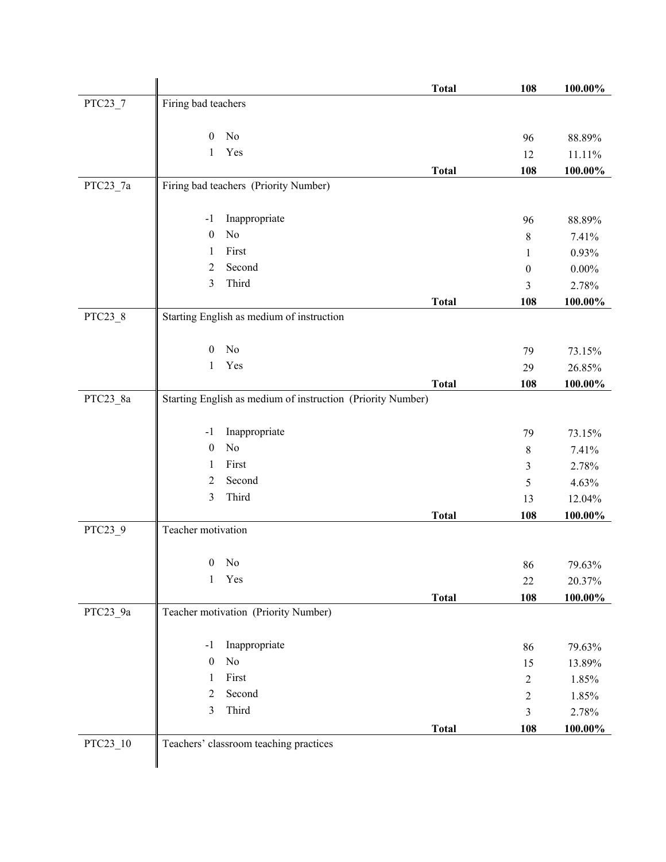|            |                                                             | <b>Total</b> | 108                 | 100.00%        |
|------------|-------------------------------------------------------------|--------------|---------------------|----------------|
| PTC23_7    | Firing bad teachers                                         |              |                     |                |
|            |                                                             |              |                     |                |
|            | No<br>$\boldsymbol{0}$                                      |              | 96                  | 88.89%         |
|            | Yes<br>1                                                    |              | 12                  | 11.11%         |
|            |                                                             | <b>Total</b> | 108                 | 100.00%        |
| PTC23_7a   | Firing bad teachers (Priority Number)                       |              |                     |                |
|            | Inappropriate                                               |              |                     |                |
|            | $-1$<br>$\rm No$<br>$\boldsymbol{0}$                        |              | 96                  | 88.89%         |
|            | First<br>1                                                  |              | $8\,$               | 7.41%          |
|            | $\overline{2}$<br>Second                                    |              | 1                   | 0.93%          |
|            | Third<br>3                                                  |              | $\boldsymbol{0}$    | $0.00\%$       |
|            |                                                             |              | 3                   | 2.78%          |
| PTC23_8    | Starting English as medium of instruction                   | <b>Total</b> | 108                 | 100.00%        |
|            |                                                             |              |                     |                |
|            | No<br>$\mathbf{0}$                                          |              | 79                  | 73.15%         |
|            | Yes<br>$\mathbf{1}$                                         |              | 29                  | 26.85%         |
|            |                                                             | <b>Total</b> | 108                 | 100.00%        |
| $PTC23_8a$ | Starting English as medium of instruction (Priority Number) |              |                     |                |
|            |                                                             |              |                     |                |
|            | Inappropriate<br>$-1$                                       |              | 79                  | 73.15%         |
|            | No<br>$\boldsymbol{0}$                                      |              | $8\,$               | 7.41%          |
|            | First<br>1                                                  |              | 3                   | 2.78%          |
|            | 2<br>Second                                                 |              | 5                   | 4.63%          |
|            | 3<br>Third                                                  |              | 13                  | 12.04%         |
|            |                                                             | <b>Total</b> | 108                 | 100.00%        |
| PTC23_9    | Teacher motivation                                          |              |                     |                |
|            |                                                             |              |                     |                |
|            | No<br>$\boldsymbol{0}$                                      |              | 86                  | 79.63%         |
|            | Yes<br>$\mathbf{1}$                                         |              | 22                  | 20.37%         |
|            |                                                             | <b>Total</b> | 108                 | 100.00%        |
| PTC23_9a   | Teacher motivation (Priority Number)                        |              |                     |                |
|            | Inappropriate<br>$-1$                                       |              |                     |                |
|            | $\rm No$<br>$\boldsymbol{0}$                                |              | 86                  | 79.63%         |
|            | First<br>1                                                  |              | 15                  | 13.89%         |
|            | Second<br>2                                                 |              | $\mathfrak{2}$      | 1.85%<br>1.85% |
|            | Third<br>3                                                  |              | $\overline{c}$<br>3 | 2.78%          |
|            |                                                             | <b>Total</b> | 108                 | $100.00\%$     |
| PTC23_10   | Teachers' classroom teaching practices                      |              |                     |                |
|            |                                                             |              |                     |                |
|            |                                                             |              |                     |                |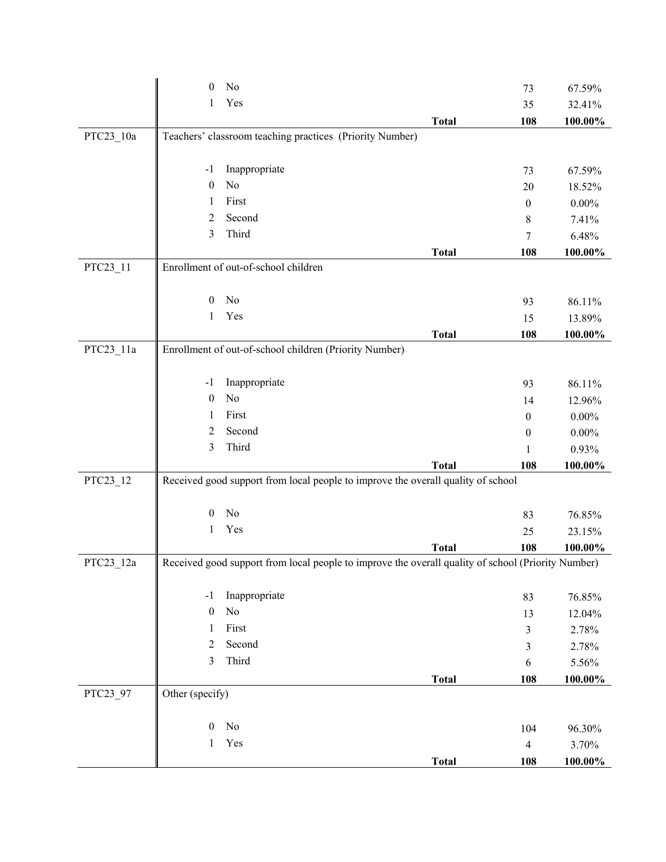|           | No<br>$\theta$                                                                                     |              | 73               | 67.59%     |  |  |
|-----------|----------------------------------------------------------------------------------------------------|--------------|------------------|------------|--|--|
|           | Yes<br>1                                                                                           |              | 35               | 32.41%     |  |  |
|           |                                                                                                    | <b>Total</b> | 108              | 100.00%    |  |  |
| PTC23_10a | Teachers' classroom teaching practices (Priority Number)                                           |              |                  |            |  |  |
|           | Inappropriate<br>$-1$                                                                              |              | 73               | 67.59%     |  |  |
|           | No<br>$\mathbf{0}$                                                                                 |              | 20               | 18.52%     |  |  |
|           | First<br>1                                                                                         |              | $\mathbf{0}$     | $0.00\%$   |  |  |
|           | Second<br>$\overline{2}$                                                                           |              | 8                | 7.41%      |  |  |
|           | Third<br>3                                                                                         |              | 7                | 6.48%      |  |  |
|           |                                                                                                    | <b>Total</b> | 108              | 100.00%    |  |  |
| PTC23_11  | Enrollment of out-of-school children                                                               |              |                  |            |  |  |
|           | No<br>$\boldsymbol{0}$                                                                             |              | 93               | 86.11%     |  |  |
|           | Yes<br>1                                                                                           |              | 15               | 13.89%     |  |  |
|           |                                                                                                    | <b>Total</b> | 108              | 100.00%    |  |  |
| PTC23 11a | Enrollment of out-of-school children (Priority Number)                                             |              |                  |            |  |  |
|           | Inappropriate<br>$-1$                                                                              |              | 93               | 86.11%     |  |  |
|           | No<br>$\boldsymbol{0}$                                                                             |              | 14               | 12.96%     |  |  |
|           | First<br>1                                                                                         |              | $\boldsymbol{0}$ | $0.00\%$   |  |  |
|           | Second<br>$\overline{2}$                                                                           |              | $\boldsymbol{0}$ | $0.00\%$   |  |  |
|           | Third<br>3                                                                                         |              | 1                | 0.93%      |  |  |
|           |                                                                                                    | <b>Total</b> | 108              | 100.00%    |  |  |
| PTC23_12  | Received good support from local people to improve the overall quality of school                   |              |                  |            |  |  |
|           | No<br>$\boldsymbol{0}$                                                                             |              | 83               | 76.85%     |  |  |
|           | Yes<br>1                                                                                           |              | 25               | 23.15%     |  |  |
|           |                                                                                                    | <b>Total</b> | 108              | 100.00%    |  |  |
| PTC23_12a | Received good support from local people to improve the overall quality of school (Priority Number) |              |                  |            |  |  |
|           | Inappropriate<br>$-1$                                                                              |              | 83               | 76.85%     |  |  |
|           | $\rm No$<br>$\boldsymbol{0}$                                                                       |              | 13               | 12.04%     |  |  |
|           | First<br>1                                                                                         |              | 3                | 2.78%      |  |  |
|           | Second<br>$\overline{2}$                                                                           |              | 3                | 2.78%      |  |  |
|           | Third<br>3                                                                                         |              | 6                | 5.56%      |  |  |
|           |                                                                                                    | <b>Total</b> | 108              | 100.00%    |  |  |
| PTC23_97  | Other (specify)                                                                                    |              |                  |            |  |  |
|           | $\rm No$<br>$\boldsymbol{0}$                                                                       |              | 104              | 96.30%     |  |  |
|           | Yes<br>1                                                                                           |              | $\overline{4}$   | 3.70%      |  |  |
|           |                                                                                                    | <b>Total</b> | 108              | $100.00\%$ |  |  |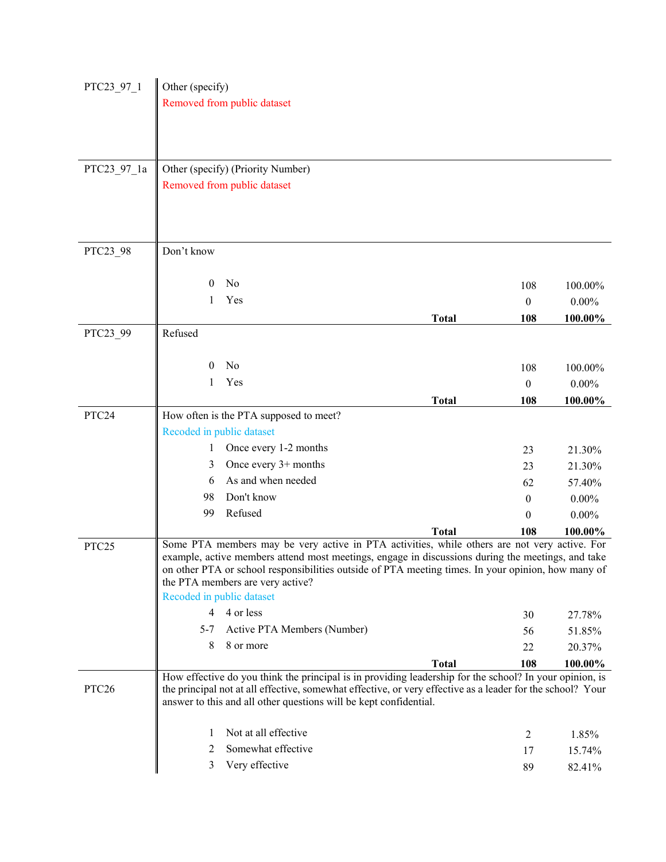| PTC23 97 1        | Other (specify)                                                                                            |              |                  |          |
|-------------------|------------------------------------------------------------------------------------------------------------|--------------|------------------|----------|
|                   | Removed from public dataset                                                                                |              |                  |          |
|                   |                                                                                                            |              |                  |          |
|                   |                                                                                                            |              |                  |          |
|                   |                                                                                                            |              |                  |          |
| PTC23 97 1a       | Other (specify) (Priority Number)                                                                          |              |                  |          |
|                   | Removed from public dataset                                                                                |              |                  |          |
|                   |                                                                                                            |              |                  |          |
|                   |                                                                                                            |              |                  |          |
|                   |                                                                                                            |              |                  |          |
| PTC23_98          | Don't know                                                                                                 |              |                  |          |
|                   |                                                                                                            |              |                  |          |
|                   | No<br>$\theta$                                                                                             |              | 108              | 100.00%  |
|                   | Yes<br>1                                                                                                   |              | $\mathbf{0}$     | $0.00\%$ |
|                   |                                                                                                            | <b>Total</b> | 108              | 100.00%  |
| PTC23_99          | Refused                                                                                                    |              |                  |          |
|                   |                                                                                                            |              |                  |          |
|                   | N <sub>0</sub><br>$\theta$                                                                                 |              | 108              | 100.00%  |
|                   | Yes<br>1                                                                                                   |              | $\boldsymbol{0}$ | $0.00\%$ |
|                   |                                                                                                            | <b>Total</b> | 108              | 100.00%  |
| PTC24             | How often is the PTA supposed to meet?                                                                     |              |                  |          |
|                   | Recoded in public dataset                                                                                  |              |                  |          |
|                   | Once every 1-2 months<br>1                                                                                 |              | 23               | 21.30%   |
|                   | Once every $3+$ months<br>3                                                                                |              | 23               | 21.30%   |
|                   | As and when needed<br>6                                                                                    |              | 62               | 57.40%   |
|                   | Don't know<br>98                                                                                           |              | 0                | $0.00\%$ |
|                   | Refused<br>99                                                                                              |              | $\theta$         | $0.00\%$ |
|                   | Some PTA members may be very active in PTA activities, while others are not very active. For               | <b>Total</b> | 108              | 100.00%  |
| PTC <sub>25</sub> | example, active members attend most meetings, engage in discussions during the meetings, and take          |              |                  |          |
|                   | on other PTA or school responsibilities outside of PTA meeting times. In your opinion, how many of         |              |                  |          |
|                   | the PTA members are very active?                                                                           |              |                  |          |
|                   | Recoded in public dataset                                                                                  |              |                  |          |
|                   | 4 or less<br>$\overline{4}$                                                                                |              | 30               | 27.78%   |
|                   | Active PTA Members (Number)<br>$5 - 7$                                                                     |              | 56               | 51.85%   |
|                   | 8 or more<br>8                                                                                             |              | 22               | 20.37%   |
|                   | How effective do you think the principal is in providing leadership for the school? In your opinion, is    | <b>Total</b> | 108              | 100.00%  |
| PTC <sub>26</sub> | the principal not at all effective, somewhat effective, or very effective as a leader for the school? Your |              |                  |          |
|                   | answer to this and all other questions will be kept confidential.                                          |              |                  |          |
|                   |                                                                                                            |              |                  |          |
|                   | Not at all effective<br>1                                                                                  |              | $\overline{c}$   | 1.85%    |
|                   | Somewhat effective<br>2                                                                                    |              | 17               | 15.74%   |
|                   | Very effective<br>3                                                                                        |              | 89               | 82.41%   |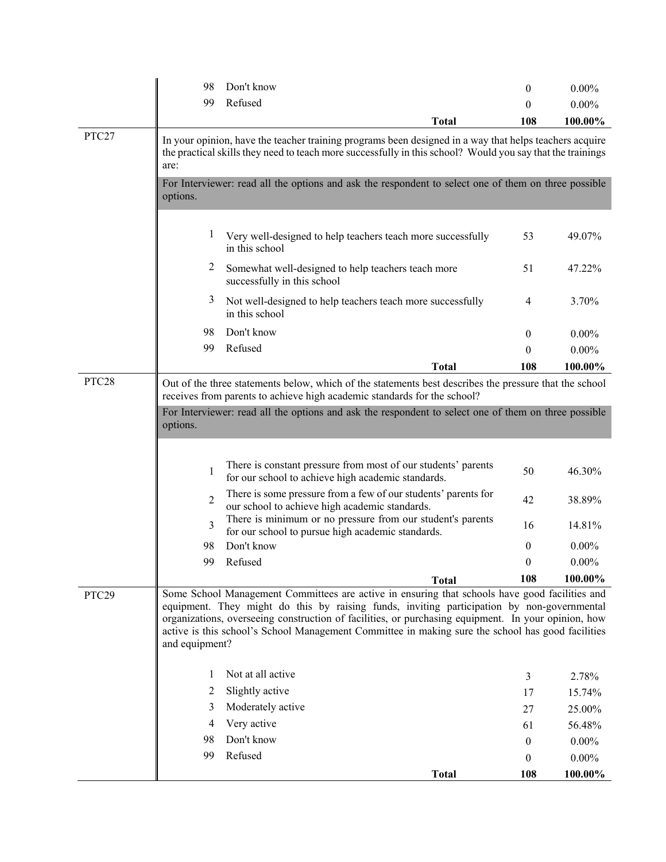|       | 98                                                                                                                                                                                                                                                                                         | Don't know                                                                                                                                                                                                                                                                                                                                                                                               | $\theta$         | $0.00\%$   |  |  |
|-------|--------------------------------------------------------------------------------------------------------------------------------------------------------------------------------------------------------------------------------------------------------------------------------------------|----------------------------------------------------------------------------------------------------------------------------------------------------------------------------------------------------------------------------------------------------------------------------------------------------------------------------------------------------------------------------------------------------------|------------------|------------|--|--|
|       | 99                                                                                                                                                                                                                                                                                         | Refused                                                                                                                                                                                                                                                                                                                                                                                                  | $\theta$         | $0.00\%$   |  |  |
|       |                                                                                                                                                                                                                                                                                            | Total                                                                                                                                                                                                                                                                                                                                                                                                    | 108              | 100.00%    |  |  |
| PTC27 | are:                                                                                                                                                                                                                                                                                       | In your opinion, have the teacher training programs been designed in a way that helps teachers acquire<br>the practical skills they need to teach more successfully in this school? Would you say that the trainings                                                                                                                                                                                     |                  |            |  |  |
|       | options.                                                                                                                                                                                                                                                                                   | For Interviewer: read all the options and ask the respondent to select one of them on three possible                                                                                                                                                                                                                                                                                                     |                  |            |  |  |
|       | $\mathbf{I}$                                                                                                                                                                                                                                                                               | Very well-designed to help teachers teach more successfully<br>in this school                                                                                                                                                                                                                                                                                                                            | 53               | 49.07%     |  |  |
|       | 2                                                                                                                                                                                                                                                                                          | Somewhat well-designed to help teachers teach more<br>successfully in this school                                                                                                                                                                                                                                                                                                                        | 51               | 47.22%     |  |  |
|       | 3                                                                                                                                                                                                                                                                                          | Not well-designed to help teachers teach more successfully<br>in this school                                                                                                                                                                                                                                                                                                                             | 4                | 3.70%      |  |  |
|       | 98                                                                                                                                                                                                                                                                                         | Don't know                                                                                                                                                                                                                                                                                                                                                                                               | $\theta$         | $0.00\%$   |  |  |
|       | 99                                                                                                                                                                                                                                                                                         | Refused                                                                                                                                                                                                                                                                                                                                                                                                  | $\theta$         | $0.00\%$   |  |  |
|       |                                                                                                                                                                                                                                                                                            | <b>Total</b>                                                                                                                                                                                                                                                                                                                                                                                             | 108              | 100.00%    |  |  |
| PTC28 | Out of the three statements below, which of the statements best describes the pressure that the school<br>receives from parents to achieve high academic standards for the school?<br>For Interviewer: read all the options and ask the respondent to select one of them on three possible |                                                                                                                                                                                                                                                                                                                                                                                                          |                  |            |  |  |
|       | options.                                                                                                                                                                                                                                                                                   |                                                                                                                                                                                                                                                                                                                                                                                                          |                  |            |  |  |
|       |                                                                                                                                                                                                                                                                                            | There is constant pressure from most of our students' parents                                                                                                                                                                                                                                                                                                                                            |                  |            |  |  |
|       | 1                                                                                                                                                                                                                                                                                          | for our school to achieve high academic standards.                                                                                                                                                                                                                                                                                                                                                       | 50               | 46.30%     |  |  |
|       | $\overline{2}$                                                                                                                                                                                                                                                                             | There is some pressure from a few of our students' parents for<br>our school to achieve high academic standards.                                                                                                                                                                                                                                                                                         | 42               | 38.89%     |  |  |
|       | 3                                                                                                                                                                                                                                                                                          | There is minimum or no pressure from our student's parents<br>for our school to pursue high academic standards.                                                                                                                                                                                                                                                                                          | 16               | 14.81%     |  |  |
|       | 98                                                                                                                                                                                                                                                                                         | Don't know                                                                                                                                                                                                                                                                                                                                                                                               | $\theta$         | $0.00\%$   |  |  |
|       | 99                                                                                                                                                                                                                                                                                         | Refused                                                                                                                                                                                                                                                                                                                                                                                                  | $\theta$         | $0.00\%$   |  |  |
|       |                                                                                                                                                                                                                                                                                            | <b>Total</b>                                                                                                                                                                                                                                                                                                                                                                                             | 108              | 100.00%    |  |  |
| PTC29 | and equipment?                                                                                                                                                                                                                                                                             | Some School Management Committees are active in ensuring that schools have good facilities and<br>equipment. They might do this by raising funds, inviting participation by non-governmental<br>organizations, overseeing construction of facilities, or purchasing equipment. In your opinion, how<br>active is this school's School Management Committee in making sure the school has good facilities |                  |            |  |  |
|       | 1                                                                                                                                                                                                                                                                                          | Not at all active                                                                                                                                                                                                                                                                                                                                                                                        | 3                | 2.78%      |  |  |
|       | 2                                                                                                                                                                                                                                                                                          | Slightly active                                                                                                                                                                                                                                                                                                                                                                                          | 17               | 15.74%     |  |  |
|       | 3                                                                                                                                                                                                                                                                                          | Moderately active                                                                                                                                                                                                                                                                                                                                                                                        | 27               | 25.00%     |  |  |
|       | 4                                                                                                                                                                                                                                                                                          | Very active                                                                                                                                                                                                                                                                                                                                                                                              | 61               | 56.48%     |  |  |
|       | 98                                                                                                                                                                                                                                                                                         | Don't know                                                                                                                                                                                                                                                                                                                                                                                               | $\boldsymbol{0}$ | $0.00\%$   |  |  |
|       | 99                                                                                                                                                                                                                                                                                         | Refused                                                                                                                                                                                                                                                                                                                                                                                                  | $\theta$         | $0.00\%$   |  |  |
|       |                                                                                                                                                                                                                                                                                            | <b>Total</b>                                                                                                                                                                                                                                                                                                                                                                                             | 108              | $100.00\%$ |  |  |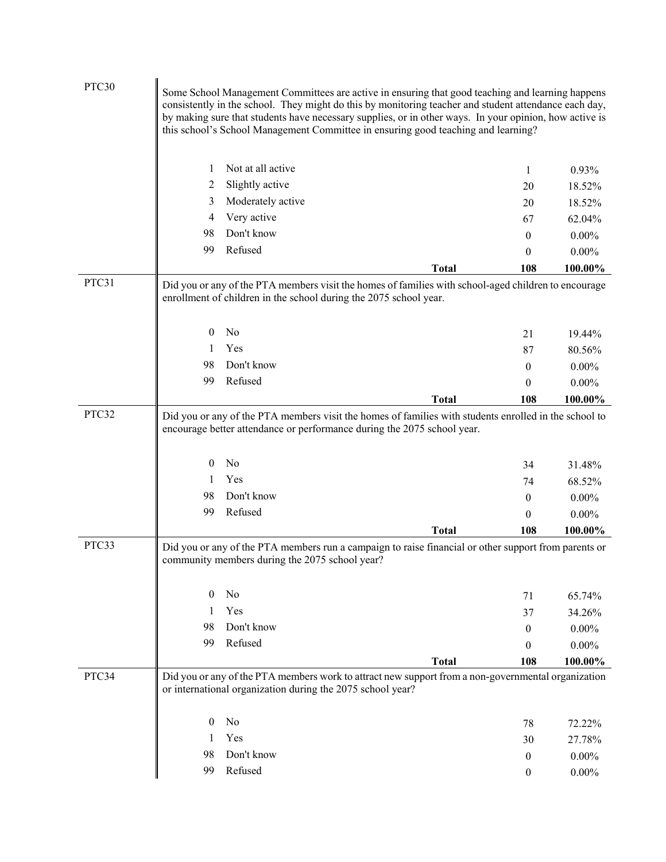| PTC30 | Some School Management Committees are active in ensuring that good teaching and learning happens<br>consistently in the school. They might do this by monitoring teacher and student attendance each day,<br>by making sure that students have necessary supplies, or in other ways. In your opinion, how active is<br>this school's School Management Committee in ensuring good teaching and learning? |                                                            |                                                                                                                                                                                  |                  |                  |
|-------|----------------------------------------------------------------------------------------------------------------------------------------------------------------------------------------------------------------------------------------------------------------------------------------------------------------------------------------------------------------------------------------------------------|------------------------------------------------------------|----------------------------------------------------------------------------------------------------------------------------------------------------------------------------------|------------------|------------------|
|       | 1                                                                                                                                                                                                                                                                                                                                                                                                        | Not at all active                                          |                                                                                                                                                                                  | 1                | 0.93%            |
|       | 2                                                                                                                                                                                                                                                                                                                                                                                                        | Slightly active                                            |                                                                                                                                                                                  | 20               | 18.52%           |
|       | 3                                                                                                                                                                                                                                                                                                                                                                                                        | Moderately active                                          |                                                                                                                                                                                  | 20               | 18.52%           |
|       | 4                                                                                                                                                                                                                                                                                                                                                                                                        | Very active                                                |                                                                                                                                                                                  | 67               | 62.04%           |
|       | 98                                                                                                                                                                                                                                                                                                                                                                                                       | Don't know                                                 |                                                                                                                                                                                  | $\boldsymbol{0}$ | $0.00\%$         |
|       | 99                                                                                                                                                                                                                                                                                                                                                                                                       | Refused                                                    |                                                                                                                                                                                  | $\boldsymbol{0}$ | $0.00\%$         |
|       |                                                                                                                                                                                                                                                                                                                                                                                                          |                                                            | <b>Total</b>                                                                                                                                                                     | 108              | 100.00%          |
| PTC31 |                                                                                                                                                                                                                                                                                                                                                                                                          |                                                            | Did you or any of the PTA members visit the homes of families with school-aged children to encourage<br>enrollment of children in the school during the 2075 school year.        |                  |                  |
|       | $\bf{0}$                                                                                                                                                                                                                                                                                                                                                                                                 | No                                                         |                                                                                                                                                                                  | 21               | 19.44%           |
|       | 1                                                                                                                                                                                                                                                                                                                                                                                                        | Yes                                                        |                                                                                                                                                                                  | 87               | 80.56%           |
|       | 98                                                                                                                                                                                                                                                                                                                                                                                                       | Don't know                                                 |                                                                                                                                                                                  | $\boldsymbol{0}$ | $0.00\%$         |
|       | 99                                                                                                                                                                                                                                                                                                                                                                                                       | Refused                                                    |                                                                                                                                                                                  | $\boldsymbol{0}$ | $0.00\%$         |
|       |                                                                                                                                                                                                                                                                                                                                                                                                          |                                                            | <b>Total</b>                                                                                                                                                                     | 108              | 100.00%          |
|       | $\mathbf{0}$<br>1<br>98                                                                                                                                                                                                                                                                                                                                                                                  | No<br>Yes<br>Don't know                                    | Did you or any of the PTA members visit the homes of families with students enrolled in the school to<br>encourage better attendance or performance during the 2075 school year. | 34<br>74         | 31.48%<br>68.52% |
|       | 99                                                                                                                                                                                                                                                                                                                                                                                                       | Refused                                                    |                                                                                                                                                                                  | 0                | $0.00\%$         |
|       |                                                                                                                                                                                                                                                                                                                                                                                                          |                                                            |                                                                                                                                                                                  | $\boldsymbol{0}$ | $0.00\%$         |
| PTC33 |                                                                                                                                                                                                                                                                                                                                                                                                          | community members during the 2075 school year?             | <b>Total</b><br>Did you or any of the PTA members run a campaign to raise financial or other support from parents or                                                             | 108              | 100.00%          |
|       | $\theta$                                                                                                                                                                                                                                                                                                                                                                                                 | No                                                         |                                                                                                                                                                                  | 71               | 65.74%           |
|       | 1                                                                                                                                                                                                                                                                                                                                                                                                        | Yes                                                        |                                                                                                                                                                                  | 37               | 34.26%           |
|       | 98                                                                                                                                                                                                                                                                                                                                                                                                       | Don't know                                                 |                                                                                                                                                                                  | $\overline{0}$   | $0.00\%$         |
|       | 99                                                                                                                                                                                                                                                                                                                                                                                                       | Refused                                                    |                                                                                                                                                                                  | $\theta$         | $0.00\%$         |
|       |                                                                                                                                                                                                                                                                                                                                                                                                          |                                                            | <b>Total</b>                                                                                                                                                                     | 108              | 100.00%          |
| PTC34 |                                                                                                                                                                                                                                                                                                                                                                                                          | or international organization during the 2075 school year? | Did you or any of the PTA members work to attract new support from a non-governmental organization                                                                               |                  |                  |
|       | $\mathbf{0}$                                                                                                                                                                                                                                                                                                                                                                                             | No                                                         |                                                                                                                                                                                  | 78               | 72.22%           |
|       | 1                                                                                                                                                                                                                                                                                                                                                                                                        | Yes                                                        |                                                                                                                                                                                  | 30               | 27.78%           |
|       | 98                                                                                                                                                                                                                                                                                                                                                                                                       | Don't know                                                 |                                                                                                                                                                                  | $\bf{0}$         | $0.00\%$         |
|       | 99                                                                                                                                                                                                                                                                                                                                                                                                       | Refused                                                    |                                                                                                                                                                                  | $\boldsymbol{0}$ | $0.00\%$         |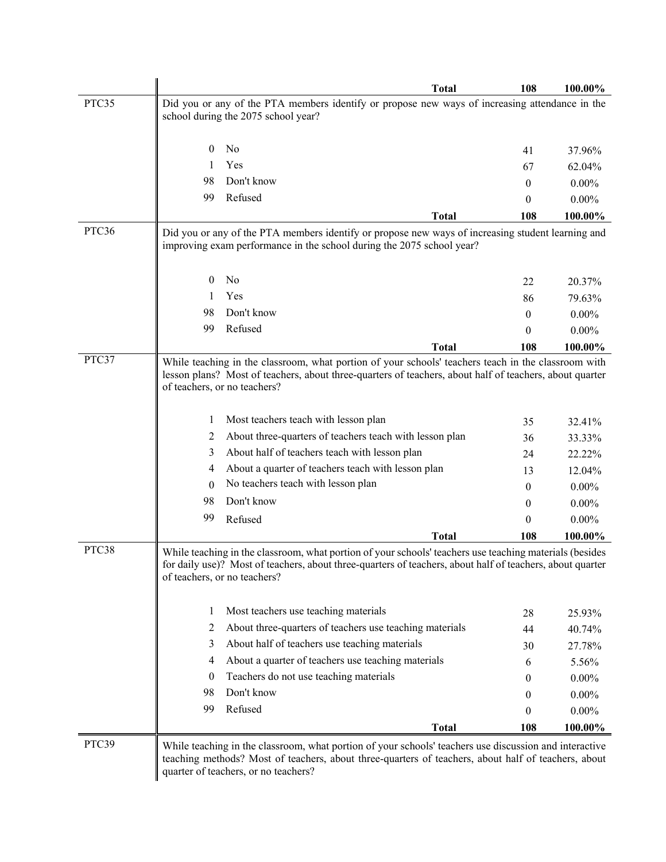|       |          |                                                                                                                                                                                                                                                       | <b>Total</b> | 108      | 100.00%            |
|-------|----------|-------------------------------------------------------------------------------------------------------------------------------------------------------------------------------------------------------------------------------------------------------|--------------|----------|--------------------|
| PTC35 |          | Did you or any of the PTA members identify or propose new ways of increasing attendance in the<br>school during the 2075 school year?                                                                                                                 |              |          |                    |
|       | $\bf{0}$ | No                                                                                                                                                                                                                                                    |              |          |                    |
|       |          | Yes                                                                                                                                                                                                                                                   |              | 41<br>67 | 37.96%             |
|       | 98       | Don't know                                                                                                                                                                                                                                            |              | 0        | 62.04%<br>$0.00\%$ |
|       | 99       | Refused                                                                                                                                                                                                                                               |              | 0        | $0.00\%$           |
|       |          |                                                                                                                                                                                                                                                       | <b>Total</b> | 108      | 100.00%            |
| PTC36 |          | Did you or any of the PTA members identify or propose new ways of increasing student learning and<br>improving exam performance in the school during the 2075 school year?                                                                            |              |          |                    |
|       | 0        | No                                                                                                                                                                                                                                                    |              | 22       | 20.37%             |
|       |          | Yes                                                                                                                                                                                                                                                   |              | 86       | 79.63%             |
|       | 98       | Don't know                                                                                                                                                                                                                                            |              | 0        | $0.00\%$           |
|       | 99       | Refused                                                                                                                                                                                                                                               |              | 0        | $0.00\%$           |
|       |          |                                                                                                                                                                                                                                                       | <b>Total</b> | 108      | 100.00%            |
| PTC37 |          | While teaching in the classroom, what portion of your schools' teachers teach in the classroom with<br>lesson plans? Most of teachers, about three-quarters of teachers, about half of teachers, about quarter<br>of teachers, or no teachers?        |              |          |                    |
|       | 1        | Most teachers teach with lesson plan                                                                                                                                                                                                                  |              | 35       | 32.41%             |
|       | 2        | About three-quarters of teachers teach with lesson plan                                                                                                                                                                                               |              | 36       | 33.33%             |
|       | 3        | About half of teachers teach with lesson plan                                                                                                                                                                                                         |              | 24       | 22.22%             |
|       | 4        | About a quarter of teachers teach with lesson plan                                                                                                                                                                                                    |              | 13       | 12.04%             |
|       | 0        | No teachers teach with lesson plan                                                                                                                                                                                                                    |              | $\theta$ | $0.00\%$           |
|       | 98       | Don't know                                                                                                                                                                                                                                            |              | $\theta$ | $0.00\%$           |
|       | 99       | Refused                                                                                                                                                                                                                                               |              | 0        | $0.00\%$           |
|       |          |                                                                                                                                                                                                                                                       | <b>Total</b> | 108      | 100.00%            |
| PTC38 |          | While teaching in the classroom, what portion of your schools' teachers use teaching materials (besides<br>for daily use)? Most of teachers, about three-quarters of teachers, about half of teachers, about quarter<br>of teachers, or no teachers?  |              |          |                    |
|       | 1        | Most teachers use teaching materials                                                                                                                                                                                                                  |              | 28       | 25.93%             |
|       | 2        | About three-quarters of teachers use teaching materials                                                                                                                                                                                               |              | 44       | 40.74%             |
|       | 3        | About half of teachers use teaching materials                                                                                                                                                                                                         |              | 30       | 27.78%             |
|       | 4        | About a quarter of teachers use teaching materials                                                                                                                                                                                                    |              | 6        | 5.56%              |
|       | 0        | Teachers do not use teaching materials                                                                                                                                                                                                                |              | 0        | $0.00\%$           |
|       | 98       | Don't know                                                                                                                                                                                                                                            |              | 0        | $0.00\%$           |
|       | 99       | Refused                                                                                                                                                                                                                                               |              | 0        | $0.00\%$           |
|       |          |                                                                                                                                                                                                                                                       | <b>Total</b> | 108      | 100.00%            |
| PTC39 |          | While teaching in the classroom, what portion of your schools' teachers use discussion and interactive<br>teaching methods? Most of teachers, about three-quarters of teachers, about half of teachers, about<br>quarter of teachers, or no teachers? |              |          |                    |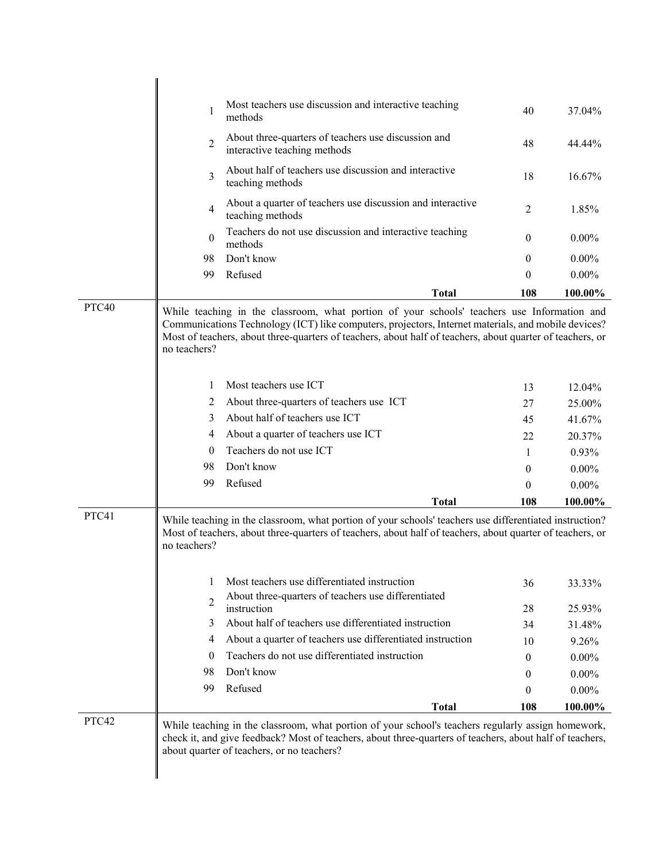|       | 1              | Most teachers use discussion and interactive teaching<br>methods                                                                                                                                                                                                                                                | 40             | 37.04%   |
|-------|----------------|-----------------------------------------------------------------------------------------------------------------------------------------------------------------------------------------------------------------------------------------------------------------------------------------------------------------|----------------|----------|
|       | $\overline{2}$ | About three-quarters of teachers use discussion and<br>interactive teaching methods                                                                                                                                                                                                                             | 48             | 44.44%   |
|       | 3              | About half of teachers use discussion and interactive<br>teaching methods                                                                                                                                                                                                                                       | 18             | 16.67%   |
|       | $\overline{4}$ | About a quarter of teachers use discussion and interactive<br>teaching methods                                                                                                                                                                                                                                  | $\overline{2}$ | 1.85%    |
|       | $\theta$       | Teachers do not use discussion and interactive teaching<br>methods                                                                                                                                                                                                                                              | 0              | $0.00\%$ |
|       | 98             | Don't know                                                                                                                                                                                                                                                                                                      | $\theta$       | $0.00\%$ |
|       | 99             | Refused                                                                                                                                                                                                                                                                                                         | 0              | $0.00\%$ |
|       |                | <b>Total</b>                                                                                                                                                                                                                                                                                                    | 108            | 100.00%  |
| PTC40 | no teachers?   | While teaching in the classroom, what portion of your schools' teachers use Information and<br>Communications Technology (ICT) like computers, projectors, Internet materials, and mobile devices?<br>Most of teachers, about three-quarters of teachers, about half of teachers, about quarter of teachers, or |                |          |
|       | 1              | Most teachers use ICT                                                                                                                                                                                                                                                                                           | 13             | 12.04%   |
|       | 2              | About three-quarters of teachers use ICT                                                                                                                                                                                                                                                                        | 27             | 25.00%   |
|       | 3              | About half of teachers use ICT                                                                                                                                                                                                                                                                                  | 45             | 41.67%   |
|       | 4              | About a quarter of teachers use ICT                                                                                                                                                                                                                                                                             | 22             | 20.37%   |
|       | $\theta$       | Teachers do not use ICT                                                                                                                                                                                                                                                                                         | $\mathbf{1}$   | 0.93%    |
|       | 98             | Don't know                                                                                                                                                                                                                                                                                                      | $\mathbf{0}$   | $0.00\%$ |
|       | 99             | Refused                                                                                                                                                                                                                                                                                                         | 0              | $0.00\%$ |
|       |                | <b>Total</b>                                                                                                                                                                                                                                                                                                    | 108            | 100.00%  |
| PTC41 | no teachers?   | While teaching in the classroom, what portion of your schools' teachers use differentiated instruction?<br>Most of teachers, about three-quarters of teachers, about half of teachers, about quarter of teachers, or                                                                                            |                |          |
|       | 1              | Most teachers use differentiated instruction<br>About three-quarters of teachers use differentiated                                                                                                                                                                                                             | 36             | 33.33%   |
|       | 2              | instruction                                                                                                                                                                                                                                                                                                     | 28             | 25.93%   |
|       | 3              | About half of teachers use differentiated instruction                                                                                                                                                                                                                                                           | 34             | 31.48%   |
|       | 4              | About a quarter of teachers use differentiated instruction                                                                                                                                                                                                                                                      | 10             | 9.26%    |
|       | $\theta$       | Teachers do not use differentiated instruction                                                                                                                                                                                                                                                                  | $\theta$       | $0.00\%$ |
|       | 98             | Don't know                                                                                                                                                                                                                                                                                                      | $\theta$       | $0.00\%$ |
|       | 99             | Refused                                                                                                                                                                                                                                                                                                         | 0              | $0.00\%$ |
|       |                | <b>Total</b>                                                                                                                                                                                                                                                                                                    | 108            | 100.00%  |
| PTC42 |                | While teaching in the classroom, what portion of your school's teachers regularly assign homework,<br>check it, and give feedback? Most of teachers, about three-quarters of teachers, about half of teachers,<br>about quarter of teachers, or no teachers?                                                    |                |          |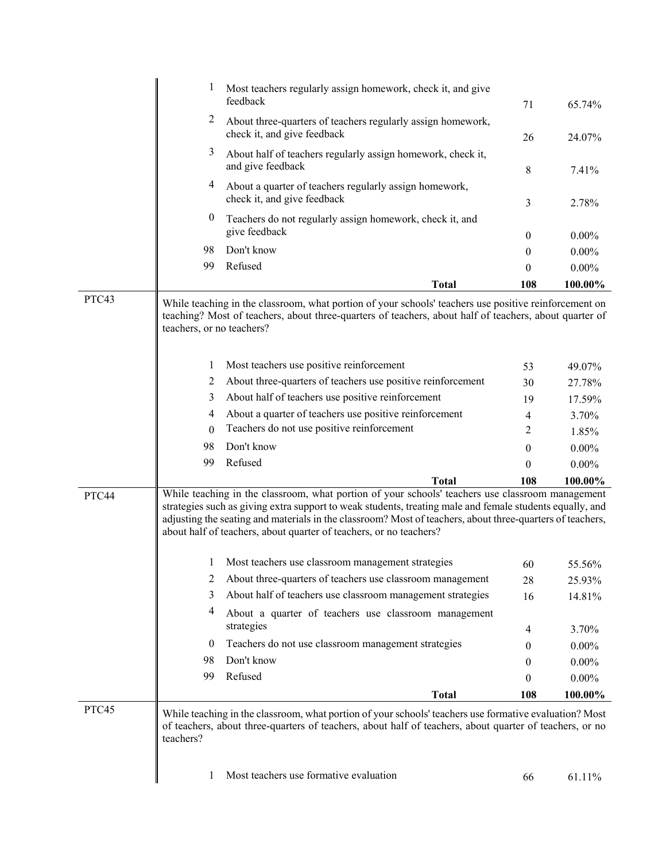|       |                           | Most teachers regularly assign homework, check it, and give<br>feedback                                                                                                                                                                                                                                                                                                                         | 71               | 65.74%     |
|-------|---------------------------|-------------------------------------------------------------------------------------------------------------------------------------------------------------------------------------------------------------------------------------------------------------------------------------------------------------------------------------------------------------------------------------------------|------------------|------------|
|       | 2                         | About three-quarters of teachers regularly assign homework,<br>check it, and give feedback                                                                                                                                                                                                                                                                                                      | 26               | 24.07%     |
|       | 3                         | About half of teachers regularly assign homework, check it,<br>and give feedback                                                                                                                                                                                                                                                                                                                | 8                | 7.41%      |
|       | 4                         | About a quarter of teachers regularly assign homework,<br>check it, and give feedback                                                                                                                                                                                                                                                                                                           | 3                | 2.78%      |
|       | $\boldsymbol{0}$          | Teachers do not regularly assign homework, check it, and<br>give feedback                                                                                                                                                                                                                                                                                                                       | $\mathbf{0}$     | $0.00\%$   |
|       | 98                        | Don't know                                                                                                                                                                                                                                                                                                                                                                                      | $\mathbf{0}$     | $0.00\%$   |
|       | 99                        | Refused                                                                                                                                                                                                                                                                                                                                                                                         | 0                | $0.00\%$   |
|       |                           | <b>Total</b>                                                                                                                                                                                                                                                                                                                                                                                    | 108              | 100.00%    |
| PTC43 | teachers, or no teachers? | While teaching in the classroom, what portion of your schools' teachers use positive reinforcement on<br>teaching? Most of teachers, about three-quarters of teachers, about half of teachers, about quarter of                                                                                                                                                                                 |                  |            |
|       | 1                         | Most teachers use positive reinforcement                                                                                                                                                                                                                                                                                                                                                        | 53               | 49.07%     |
|       | 2                         | About three-quarters of teachers use positive reinforcement                                                                                                                                                                                                                                                                                                                                     | 30               | 27.78%     |
|       | 3                         | About half of teachers use positive reinforcement                                                                                                                                                                                                                                                                                                                                               | 19               | 17.59%     |
|       | 4                         | About a quarter of teachers use positive reinforcement                                                                                                                                                                                                                                                                                                                                          | 4                | 3.70%      |
|       | $\theta$                  | Teachers do not use positive reinforcement                                                                                                                                                                                                                                                                                                                                                      | $\overline{c}$   | 1.85%      |
|       | 98                        | Don't know                                                                                                                                                                                                                                                                                                                                                                                      | $\mathbf{0}$     | $0.00\%$   |
|       | 99                        | Refused                                                                                                                                                                                                                                                                                                                                                                                         | $\theta$         | $0.00\%$   |
|       |                           | <b>Total</b>                                                                                                                                                                                                                                                                                                                                                                                    | 108              | $100.00\%$ |
| PTC44 |                           | While teaching in the classroom, what portion of your schools' teachers use classroom management<br>strategies such as giving extra support to weak students, treating male and female students equally, and<br>adjusting the seating and materials in the classroom? Most of teachers, about three-quarters of teachers,<br>about half of teachers, about quarter of teachers, or no teachers? |                  |            |
|       |                           | Most teachers use classroom management strategies                                                                                                                                                                                                                                                                                                                                               | 60               | 55.56%     |
|       | 2                         | About three-quarters of teachers use classroom management                                                                                                                                                                                                                                                                                                                                       | 28               | 25.93%     |
|       | 3                         | About half of teachers use classroom management strategies                                                                                                                                                                                                                                                                                                                                      | 16               | 14.81%     |
|       | 4                         | About a quarter of teachers use classroom management<br>strategies                                                                                                                                                                                                                                                                                                                              | 4                | 3.70%      |
|       | $\bf{0}$                  | Teachers do not use classroom management strategies                                                                                                                                                                                                                                                                                                                                             | $\boldsymbol{0}$ | $0.00\%$   |
|       | 98                        | Don't know                                                                                                                                                                                                                                                                                                                                                                                      | 0                | $0.00\%$   |
|       | 99                        | Refused                                                                                                                                                                                                                                                                                                                                                                                         | $\boldsymbol{0}$ | $0.00\%$   |
|       |                           | <b>Total</b>                                                                                                                                                                                                                                                                                                                                                                                    | 108              | 100.00%    |
| PTC45 | teachers?                 | While teaching in the classroom, what portion of your schools' teachers use formative evaluation? Most<br>of teachers, about three-quarters of teachers, about half of teachers, about quarter of teachers, or no                                                                                                                                                                               |                  |            |
|       | 1                         | Most teachers use formative evaluation                                                                                                                                                                                                                                                                                                                                                          | 66               | 61.11%     |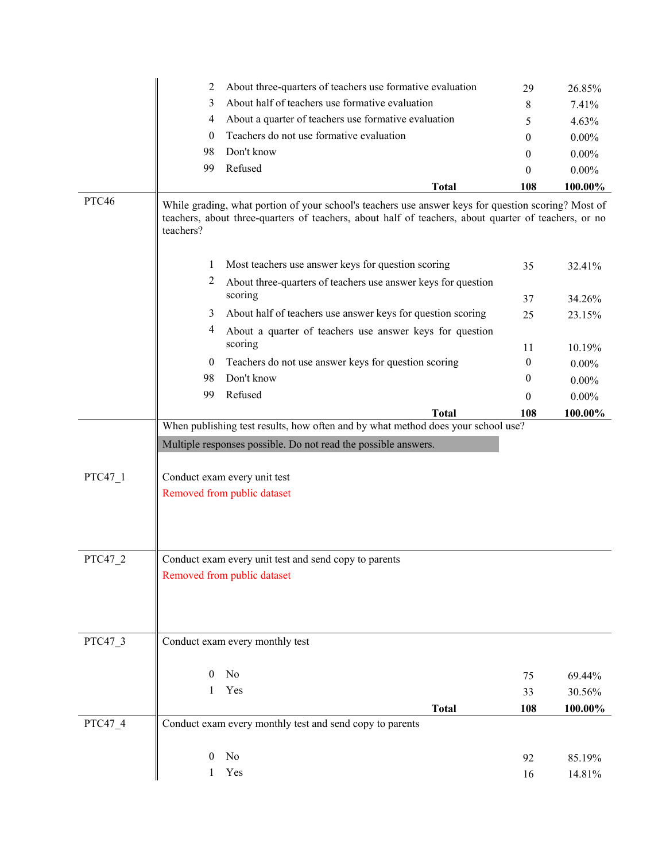|         | About three-quarters of teachers use formative evaluation<br>2                                                                                                                                                           | 29       | 26.85%     |
|---------|--------------------------------------------------------------------------------------------------------------------------------------------------------------------------------------------------------------------------|----------|------------|
|         | About half of teachers use formative evaluation<br>3                                                                                                                                                                     | 8        | 7.41%      |
|         | About a quarter of teachers use formative evaluation<br>4                                                                                                                                                                | 5        | 4.63%      |
|         | Teachers do not use formative evaluation<br>$\theta$                                                                                                                                                                     | 0        | $0.00\%$   |
|         | Don't know<br>98                                                                                                                                                                                                         | 0        | $0.00\%$   |
|         | Refused<br>99                                                                                                                                                                                                            | 0        | $0.00\%$   |
|         | <b>Total</b>                                                                                                                                                                                                             | 108      | 100.00%    |
| PTC46   | While grading, what portion of your school's teachers use answer keys for question scoring? Most of<br>teachers, about three-quarters of teachers, about half of teachers, about quarter of teachers, or no<br>teachers? |          |            |
|         | Most teachers use answer keys for question scoring<br>1                                                                                                                                                                  | 35       | 32.41%     |
|         | 2<br>About three-quarters of teachers use answer keys for question                                                                                                                                                       |          |            |
|         | scoring                                                                                                                                                                                                                  | 37       | 34.26%     |
|         | About half of teachers use answer keys for question scoring<br>3                                                                                                                                                         | 25       | 23.15%     |
|         | 4<br>About a quarter of teachers use answer keys for question                                                                                                                                                            |          |            |
|         | scoring                                                                                                                                                                                                                  | 11       | 10.19%     |
|         | Teachers do not use answer keys for question scoring<br>$\bf{0}$                                                                                                                                                         | $\theta$ | $0.00\%$   |
|         | Don't know<br>98                                                                                                                                                                                                         | $\theta$ | $0.00\%$   |
|         | Refused<br>99                                                                                                                                                                                                            | $\theta$ | $0.00\%$   |
|         | <b>Total</b>                                                                                                                                                                                                             | 108      | 100.00%    |
|         | When publishing test results, how often and by what method does your school use?                                                                                                                                         |          |            |
|         | Multiple responses possible. Do not read the possible answers.                                                                                                                                                           |          |            |
|         |                                                                                                                                                                                                                          |          |            |
| PTC47 1 | Conduct exam every unit test                                                                                                                                                                                             |          |            |
|         | Removed from public dataset                                                                                                                                                                                              |          |            |
|         |                                                                                                                                                                                                                          |          |            |
|         |                                                                                                                                                                                                                          |          |            |
|         |                                                                                                                                                                                                                          |          |            |
| PTC47 2 | Conduct exam every unit test and send copy to parents                                                                                                                                                                    |          |            |
|         | Removed from public dataset                                                                                                                                                                                              |          |            |
|         |                                                                                                                                                                                                                          |          |            |
|         |                                                                                                                                                                                                                          |          |            |
|         |                                                                                                                                                                                                                          |          |            |
| PTC47_3 | Conduct exam every monthly test                                                                                                                                                                                          |          |            |
|         |                                                                                                                                                                                                                          |          |            |
|         | No<br>$\overline{0}$                                                                                                                                                                                                     | 75       | 69.44%     |
|         | Yes<br>$\mathbf{1}$                                                                                                                                                                                                      | 33       | 30.56%     |
|         | <b>Total</b>                                                                                                                                                                                                             | 108      | $100.00\%$ |
| PTC47 4 | Conduct exam every monthly test and send copy to parents                                                                                                                                                                 |          |            |
|         |                                                                                                                                                                                                                          |          |            |
|         | No<br>$\overline{0}$                                                                                                                                                                                                     | 92       | 85.19%     |
|         | Yes<br>1                                                                                                                                                                                                                 | 16       | 14.81%     |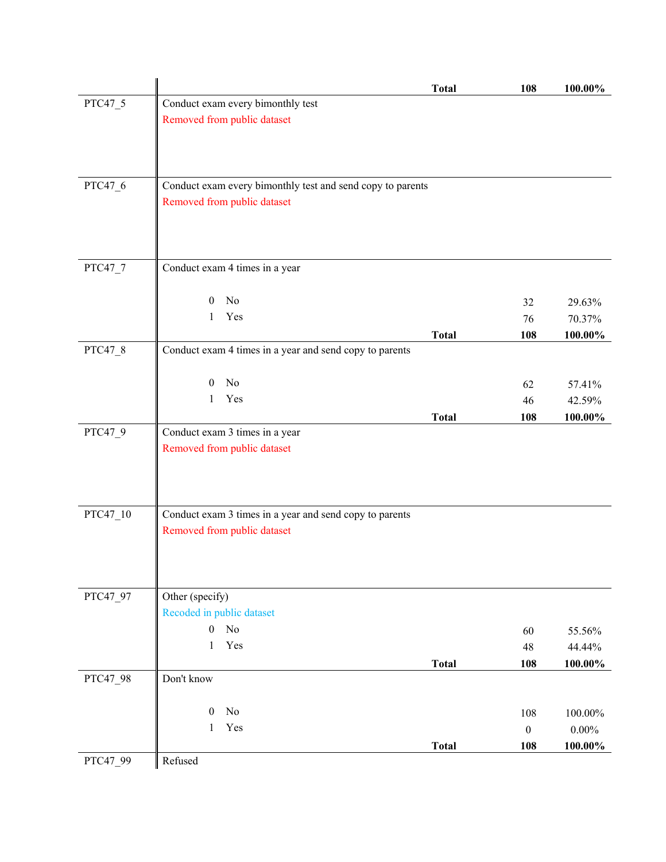|          |                                                            | <b>Total</b> | 108              | 100.00%           |
|----------|------------------------------------------------------------|--------------|------------------|-------------------|
| PTC47_5  | Conduct exam every bimonthly test                          |              |                  |                   |
|          | Removed from public dataset                                |              |                  |                   |
|          |                                                            |              |                  |                   |
|          |                                                            |              |                  |                   |
| PTC47_6  | Conduct exam every bimonthly test and send copy to parents |              |                  |                   |
|          | Removed from public dataset                                |              |                  |                   |
|          |                                                            |              |                  |                   |
|          |                                                            |              |                  |                   |
|          |                                                            |              |                  |                   |
| PTC47_7  | Conduct exam 4 times in a year                             |              |                  |                   |
|          | No<br>$\overline{0}$                                       |              |                  |                   |
|          | Yes<br>$\mathbf{1}$                                        |              | 32               | 29.63%            |
|          |                                                            | <b>Total</b> | 76<br>108        | 70.37%<br>100.00% |
| PTC47 8  | Conduct exam 4 times in a year and send copy to parents    |              |                  |                   |
|          |                                                            |              |                  |                   |
|          | No<br>$\overline{0}$                                       |              | 62               | 57.41%            |
|          | Yes<br>1                                                   |              | 46               | 42.59%            |
|          |                                                            | <b>Total</b> | 108              | 100.00%           |
| PTC47_9  | Conduct exam 3 times in a year                             |              |                  |                   |
|          | Removed from public dataset                                |              |                  |                   |
|          |                                                            |              |                  |                   |
|          |                                                            |              |                  |                   |
|          |                                                            |              |                  |                   |
| PTC47_10 | Conduct exam 3 times in a year and send copy to parents    |              |                  |                   |
|          | Removed from public dataset                                |              |                  |                   |
|          |                                                            |              |                  |                   |
|          |                                                            |              |                  |                   |
| PTC47_97 | Other (specify)                                            |              |                  |                   |
|          | Recoded in public dataset                                  |              |                  |                   |
|          | No<br>$\overline{0}$                                       |              | 60               | 55.56%            |
|          | $\mathbf{1}$<br>Yes                                        |              | 48               | 44.44%            |
|          |                                                            | <b>Total</b> | 108              | $100.00\%$        |
| PTC47_98 | Don't know                                                 |              |                  |                   |
|          |                                                            |              |                  |                   |
|          | No<br>$\boldsymbol{0}$                                     |              | 108              | 100.00%           |
|          | Yes<br>1                                                   |              | $\boldsymbol{0}$ | $0.00\%$          |
|          |                                                            | <b>Total</b> | 108              | 100.00%           |
| PTC47_99 | Refused                                                    |              |                  |                   |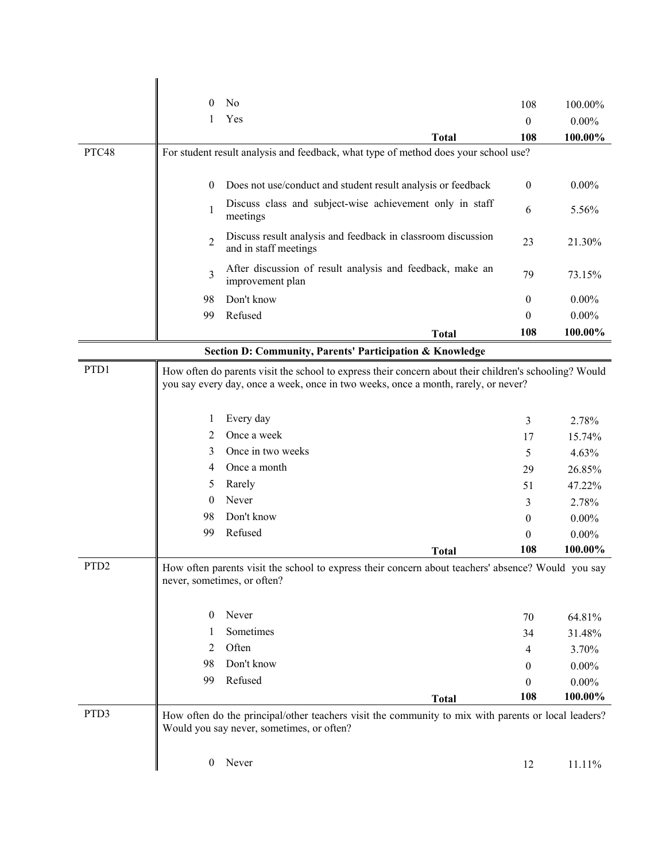|                  | N <sub>0</sub><br>$\theta$                                                                                                                                                                   | 108              | 100.00%  |
|------------------|----------------------------------------------------------------------------------------------------------------------------------------------------------------------------------------------|------------------|----------|
|                  | Yes<br>1                                                                                                                                                                                     | $\theta$         | $0.00\%$ |
|                  | <b>Total</b>                                                                                                                                                                                 | 108              | 100.00%  |
| PTC48            | For student result analysis and feedback, what type of method does your school use?                                                                                                          |                  |          |
|                  | Does not use/conduct and student result analysis or feedback<br>$\theta$                                                                                                                     | $\mathbf{0}$     | $0.00\%$ |
|                  |                                                                                                                                                                                              |                  |          |
|                  | Discuss class and subject-wise achievement only in staff<br>1<br>meetings                                                                                                                    | 6                | 5.56%    |
|                  | Discuss result analysis and feedback in classroom discussion<br>$\overline{2}$<br>and in staff meetings                                                                                      | 23               | 21.30%   |
|                  | After discussion of result analysis and feedback, make an<br>$\overline{3}$<br>improvement plan                                                                                              | 79               | 73.15%   |
|                  | Don't know<br>98                                                                                                                                                                             | $\overline{0}$   | $0.00\%$ |
|                  | Refused<br>99                                                                                                                                                                                | $\theta$         | $0.00\%$ |
|                  | <b>Total</b>                                                                                                                                                                                 | 108              | 100.00%  |
|                  | Section D: Community, Parents' Participation & Knowledge                                                                                                                                     |                  |          |
| PTD1             | How often do parents visit the school to express their concern about their children's schooling? Would<br>you say every day, once a week, once in two weeks, once a month, rarely, or never? |                  |          |
|                  | Every day<br>1                                                                                                                                                                               | 3                | 2.78%    |
|                  | Once a week<br>2                                                                                                                                                                             | 17               | 15.74%   |
|                  | Once in two weeks<br>3                                                                                                                                                                       | 5                | 4.63%    |
|                  | Once a month<br>4                                                                                                                                                                            | 29               | 26.85%   |
|                  | Rarely<br>5                                                                                                                                                                                  | 51               | 47.22%   |
|                  | Never<br>$\theta$                                                                                                                                                                            | 3                | 2.78%    |
|                  | Don't know<br>98                                                                                                                                                                             | $\overline{0}$   | $0.00\%$ |
|                  | 99<br>Refused                                                                                                                                                                                | $\theta$         | $0.00\%$ |
|                  | <b>Total</b>                                                                                                                                                                                 | 108              | 100.00%  |
| PTD <sub>2</sub> | How often parents visit the school to express their concern about teachers' absence? Would you say<br>never, sometimes, or often?                                                            |                  |          |
|                  | Never<br>$\bf{0}$                                                                                                                                                                            | 70               | 64.81%   |
|                  | Sometimes<br>1                                                                                                                                                                               | 34               | 31.48%   |
|                  | Often<br>2                                                                                                                                                                                   | 4                | 3.70%    |
|                  | Don't know<br>98                                                                                                                                                                             | $\boldsymbol{0}$ | $0.00\%$ |
|                  | Refused<br>99                                                                                                                                                                                | $\boldsymbol{0}$ | $0.00\%$ |
|                  | <b>Total</b>                                                                                                                                                                                 | 108              | 100.00%  |
| PTD3             | How often do the principal/other teachers visit the community to mix with parents or local leaders?<br>Would you say never, sometimes, or often?                                             |                  |          |
|                  | Never<br>$\boldsymbol{0}$                                                                                                                                                                    | 12               | 11.11%   |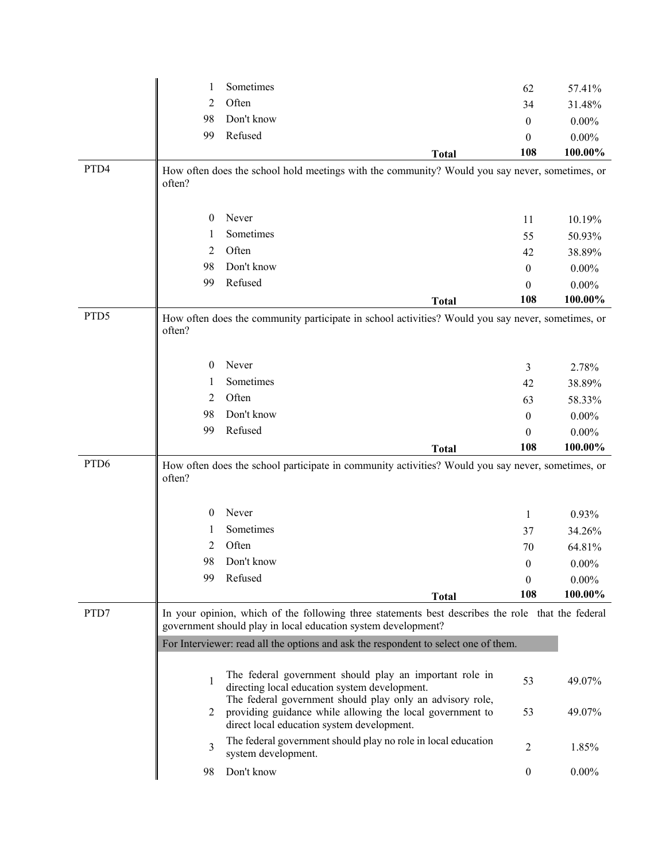|                  | 1        | Sometimes                                                                                                  | 62               | 57.41%   |
|------------------|----------|------------------------------------------------------------------------------------------------------------|------------------|----------|
|                  | 2        | Often                                                                                                      | 34               | 31.48%   |
|                  | 98       | Don't know                                                                                                 | $\theta$         | $0.00\%$ |
|                  | 99       | Refused                                                                                                    | $\theta$         | $0.00\%$ |
|                  |          | <b>Total</b>                                                                                               | 108              | 100.00%  |
| PTD4             |          | How often does the school hold meetings with the community? Would you say never, sometimes, or             |                  |          |
|                  | often?   |                                                                                                            |                  |          |
|                  |          |                                                                                                            |                  |          |
|                  | $\theta$ | Never                                                                                                      | 11               | 10.19%   |
|                  | 1        | Sometimes                                                                                                  | 55               | 50.93%   |
|                  | 2        | Often                                                                                                      | 42               | 38.89%   |
|                  | 98       | Don't know                                                                                                 | $\mathbf{0}$     | $0.00\%$ |
|                  | 99       | Refused                                                                                                    | $\theta$         | $0.00\%$ |
|                  |          | <b>Total</b>                                                                                               | 108              | 100.00%  |
| PTD5             |          | How often does the community participate in school activities? Would you say never, sometimes, or          |                  |          |
|                  | often?   |                                                                                                            |                  |          |
|                  |          |                                                                                                            |                  |          |
|                  | $\bf{0}$ | Never                                                                                                      | 3                | 2.78%    |
|                  | 1        | Sometimes                                                                                                  | 42               | 38.89%   |
|                  | 2        | Often                                                                                                      | 63               | 58.33%   |
|                  | 98       | Don't know                                                                                                 | $\boldsymbol{0}$ | $0.00\%$ |
|                  | 99       | Refused                                                                                                    | $\theta$         | $0.00\%$ |
|                  |          | <b>Total</b>                                                                                               | 108              | 100.00%  |
| PTD <sub>6</sub> | often?   | How often does the school participate in community activities? Would you say never, sometimes, or          |                  |          |
|                  |          |                                                                                                            |                  |          |
|                  | $\theta$ | Never                                                                                                      | 1                | 0.93%    |
|                  |          | Sometimes                                                                                                  | 37               | 34.26%   |
|                  | 2        | Often                                                                                                      | 70               | 64.81%   |
|                  | 98       | Don't know                                                                                                 | $\overline{0}$   | $0.00\%$ |
|                  | 99       | Refused                                                                                                    | 0                | $0.00\%$ |
|                  |          | <b>Total</b>                                                                                               | 108              | 100.00%  |
| PTD7             |          | In your opinion, which of the following three statements best describes the role that the federal          |                  |          |
|                  |          | government should play in local education system development?                                              |                  |          |
|                  |          | For Interviewer: read all the options and ask the respondent to select one of them.                        |                  |          |
|                  |          |                                                                                                            |                  |          |
|                  | 1        | The federal government should play an important role in                                                    | 53               | 49.07%   |
|                  |          | directing local education system development.<br>The federal government should play only an advisory role, |                  |          |
|                  | 2        | providing guidance while allowing the local government to                                                  | 53               | 49.07%   |
|                  |          | direct local education system development.                                                                 |                  |          |
|                  | 3        | The federal government should play no role in local education                                              | 2                | 1.85%    |
|                  |          | system development.                                                                                        |                  |          |
|                  | 98       | Don't know                                                                                                 | $\mathbf{0}$     | $0.00\%$ |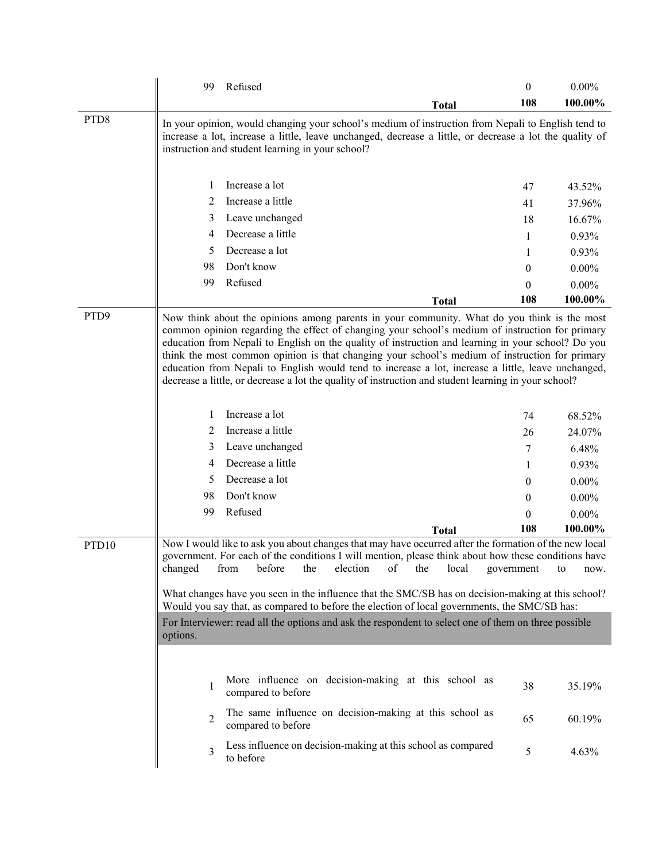|                   | Refused<br>99                                                                                                                                                                                                                                                                                                                                                                                                                                                                                                         | $\theta$   | $0.00\%$         |
|-------------------|-----------------------------------------------------------------------------------------------------------------------------------------------------------------------------------------------------------------------------------------------------------------------------------------------------------------------------------------------------------------------------------------------------------------------------------------------------------------------------------------------------------------------|------------|------------------|
|                   | <b>Total</b>                                                                                                                                                                                                                                                                                                                                                                                                                                                                                                          | 108        | 100.00%          |
| PTD <sub>8</sub>  | In your opinion, would changing your school's medium of instruction from Nepali to English tend to<br>increase a lot, increase a little, leave unchanged, decrease a little, or decrease a lot the quality of<br>instruction and student learning in your school?                                                                                                                                                                                                                                                     |            |                  |
|                   | Increase a lot<br>1                                                                                                                                                                                                                                                                                                                                                                                                                                                                                                   | 47         | 43.52%           |
|                   | Increase a little<br>2                                                                                                                                                                                                                                                                                                                                                                                                                                                                                                | 41         | 37.96%           |
|                   | Leave unchanged<br>3                                                                                                                                                                                                                                                                                                                                                                                                                                                                                                  | 18         | 16.67%           |
|                   | Decrease a little<br>4                                                                                                                                                                                                                                                                                                                                                                                                                                                                                                | 1          | 0.93%            |
|                   | Decrease a lot<br>5                                                                                                                                                                                                                                                                                                                                                                                                                                                                                                   | 1          | 0.93%            |
|                   | Don't know<br>98                                                                                                                                                                                                                                                                                                                                                                                                                                                                                                      | 0          | $0.00\%$         |
|                   | Refused<br>99                                                                                                                                                                                                                                                                                                                                                                                                                                                                                                         | $\theta$   | $0.00\%$         |
|                   | <b>Total</b>                                                                                                                                                                                                                                                                                                                                                                                                                                                                                                          | 108        | 100.00%          |
|                   | common opinion regarding the effect of changing your school's medium of instruction for primary<br>education from Nepali to English on the quality of instruction and learning in your school? Do you<br>think the most common opinion is that changing your school's medium of instruction for primary<br>education from Nepali to English would tend to increase a lot, increase a little, leave unchanged,<br>decrease a little, or decrease a lot the quality of instruction and student learning in your school? |            |                  |
|                   | Increase a lot<br>1                                                                                                                                                                                                                                                                                                                                                                                                                                                                                                   | 74         | 68.52%           |
|                   | Increase a little<br>2                                                                                                                                                                                                                                                                                                                                                                                                                                                                                                | 26         | 24.07%           |
|                   | Leave unchanged<br>3                                                                                                                                                                                                                                                                                                                                                                                                                                                                                                  | 7          | 6.48%            |
|                   | Decrease a little<br>4                                                                                                                                                                                                                                                                                                                                                                                                                                                                                                | 1          | 0.93%            |
|                   | Decrease a lot<br>5                                                                                                                                                                                                                                                                                                                                                                                                                                                                                                   | 0          | $0.00\%$         |
|                   | Don't know<br>98                                                                                                                                                                                                                                                                                                                                                                                                                                                                                                      | 0          | $0.00\%$         |
|                   | Refused<br>99                                                                                                                                                                                                                                                                                                                                                                                                                                                                                                         | 0          | $0.00\%$         |
|                   | <b>Total</b>                                                                                                                                                                                                                                                                                                                                                                                                                                                                                                          | 108        | 100.00%          |
| PTD <sub>10</sub> | Now I would like to ask you about changes that may have occurred after the formation of the new local<br>government. For each of the conditions I will mention, please think about how these conditions have<br>changed<br>from<br>before<br>the<br>election<br>of<br>local<br>the<br>What changes have you seen in the influence that the SMC/SB has on decision-making at this school?<br>Would you say that, as compared to before the election of local governments, the SMC/SB has:                              | government | to<br>now.       |
|                   | For Interviewer: read all the options and ask the respondent to select one of them on three possible<br>options.                                                                                                                                                                                                                                                                                                                                                                                                      |            |                  |
|                   | More influence on decision-making at this school as<br>1<br>compared to before<br>The same influence on decision-making at this school as<br>2<br>compared to before<br>Less influence on decision-making at this school as compared                                                                                                                                                                                                                                                                                  | 38<br>65   | 35.19%<br>60.19% |
|                   | 3<br>to before                                                                                                                                                                                                                                                                                                                                                                                                                                                                                                        | 5          | 4.63%            |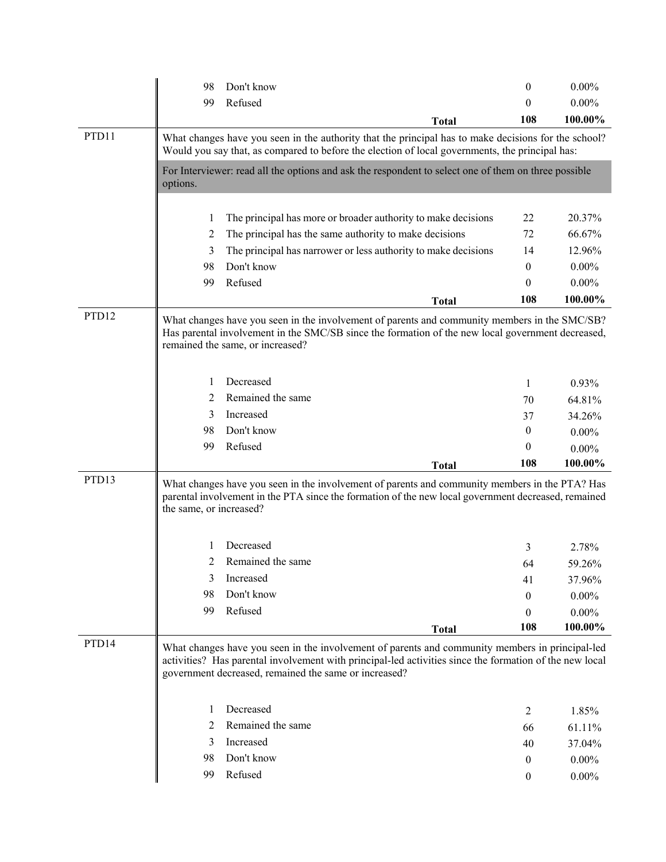|                   | 98                                                                                                                                                                                                      | Don't know                                                                                                                                                                                                                                                          | 0        | $0.00\%$ |  |  |
|-------------------|---------------------------------------------------------------------------------------------------------------------------------------------------------------------------------------------------------|---------------------------------------------------------------------------------------------------------------------------------------------------------------------------------------------------------------------------------------------------------------------|----------|----------|--|--|
|                   | 99                                                                                                                                                                                                      | Refused                                                                                                                                                                                                                                                             | $\theta$ | $0.00\%$ |  |  |
|                   |                                                                                                                                                                                                         | <b>Total</b>                                                                                                                                                                                                                                                        | 108      | 100.00%  |  |  |
| PTD11             | What changes have you seen in the authority that the principal has to make decisions for the school?<br>Would you say that, as compared to before the election of local governments, the principal has: |                                                                                                                                                                                                                                                                     |          |          |  |  |
|                   | options.                                                                                                                                                                                                | For Interviewer: read all the options and ask the respondent to select one of them on three possible                                                                                                                                                                |          |          |  |  |
|                   | 1                                                                                                                                                                                                       | The principal has more or broader authority to make decisions                                                                                                                                                                                                       | 22       | 20.37%   |  |  |
|                   | 2                                                                                                                                                                                                       | The principal has the same authority to make decisions                                                                                                                                                                                                              | 72       | 66.67%   |  |  |
|                   | 3                                                                                                                                                                                                       | The principal has narrower or less authority to make decisions                                                                                                                                                                                                      | 14       | 12.96%   |  |  |
|                   | 98                                                                                                                                                                                                      | Don't know                                                                                                                                                                                                                                                          | 0        | $0.00\%$ |  |  |
|                   | 99                                                                                                                                                                                                      | Refused                                                                                                                                                                                                                                                             | 0        | $0.00\%$ |  |  |
|                   |                                                                                                                                                                                                         | <b>Total</b>                                                                                                                                                                                                                                                        | 108      | 100.00%  |  |  |
| PTD <sub>12</sub> |                                                                                                                                                                                                         | What changes have you seen in the involvement of parents and community members in the SMC/SB?<br>Has parental involvement in the SMC/SB since the formation of the new local government decreased,<br>remained the same, or increased?                              |          |          |  |  |
|                   | 1                                                                                                                                                                                                       | Decreased                                                                                                                                                                                                                                                           | 1        | 0.93%    |  |  |
|                   | 2                                                                                                                                                                                                       | Remained the same                                                                                                                                                                                                                                                   | 70       | 64.81%   |  |  |
|                   | 3                                                                                                                                                                                                       | Increased                                                                                                                                                                                                                                                           | 37       | 34.26%   |  |  |
|                   | 98                                                                                                                                                                                                      | Don't know                                                                                                                                                                                                                                                          | 0        | $0.00\%$ |  |  |
|                   | 99                                                                                                                                                                                                      | Refused                                                                                                                                                                                                                                                             | $\theta$ | $0.00\%$ |  |  |
|                   |                                                                                                                                                                                                         | <b>Total</b>                                                                                                                                                                                                                                                        | 108      | 100.00%  |  |  |
| PTD13             | the same, or increased?                                                                                                                                                                                 | What changes have you seen in the involvement of parents and community members in the PTA? Has<br>parental involvement in the PTA since the formation of the new local government decreased, remained                                                               |          |          |  |  |
|                   | $\mathbf{I}$                                                                                                                                                                                            | Decreased                                                                                                                                                                                                                                                           | 3        | 2.78%    |  |  |
|                   |                                                                                                                                                                                                         | Remained the same                                                                                                                                                                                                                                                   | 64       | 59.26%   |  |  |
|                   | 3                                                                                                                                                                                                       | Increased                                                                                                                                                                                                                                                           | 41       | 37.96%   |  |  |
|                   | 98                                                                                                                                                                                                      | Don't know                                                                                                                                                                                                                                                          | 0        | $0.00\%$ |  |  |
|                   | 99                                                                                                                                                                                                      | Refused                                                                                                                                                                                                                                                             | 0        | $0.00\%$ |  |  |
|                   |                                                                                                                                                                                                         | <b>Total</b>                                                                                                                                                                                                                                                        | 108      | 100.00%  |  |  |
| PTD <sub>14</sub> |                                                                                                                                                                                                         | What changes have you seen in the involvement of parents and community members in principal-led<br>activities? Has parental involvement with principal-led activities since the formation of the new local<br>government decreased, remained the same or increased? |          |          |  |  |
|                   |                                                                                                                                                                                                         |                                                                                                                                                                                                                                                                     |          |          |  |  |
|                   | 1                                                                                                                                                                                                       | Decreased                                                                                                                                                                                                                                                           | 2        | 1.85%    |  |  |
|                   | 2                                                                                                                                                                                                       | Remained the same                                                                                                                                                                                                                                                   | 66       | 61.11%   |  |  |
|                   | 3                                                                                                                                                                                                       | Increased                                                                                                                                                                                                                                                           | 40       | 37.04%   |  |  |
|                   | 98                                                                                                                                                                                                      | Don't know                                                                                                                                                                                                                                                          | 0        | $0.00\%$ |  |  |
|                   | 99                                                                                                                                                                                                      | Refused                                                                                                                                                                                                                                                             | 0        | $0.00\%$ |  |  |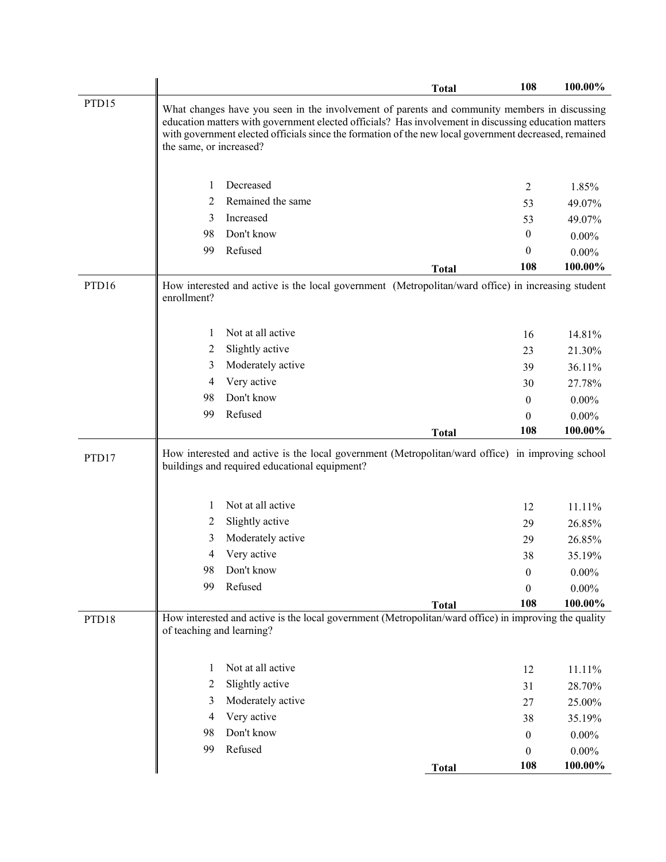|       |                           |                                                                                                                                                                                                                                                                                                               | <b>Total</b> | 108                    | 100.00%             |
|-------|---------------------------|---------------------------------------------------------------------------------------------------------------------------------------------------------------------------------------------------------------------------------------------------------------------------------------------------------------|--------------|------------------------|---------------------|
| PTD15 | the same, or increased?   | What changes have you seen in the involvement of parents and community members in discussing<br>education matters with government elected officials? Has involvement in discussing education matters<br>with government elected officials since the formation of the new local government decreased, remained |              |                        |                     |
|       |                           |                                                                                                                                                                                                                                                                                                               |              |                        |                     |
|       | 1                         | Decreased                                                                                                                                                                                                                                                                                                     |              | 2                      | 1.85%               |
|       | 2<br>3                    | Remained the same<br>Increased                                                                                                                                                                                                                                                                                |              | 53                     | 49.07%              |
|       | 98                        | Don't know                                                                                                                                                                                                                                                                                                    |              | 53<br>$\boldsymbol{0}$ | 49.07%              |
|       | 99                        | Refused                                                                                                                                                                                                                                                                                                       |              | 0                      | $0.00\%$            |
|       |                           |                                                                                                                                                                                                                                                                                                               |              | 108                    | $0.00\%$<br>100.00% |
|       |                           |                                                                                                                                                                                                                                                                                                               | <b>Total</b> |                        |                     |
| PTD16 | enrollment?               | How interested and active is the local government (Metropolitan/ward office) in increasing student                                                                                                                                                                                                            |              |                        |                     |
|       | 1                         | Not at all active                                                                                                                                                                                                                                                                                             |              | 16                     | 14.81%              |
|       | 2                         | Slightly active                                                                                                                                                                                                                                                                                               |              | 23                     | 21.30%              |
|       | 3                         | Moderately active                                                                                                                                                                                                                                                                                             |              | 39                     | 36.11%              |
|       | 4                         | Very active                                                                                                                                                                                                                                                                                                   |              | 30                     | 27.78%              |
|       | 98                        | Don't know                                                                                                                                                                                                                                                                                                    |              | 0                      | $0.00\%$            |
|       | 99                        | Refused                                                                                                                                                                                                                                                                                                       |              | 0                      | $0.00\%$            |
|       |                           |                                                                                                                                                                                                                                                                                                               | <b>Total</b> | 108                    | 100.00%             |
| PTD17 |                           | How interested and active is the local government (Metropolitan/ward office) in improving school<br>buildings and required educational equipment?                                                                                                                                                             |              |                        |                     |
|       | 1                         | Not at all active                                                                                                                                                                                                                                                                                             |              | 12                     | 11.11%              |
|       | 2                         | Slightly active                                                                                                                                                                                                                                                                                               |              | 29                     | 26.85%              |
|       | 3                         | Moderately active                                                                                                                                                                                                                                                                                             |              | 29                     | 26.85%              |
|       | 4                         | Very active                                                                                                                                                                                                                                                                                                   |              | 38                     | 35.19%              |
|       | 98                        | Don't know                                                                                                                                                                                                                                                                                                    |              | 0                      | $0.00\%$            |
|       | 99                        | Refused                                                                                                                                                                                                                                                                                                       |              | $\boldsymbol{0}$       | $0.00\%$            |
|       |                           |                                                                                                                                                                                                                                                                                                               | <b>Total</b> | 108                    | 100.00%             |
| PTD18 | of teaching and learning? | How interested and active is the local government (Metropolitan/ward office) in improving the quality                                                                                                                                                                                                         |              |                        |                     |
|       | 1                         | Not at all active                                                                                                                                                                                                                                                                                             |              | 12                     | 11.11%              |
|       | 2                         | Slightly active                                                                                                                                                                                                                                                                                               |              | 31                     | 28.70%              |
|       | 3                         | Moderately active                                                                                                                                                                                                                                                                                             |              | 27                     | 25.00%              |
|       | 4                         | Very active                                                                                                                                                                                                                                                                                                   |              | 38                     | 35.19%              |
|       | 98                        | Don't know                                                                                                                                                                                                                                                                                                    |              | $\overline{0}$         | $0.00\%$            |
|       | 99                        | Refused                                                                                                                                                                                                                                                                                                       |              | 0                      | $0.00\%$            |
|       |                           |                                                                                                                                                                                                                                                                                                               | <b>Total</b> | 108                    | 100.00%             |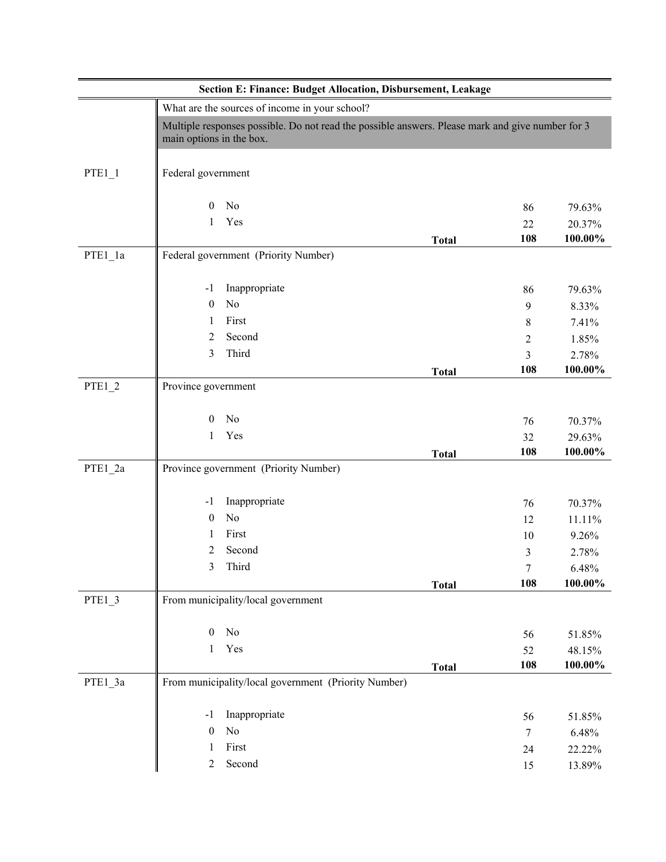|           | Section E: Finance: Budget Allocation, Disbursement, Leakage                                                                 |              |                |         |
|-----------|------------------------------------------------------------------------------------------------------------------------------|--------------|----------------|---------|
|           | What are the sources of income in your school?                                                                               |              |                |         |
|           | Multiple responses possible. Do not read the possible answers. Please mark and give number for 3<br>main options in the box. |              |                |         |
| $PTE1_1$  | Federal government                                                                                                           |              |                |         |
|           | No<br>$\overline{0}$                                                                                                         |              | 86             | 79.63%  |
|           | Yes<br>1                                                                                                                     |              | 22             | 20.37%  |
|           |                                                                                                                              | <b>Total</b> | 108            | 100.00% |
| $PTE1_1a$ | Federal government (Priority Number)                                                                                         |              |                |         |
|           | Inappropriate<br>$-1$                                                                                                        |              | 86             | 79.63%  |
|           | No<br>$\boldsymbol{0}$                                                                                                       |              | 9              | 8.33%   |
|           | First<br>1                                                                                                                   |              | 8              | 7.41%   |
|           | Second<br>2                                                                                                                  |              | $\overline{2}$ | 1.85%   |
|           | Third<br>3                                                                                                                   |              | 3              | 2.78%   |
|           |                                                                                                                              | <b>Total</b> | 108            | 100.00% |
| $PTE1_2$  | Province government                                                                                                          |              |                |         |
|           | $\mathbf{0}$<br>No                                                                                                           |              | 76             | 70.37%  |
|           | Yes<br>1                                                                                                                     |              | 32             | 29.63%  |
|           |                                                                                                                              | <b>Total</b> | 108            | 100.00% |
| PTE1_2a   | Province government (Priority Number)                                                                                        |              |                |         |
|           | Inappropriate<br>$-1$                                                                                                        |              | 76             | 70.37%  |
|           | No<br>$\mathbf{0}$                                                                                                           |              | 12             | 11.11%  |
|           | First<br>1                                                                                                                   |              | 10             | 9.26%   |
|           | 2<br>Second                                                                                                                  |              | 3              | 2.78%   |
|           | Third<br>3                                                                                                                   |              | 7              | 6.48%   |
|           |                                                                                                                              | <b>Total</b> | 108            | 100.00% |
| $PTE1_3$  | From municipality/local government                                                                                           |              |                |         |
|           | $\rm No$<br>$\overline{0}$                                                                                                   |              | 56             | 51.85%  |
|           | Yes<br>1                                                                                                                     |              | 52             | 48.15%  |
|           |                                                                                                                              | <b>Total</b> | 108            | 100.00% |
| PTE1_3a   | From municipality/local government (Priority Number)                                                                         |              |                |         |
|           | Inappropriate<br>$-1$                                                                                                        |              | 56             | 51.85%  |
|           | No<br>$\boldsymbol{0}$                                                                                                       |              | $\tau$         | 6.48%   |
|           | First<br>1                                                                                                                   |              | 24             | 22.22%  |
|           | Second<br>$\overline{2}$                                                                                                     |              | 15             | 13.89%  |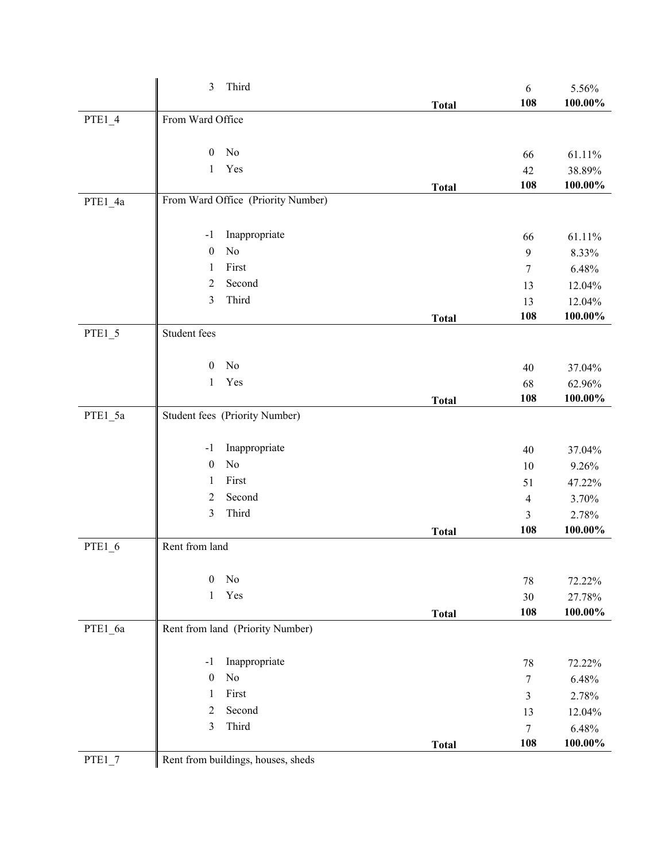|          | 3<br>Third                         |              | 6              | 5.56%                |
|----------|------------------------------------|--------------|----------------|----------------------|
|          | From Ward Office                   | <b>Total</b> | 108            | 100.00%              |
| $PTE1_4$ |                                    |              |                |                      |
|          | No<br>$\mathbf{0}$                 |              | 66             | 61.11%               |
|          | Yes<br>$\mathbf{1}$                |              | 42             | 38.89%               |
|          |                                    | <b>Total</b> | 108            | 100.00%              |
| PTE1_4a  | From Ward Office (Priority Number) |              |                |                      |
|          |                                    |              |                |                      |
|          | Inappropriate<br>$-1$              |              | 66             | 61.11%               |
|          | No<br>$\boldsymbol{0}$             |              | 9              | 8.33%                |
|          | First<br>1                         |              | 7              | 6.48%                |
|          | Second<br>2                        |              | 13             | 12.04%               |
|          | Third<br>3                         |              | 13             | 12.04%               |
|          |                                    | <b>Total</b> | 108            | 100.00%              |
| $PTE1_5$ | Student fees                       |              |                |                      |
|          | No<br>$\boldsymbol{0}$             |              | 40             | 37.04%               |
|          | Yes<br>1                           |              | 68             | 62.96%               |
|          |                                    | <b>Total</b> | 108            | 100.00%              |
| PTE1_5a  | Student fees (Priority Number)     |              |                |                      |
|          |                                    |              |                |                      |
|          | Inappropriate<br>$-1$              |              | 40             | 37.04%               |
|          | No<br>$\boldsymbol{0}$             |              | 10             | 9.26%                |
|          | First<br>1                         |              | 51             | 47.22%               |
|          | Second<br>2                        |              | $\overline{4}$ | 3.70%                |
|          | Third<br>3                         |              | 3              | 2.78%                |
|          |                                    | <b>Total</b> | 108            | 100.00%              |
| PTE1_6   | Rent from land                     |              |                |                      |
|          | $\mathbf{0}$<br>No                 |              |                |                      |
|          | Yes<br>$\mathbf{1}$                |              | 78             | 72.22%               |
|          |                                    |              | 30<br>108      | 27.78%<br>$100.00\%$ |
| PTE1_6a  | Rent from land (Priority Number)   | <b>Total</b> |                |                      |
|          |                                    |              |                |                      |
|          | Inappropriate<br>-1                |              | 78             | 72.22%               |
|          | No<br>$\boldsymbol{0}$             |              | 7              | 6.48%                |
|          | First<br>1                         |              | 3              | 2.78%                |
|          | Second<br>2                        |              | 13             | 12.04%               |
|          | Third<br>3                         |              | $\tau$         | 6.48%                |
|          |                                    | <b>Total</b> | 108            | 100.00%              |
| $PTE1_7$ | Rent from buildings, houses, sheds |              |                |                      |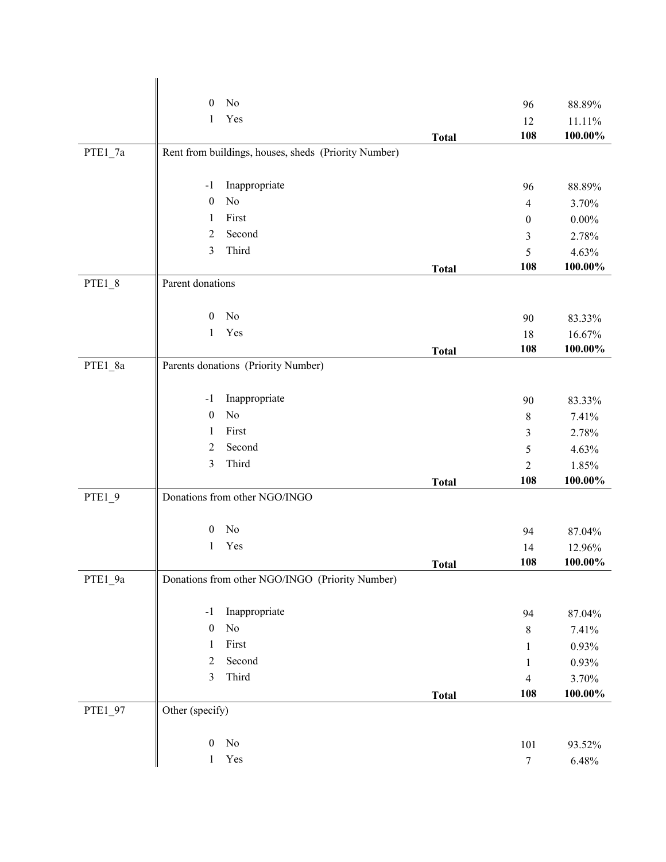|          | No<br>$\boldsymbol{0}$                               |              | 96               | 88.89%               |
|----------|------------------------------------------------------|--------------|------------------|----------------------|
|          | Yes<br>1                                             |              | 12               | 11.11%               |
|          |                                                      | <b>Total</b> | 108              | 100.00%              |
| PTE1_7a  | Rent from buildings, houses, sheds (Priority Number) |              |                  |                      |
|          |                                                      |              |                  |                      |
|          | Inappropriate<br>$-1$                                |              | 96               | 88.89%               |
|          | No<br>$\boldsymbol{0}$                               |              | $\overline{4}$   | 3.70%                |
|          | First<br>1                                           |              | $\boldsymbol{0}$ | $0.00\%$             |
|          | Second<br>2                                          |              | 3                | 2.78%                |
|          | Third<br>3                                           |              | 5                | 4.63%                |
|          |                                                      | <b>Total</b> | 108              | $100.00\%$           |
| $PTE1_8$ | Parent donations                                     |              |                  |                      |
|          |                                                      |              |                  |                      |
|          | No<br>$\mathbf{0}$                                   |              | 90               | 83.33%               |
|          | Yes<br>$\mathbf{1}$                                  |              | 18               | 16.67%               |
|          |                                                      | <b>Total</b> | 108              | 100.00%              |
| PTE1_8a  | Parents donations (Priority Number)                  |              |                  |                      |
|          |                                                      |              |                  |                      |
|          | Inappropriate<br>$-1$                                |              | 90               | 83.33%               |
|          | No<br>$\boldsymbol{0}$                               |              | $\,8\,$          | 7.41%                |
|          | First<br>1                                           |              | 3                | 2.78%                |
|          | Second<br>$\overline{2}$                             |              | 5                | 4.63%                |
|          | Third<br>3                                           |              | $\overline{2}$   | 1.85%                |
|          |                                                      | <b>Total</b> | 108              | 100.00%              |
| PTE1_9   | Donations from other NGO/INGO                        |              |                  |                      |
|          | No<br>$\boldsymbol{0}$                               |              |                  |                      |
|          | Yes<br>1                                             |              | 94               | 87.04%               |
|          |                                                      |              | 14               | 12.96%<br>$100.00\%$ |
| PTE1_9a  | Donations from other NGO/INGO (Priority Number)      | <b>Total</b> | <b>108</b>       |                      |
|          |                                                      |              |                  |                      |
|          | Inappropriate<br>$-1$                                |              | 94               | 87.04%               |
|          | No<br>$\boldsymbol{0}$                               |              | $\,8\,$          | 7.41%                |
|          | First<br>1                                           |              | 1                | 0.93%                |
|          | Second<br>$\overline{c}$                             |              | 1                | 0.93%                |
|          | $\mathfrak{Z}$<br>Third                              |              | $\overline{4}$   | 3.70%                |
|          |                                                      | <b>Total</b> | 108              | 100.00%              |
| PTE1_97  | Other (specify)                                      |              |                  |                      |
|          |                                                      |              |                  |                      |
|          | $\rm No$<br>$\boldsymbol{0}$                         |              | 101              | 93.52%               |
|          | $\operatorname{Yes}$<br>$\mathbf{1}$                 |              | $\boldsymbol{7}$ | 6.48%                |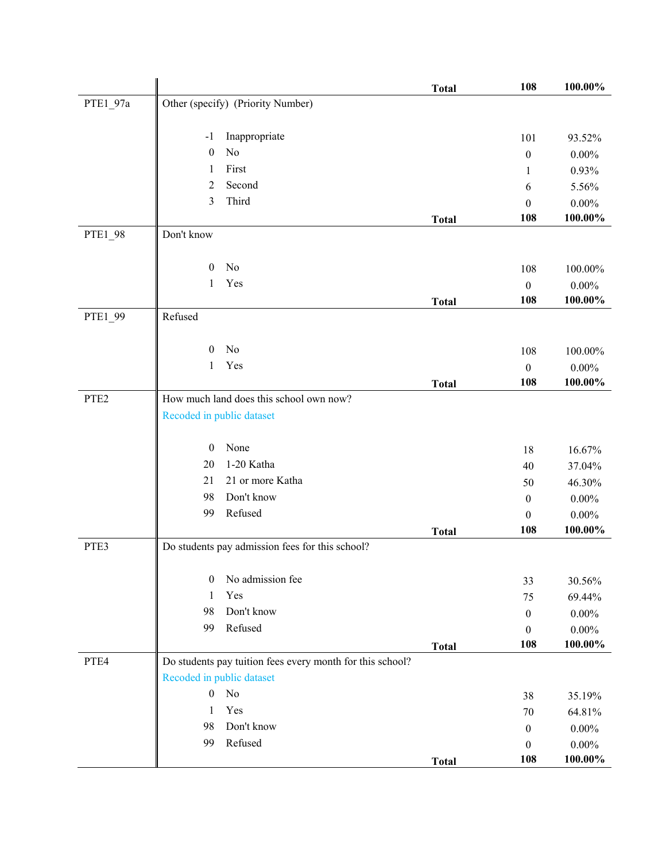|                  |                           |                                                           | <b>Total</b> | 108              | 100.00%    |
|------------------|---------------------------|-----------------------------------------------------------|--------------|------------------|------------|
| PTE1_97a         |                           | Other (specify) (Priority Number)                         |              |                  |            |
|                  |                           |                                                           |              |                  |            |
|                  | $-1$                      | Inappropriate                                             |              | 101              | 93.52%     |
|                  | $\mathbf{0}$              | No                                                        |              | $\boldsymbol{0}$ | $0.00\%$   |
|                  | 1                         | First                                                     |              | 1                | 0.93%      |
|                  | $\overline{2}$            | Second                                                    |              | 6                | 5.56%      |
|                  | 3                         | Third                                                     |              | $\boldsymbol{0}$ | $0.00\%$   |
|                  |                           |                                                           | <b>Total</b> | 108              | 100.00%    |
| PTE1_98          | Don't know                |                                                           |              |                  |            |
|                  |                           |                                                           |              |                  |            |
|                  | $\boldsymbol{0}$          | No                                                        |              | 108              | 100.00%    |
|                  | 1                         | Yes                                                       |              | $\boldsymbol{0}$ | $0.00\%$   |
|                  |                           |                                                           | <b>Total</b> | 108              | 100.00%    |
| PTE1_99          | Refused                   |                                                           |              |                  |            |
|                  |                           |                                                           |              |                  |            |
|                  | $\mathbf{0}$              | No                                                        |              | 108              | 100.00%    |
|                  | $\mathbf{1}$              | Yes                                                       |              | $\boldsymbol{0}$ | $0.00\%$   |
|                  |                           |                                                           | <b>Total</b> | 108              | 100.00%    |
| PTE <sub>2</sub> |                           | How much land does this school own now?                   |              |                  |            |
|                  | Recoded in public dataset |                                                           |              |                  |            |
|                  |                           |                                                           |              |                  |            |
|                  | $\boldsymbol{0}$          | None                                                      |              | 18               | 16.67%     |
|                  | 20                        | 1-20 Katha                                                |              | 40               | 37.04%     |
|                  | 21                        | 21 or more Katha                                          |              | 50               | 46.30%     |
|                  | 98                        | Don't know                                                |              | $\boldsymbol{0}$ | $0.00\%$   |
|                  | 99                        | Refused                                                   |              | $\boldsymbol{0}$ | $0.00\%$   |
|                  |                           |                                                           | <b>Total</b> | 108              | 100.00%    |
| PTE3             |                           | Do students pay admission fees for this school?           |              |                  |            |
|                  |                           |                                                           |              |                  |            |
|                  | $\mathbf{0}$              | No admission fee                                          |              | 33               | 30.56%     |
|                  | 1                         | Yes                                                       |              | 75               | 69.44%     |
|                  | 98                        | Don't know                                                |              | $\boldsymbol{0}$ | $0.00\%$   |
|                  | 99                        | Refused                                                   |              | $\theta$         | $0.00\%$   |
|                  |                           |                                                           | <b>Total</b> | 108              | $100.00\%$ |
| PTE4             |                           | Do students pay tuition fees every month for this school? |              |                  |            |
|                  | Recoded in public dataset |                                                           |              |                  |            |
|                  | $\boldsymbol{0}$          | No                                                        |              | 38               | 35.19%     |
|                  | 1                         | Yes                                                       |              | $70\,$           | 64.81%     |
|                  | 98                        | Don't know                                                |              | $\boldsymbol{0}$ | $0.00\%$   |
|                  | 99                        | Refused                                                   |              | $\boldsymbol{0}$ | $0.00\%$   |
|                  |                           |                                                           | <b>Total</b> | 108              | $100.00\%$ |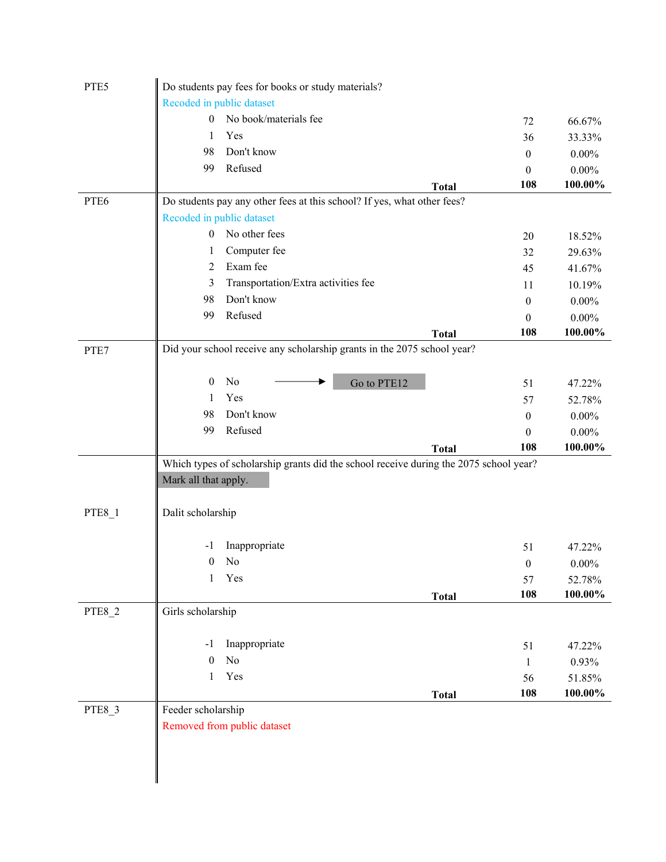| PTE5          | Do students pay fees for books or study materials?                                    |              |                  |            |
|---------------|---------------------------------------------------------------------------------------|--------------|------------------|------------|
|               | Recoded in public dataset                                                             |              |                  |            |
|               | No book/materials fee<br>$\overline{0}$                                               |              | 72               | 66.67%     |
|               | Yes<br>1                                                                              |              | 36               | 33.33%     |
|               | Don't know<br>98                                                                      |              | $\mathbf{0}$     | $0.00\%$   |
|               | Refused<br>99                                                                         |              | $\boldsymbol{0}$ | $0.00\%$   |
|               |                                                                                       | <b>Total</b> | 108              | 100.00%    |
| PTE6          | Do students pay any other fees at this school? If yes, what other fees?               |              |                  |            |
|               | Recoded in public dataset                                                             |              |                  |            |
|               | No other fees<br>$\overline{0}$                                                       |              | 20               | 18.52%     |
|               | Computer fee<br>1                                                                     |              | 32               | 29.63%     |
|               | Exam fee<br>2                                                                         |              | 45               | 41.67%     |
|               | Transportation/Extra activities fee<br>3                                              |              | 11               | 10.19%     |
|               | Don't know<br>98                                                                      |              | $\mathbf{0}$     | $0.00\%$   |
|               | Refused<br>99                                                                         |              | $\theta$         | $0.00\%$   |
|               |                                                                                       | <b>Total</b> | 108              | 100.00%    |
| PTE7          | Did your school receive any scholarship grants in the 2075 school year?               |              |                  |            |
|               |                                                                                       |              |                  |            |
|               | No<br>$\mathbf{0}$<br>Go to PTE12                                                     |              | 51               | 47.22%     |
|               | Yes<br>1                                                                              |              | 57               | 52.78%     |
|               | Don't know<br>98                                                                      |              | $\boldsymbol{0}$ | $0.00\%$   |
|               | Refused<br>99                                                                         |              | $\mathbf{0}$     | $0.00\%$   |
|               |                                                                                       | <b>Total</b> | 108              | 100.00%    |
|               | Which types of scholarship grants did the school receive during the 2075 school year? |              |                  |            |
|               | Mark all that apply.                                                                  |              |                  |            |
|               |                                                                                       |              |                  |            |
| <b>PTE8_1</b> | Dalit scholarship                                                                     |              |                  |            |
|               |                                                                                       |              |                  |            |
|               | Inappropriate<br>-1                                                                   |              | 51               | 47.22%     |
|               | No<br>$\boldsymbol{0}$                                                                |              | $\boldsymbol{0}$ | $0.00\%$   |
|               | Yes<br>$\mathbf{1}$                                                                   |              | 57               | 52.78%     |
|               |                                                                                       | <b>Total</b> | 108              | 100.00%    |
| PTE8_2        | Girls scholarship                                                                     |              |                  |            |
|               |                                                                                       |              |                  |            |
|               | Inappropriate<br>$-1$                                                                 |              | 51               | 47.22%     |
|               | No<br>$\boldsymbol{0}$                                                                |              | 1                | 0.93%      |
|               | Yes<br>$\mathbf{1}$                                                                   |              | 56               | 51.85%     |
|               |                                                                                       | <b>Total</b> | 108              | $100.00\%$ |
| PTE8_3        | Feeder scholarship                                                                    |              |                  |            |
|               | Removed from public dataset                                                           |              |                  |            |
|               |                                                                                       |              |                  |            |
|               |                                                                                       |              |                  |            |
|               |                                                                                       |              |                  |            |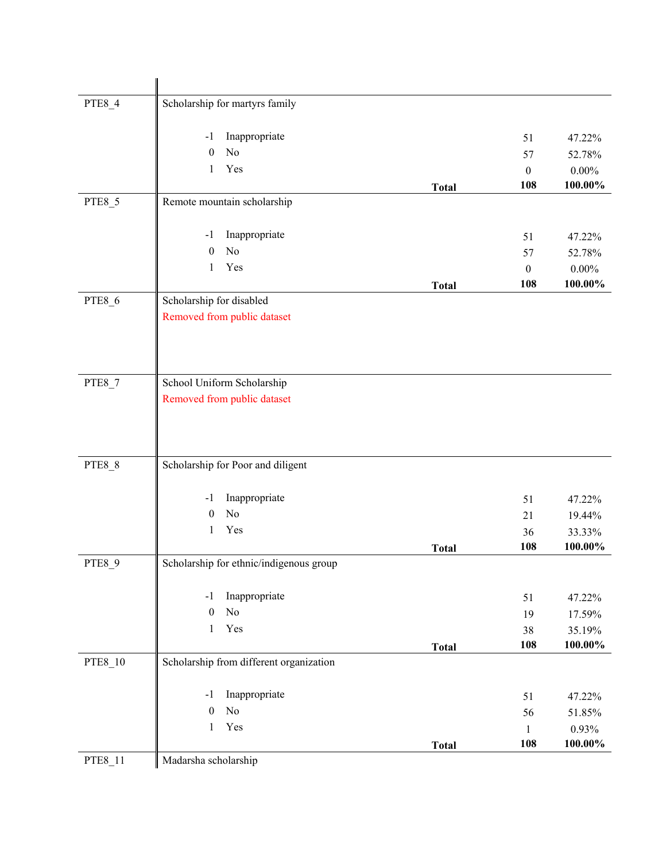| PTE8_4        | Scholarship for martyrs family                  |              |                  |                   |
|---------------|-------------------------------------------------|--------------|------------------|-------------------|
|               |                                                 |              |                  |                   |
|               | Inappropriate<br>$-1$                           |              | 51               | 47.22%            |
|               | No<br>$\mathbf{0}$                              |              | 57               | 52.78%            |
|               | Yes<br>1                                        |              | $\boldsymbol{0}$ | $0.00\%$          |
|               |                                                 | <b>Total</b> | 108              | 100.00%           |
| PTE8_5        | Remote mountain scholarship                     |              |                  |                   |
|               | Inappropriate<br>-1                             |              | 51               | 47.22%            |
|               | No<br>$\mathbf{0}$                              |              | 57               | 52.78%            |
|               | Yes<br>1                                        |              | $\mathbf{0}$     | $0.00\%$          |
|               |                                                 | <b>Total</b> | 108              | $100.00\%$        |
| PTE8_6        | Scholarship for disabled                        |              |                  |                   |
|               | Removed from public dataset                     |              |                  |                   |
|               |                                                 |              |                  |                   |
|               |                                                 |              |                  |                   |
|               |                                                 |              |                  |                   |
| <b>PTE8_7</b> | School Uniform Scholarship                      |              |                  |                   |
|               | Removed from public dataset                     |              |                  |                   |
|               |                                                 |              |                  |                   |
|               |                                                 |              |                  |                   |
| <b>PTE8_8</b> | Scholarship for Poor and diligent               |              |                  |                   |
|               |                                                 |              |                  |                   |
|               | Inappropriate<br>$-1$                           |              | 51               | 47.22%            |
|               | No<br>$\boldsymbol{0}$                          |              | 21               | 19.44%            |
|               | Yes<br>1                                        |              | 36               | 33.33%            |
|               |                                                 | <b>Total</b> | 108              | 100.00%           |
| PTE8_9        | Scholarship for ethnic/indigenous group         |              |                  |                   |
|               |                                                 |              |                  |                   |
|               | Inappropriate<br>$-1$<br>No<br>$\boldsymbol{0}$ |              | 51               | 47.22%            |
|               | Yes<br>$\mathbf{1}$                             |              | 19               | 17.59%            |
|               |                                                 |              | 38<br>108        | 35.19%<br>100.00% |
| PTE8_10       | Scholarship from different organization         | <b>Total</b> |                  |                   |
|               |                                                 |              |                  |                   |
|               | Inappropriate<br>$-1$                           |              | 51               | 47.22%            |
|               | No<br>$\boldsymbol{0}$                          |              | 56               | 51.85%            |
|               | Yes<br>$\mathbf{1}$                             |              | $\mathbf{1}$     | 0.93%             |
|               |                                                 | <b>Total</b> | 108              | 100.00%           |
| PTE8_11       | Madarsha scholarship                            |              |                  |                   |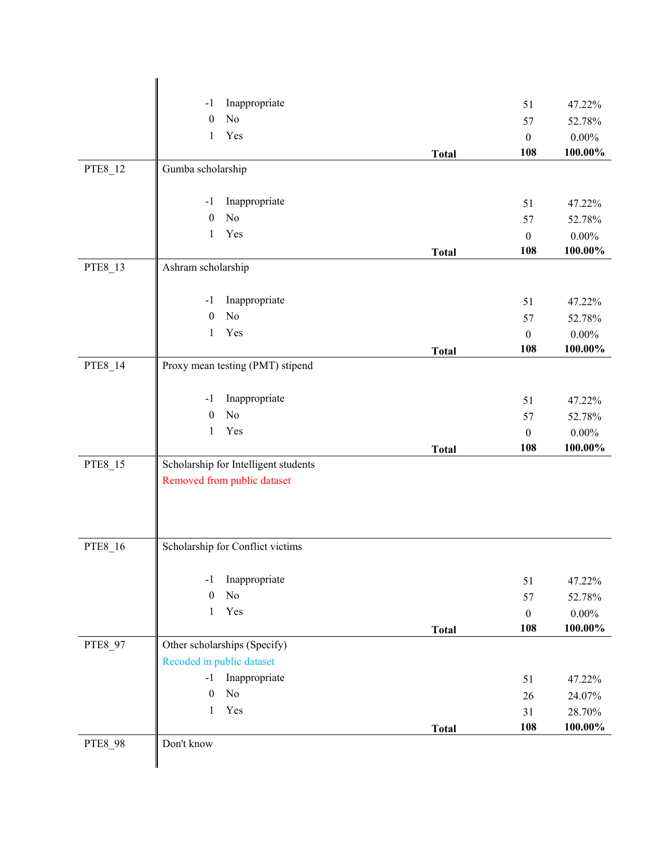|         | Inappropriate<br>$-1$                |              | 51               | 47.22%     |
|---------|--------------------------------------|--------------|------------------|------------|
|         | No<br>$\boldsymbol{0}$               |              | 57               | 52.78%     |
|         | Yes<br>$\mathbf{1}$                  |              | $\boldsymbol{0}$ | $0.00\%$   |
|         |                                      | <b>Total</b> | 108              | 100.00%    |
| PTE8_12 | Gumba scholarship                    |              |                  |            |
|         | Inappropriate<br>$-1$                |              | 51               | 47.22%     |
|         | No<br>$\mathbf{0}$                   |              | 57               | 52.78%     |
|         | Yes<br>$\mathbf{1}$                  |              | $\boldsymbol{0}$ | $0.00\%$   |
|         |                                      | <b>Total</b> | 108              | 100.00%    |
| PTE8_13 | Ashram scholarship                   |              |                  |            |
|         | Inappropriate<br>$-1$                |              | 51               | 47.22%     |
|         | No<br>$\boldsymbol{0}$               |              | 57               | 52.78%     |
|         | Yes<br>1                             |              | $\boldsymbol{0}$ | $0.00\%$   |
|         |                                      | <b>Total</b> | 108              | 100.00%    |
| PTE8_14 | Proxy mean testing (PMT) stipend     |              |                  |            |
|         | Inappropriate<br>$-1$                |              | 51               | 47.22%     |
|         | No<br>$\boldsymbol{0}$               |              | 57               | 52.78%     |
|         | Yes<br>1                             |              | $\boldsymbol{0}$ | $0.00\%$   |
|         |                                      | <b>Total</b> | 108              | $100.00\%$ |
| PTE8_15 | Scholarship for Intelligent students |              |                  |            |
|         | Removed from public dataset          |              |                  |            |
| PTE8_16 | Scholarship for Conflict victims     |              |                  |            |
|         | Inappropriate<br>$-1$                |              | 51               | 47.22%     |
|         | No<br>$\boldsymbol{0}$               |              | 57               | 52.78%     |
|         | Yes<br>$\mathbf{1}$                  |              | $\boldsymbol{0}$ | $0.00\%$   |
|         |                                      | <b>Total</b> | 108              | 100.00%    |
| PTE8 97 | Other scholarships (Specify)         |              |                  |            |
|         | Recoded in public dataset            |              |                  |            |
|         | Inappropriate<br>$-1$                |              | 51               | 47.22%     |
|         | No<br>$\boldsymbol{0}$               |              | 26               | 24.07%     |
|         | Yes<br>$\mathbf{1}$                  |              | 31               | 28.70%     |
|         |                                      | <b>Total</b> | 108              | 100.00%    |
| PTE8_98 | Don't know                           |              |                  |            |
|         |                                      |              |                  |            |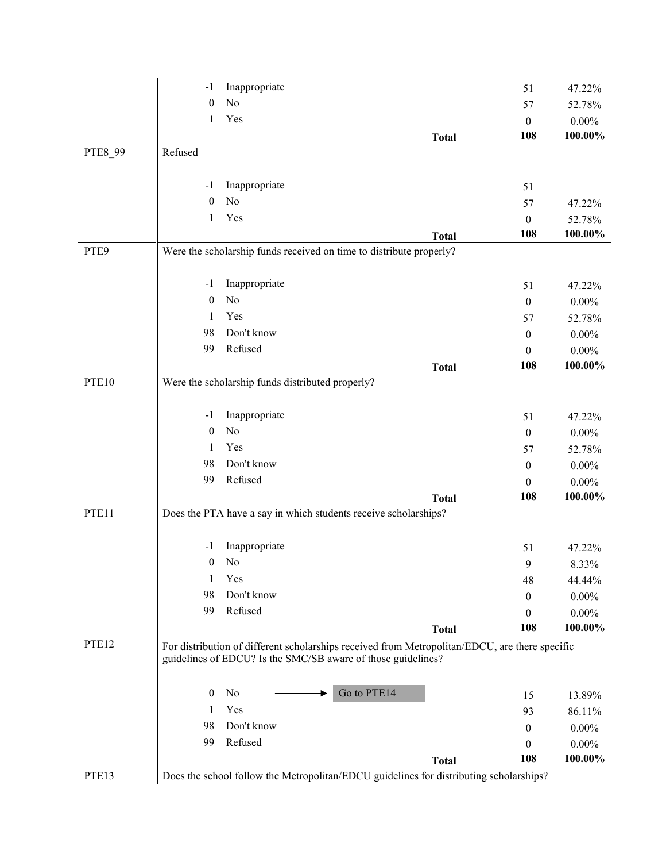|         | $-1$             | Inappropriate                                                   |                                                                                                | 51               | 47.22%   |
|---------|------------------|-----------------------------------------------------------------|------------------------------------------------------------------------------------------------|------------------|----------|
|         | $\mathbf{0}$     | N <sub>o</sub>                                                  |                                                                                                | 57               | 52.78%   |
|         | 1                | Yes                                                             |                                                                                                | $\boldsymbol{0}$ | $0.00\%$ |
|         |                  |                                                                 | <b>Total</b>                                                                                   | 108              | 100.00%  |
| PTE8_99 | Refused          |                                                                 |                                                                                                |                  |          |
|         |                  |                                                                 |                                                                                                |                  |          |
|         | $-1$             | Inappropriate                                                   |                                                                                                | 51               |          |
|         | $\mathbf{0}$     | No                                                              |                                                                                                | 57               | 47.22%   |
|         | 1                | Yes                                                             |                                                                                                | $\theta$         | 52.78%   |
|         |                  |                                                                 | <b>Total</b>                                                                                   | 108              | 100.00%  |
| PTE9    |                  |                                                                 | Were the scholarship funds received on time to distribute properly?                            |                  |          |
|         | $-1$             | Inappropriate                                                   |                                                                                                | 51               | 47.22%   |
|         | $\boldsymbol{0}$ | No                                                              |                                                                                                | $\boldsymbol{0}$ | $0.00\%$ |
|         | 1                | Yes                                                             |                                                                                                | 57               | 52.78%   |
|         | 98               | Don't know                                                      |                                                                                                | $\mathbf{0}$     | $0.00\%$ |
|         | 99               | Refused                                                         |                                                                                                | $\theta$         | $0.00\%$ |
|         |                  |                                                                 | <b>Total</b>                                                                                   | 108              | 100.00%  |
| PTE10   |                  | Were the scholarship funds distributed properly?                |                                                                                                |                  |          |
|         |                  |                                                                 |                                                                                                |                  |          |
|         | $-1$             | Inappropriate                                                   |                                                                                                | 51               | 47.22%   |
|         | $\boldsymbol{0}$ | No                                                              |                                                                                                | $\boldsymbol{0}$ | $0.00\%$ |
|         | 1                | Yes                                                             |                                                                                                | 57               | 52.78%   |
|         | 98               | Don't know                                                      |                                                                                                | $\mathbf{0}$     | $0.00\%$ |
|         | 99               | Refused                                                         |                                                                                                | $\boldsymbol{0}$ | $0.00\%$ |
|         |                  |                                                                 | <b>Total</b>                                                                                   | 108              | 100.00%  |
| PTE11   |                  | Does the PTA have a say in which students receive scholarships? |                                                                                                |                  |          |
|         | $-1$             | Inappropriate                                                   |                                                                                                | 51               | 47.22%   |
|         | $\boldsymbol{0}$ | No                                                              |                                                                                                | 9                | 8.33%    |
|         | 1                | Yes                                                             |                                                                                                | 48               | 44.44%   |
|         | 98               | Don't know                                                      |                                                                                                | $\bf{0}$         | $0.00\%$ |
|         | 99               | Refused                                                         |                                                                                                | $\mathbf{0}$     | $0.00\%$ |
|         |                  |                                                                 | <b>Total</b>                                                                                   | 108              | 100.00%  |
| PTE12   |                  | guidelines of EDCU? Is the SMC/SB aware of those guidelines?    | For distribution of different scholarships received from Metropolitan/EDCU, are there specific |                  |          |
|         | $\mathbf{0}$     | No                                                              | Go to PTE14                                                                                    | 15               | 13.89%   |
|         | 1                | Yes                                                             |                                                                                                | 93               | 86.11%   |
|         | 98               | Don't know                                                      |                                                                                                | $\mathbf{0}$     | $0.00\%$ |
|         | 99               | Refused                                                         |                                                                                                | $\boldsymbol{0}$ | $0.00\%$ |
|         |                  |                                                                 | <b>Total</b>                                                                                   | 108              | 100.00%  |
| PTE13   |                  |                                                                 | Does the school follow the Metropolitan/EDCU guidelines for distributing scholarships?         |                  |          |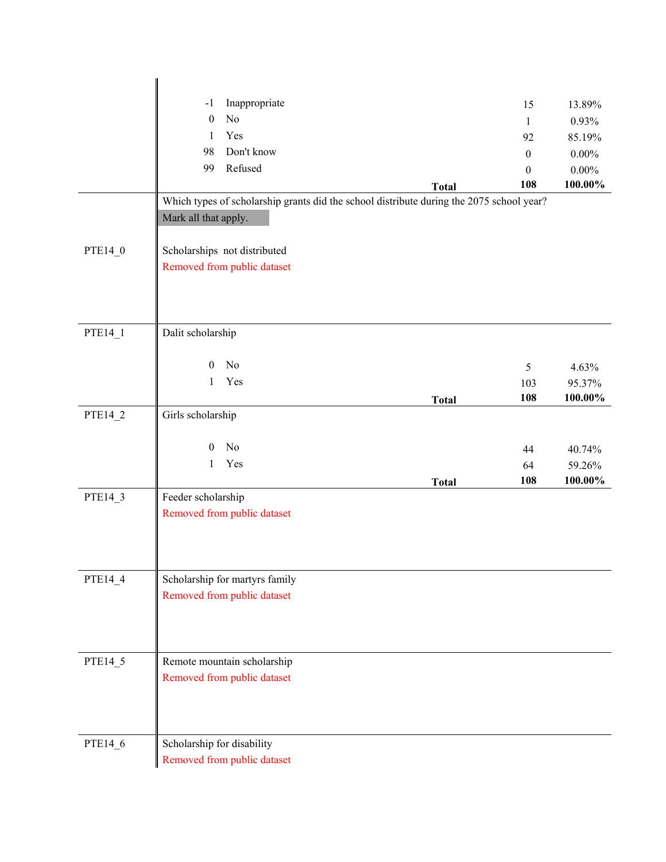|         | Inappropriate<br>$-1$                                                                    |              | 15               | 13.89%   |
|---------|------------------------------------------------------------------------------------------|--------------|------------------|----------|
|         | N <sub>o</sub><br>$\theta$                                                               |              | $\mathbf{1}$     | 0.93%    |
|         | Yes<br>$\mathbf{1}$                                                                      |              | 92               | 85.19%   |
|         | Don't know<br>98                                                                         |              | $\boldsymbol{0}$ | $0.00\%$ |
|         | Refused<br>99                                                                            |              | $\boldsymbol{0}$ | $0.00\%$ |
|         |                                                                                          | <b>Total</b> | 108              | 100.00%  |
|         | Which types of scholarship grants did the school distribute during the 2075 school year? |              |                  |          |
|         | Mark all that apply.                                                                     |              |                  |          |
|         |                                                                                          |              |                  |          |
| PTE14_0 | Scholarships not distributed                                                             |              |                  |          |
|         | Removed from public dataset                                                              |              |                  |          |
|         |                                                                                          |              |                  |          |
|         |                                                                                          |              |                  |          |
|         |                                                                                          |              |                  |          |
| PTE14_1 | Dalit scholarship                                                                        |              |                  |          |
|         |                                                                                          |              |                  |          |
|         | No<br>$\boldsymbol{0}$                                                                   |              | 5                | 4.63%    |
|         | Yes<br>$\mathbf{1}$                                                                      |              | 103              | 95.37%   |
|         |                                                                                          | <b>Total</b> | 108              | 100.00%  |
| PTE14_2 | Girls scholarship                                                                        |              |                  |          |
|         |                                                                                          |              |                  |          |
|         | No<br>$\theta$                                                                           |              | 44               | 40.74%   |
|         | Yes<br>$\mathbf{1}$                                                                      |              | 64               | 59.26%   |
|         |                                                                                          | <b>Total</b> | 108              | 100.00%  |
| PTE14_3 | Feeder scholarship                                                                       |              |                  |          |
|         | Removed from public dataset                                                              |              |                  |          |
|         |                                                                                          |              |                  |          |
|         |                                                                                          |              |                  |          |
|         |                                                                                          |              |                  |          |
| PTE14_4 | Scholarship for martyrs family                                                           |              |                  |          |
|         | Removed from public dataset                                                              |              |                  |          |
|         |                                                                                          |              |                  |          |
|         |                                                                                          |              |                  |          |
| PTE14_5 | Remote mountain scholarship                                                              |              |                  |          |
|         | Removed from public dataset                                                              |              |                  |          |
|         |                                                                                          |              |                  |          |
|         |                                                                                          |              |                  |          |
|         |                                                                                          |              |                  |          |
| PTE14_6 | Scholarship for disability                                                               |              |                  |          |
|         | Removed from public dataset                                                              |              |                  |          |
|         |                                                                                          |              |                  |          |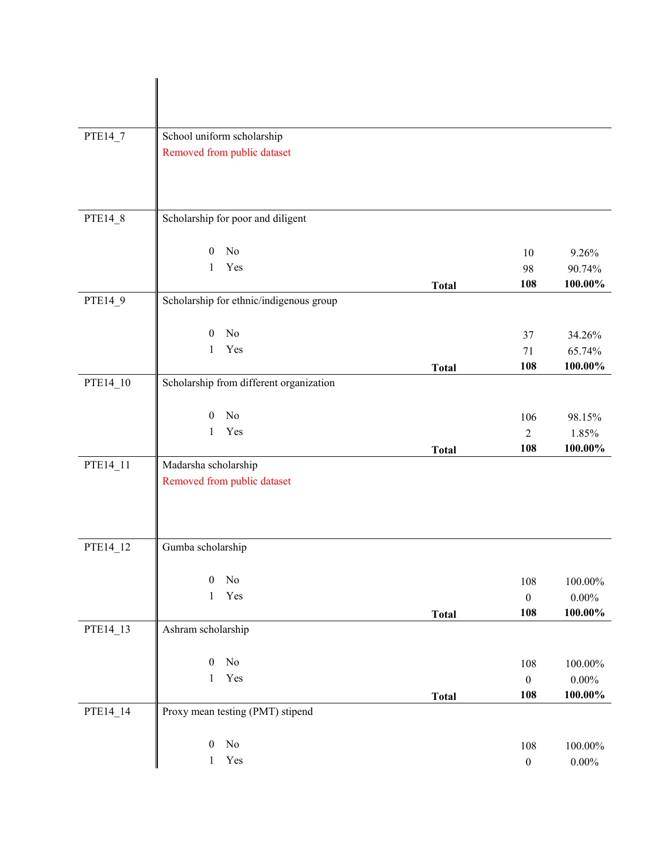| PTE14_7  | School uniform scholarship              |              |                  |            |
|----------|-----------------------------------------|--------------|------------------|------------|
|          | Removed from public dataset             |              |                  |            |
|          |                                         |              |                  |            |
|          |                                         |              |                  |            |
|          |                                         |              |                  |            |
|          |                                         |              |                  |            |
| PTE14_8  | Scholarship for poor and diligent       |              |                  |            |
|          |                                         |              |                  |            |
|          | No<br>$\mathbf{0}$                      |              | 10               | 9.26%      |
|          | Yes<br>$\mathbf{1}$                     |              | 98               | 90.74%     |
|          |                                         | <b>Total</b> | 108              | 100.00%    |
| PTE14_9  | Scholarship for ethnic/indigenous group |              |                  |            |
|          |                                         |              |                  |            |
|          | No<br>$\mathbf{0}$                      |              | 37               | 34.26%     |
|          | Yes<br>$\mathbf{1}$                     |              | 71               | 65.74%     |
|          |                                         | <b>Total</b> | 108              | 100.00%    |
| PTE14_10 | Scholarship from different organization |              |                  |            |
|          |                                         |              |                  |            |
|          | No<br>$\mathbf{0}$                      |              | 106              | 98.15%     |
|          | Yes<br>1                                |              | $\overline{2}$   | 1.85%      |
|          |                                         | <b>Total</b> | 108              | 100.00%    |
| PTE14_11 | Madarsha scholarship                    |              |                  |            |
|          | Removed from public dataset             |              |                  |            |
|          |                                         |              |                  |            |
|          |                                         |              |                  |            |
|          |                                         |              |                  |            |
| PTE14_12 | Gumba scholarship                       |              |                  |            |
|          |                                         |              |                  |            |
|          | No<br>$\boldsymbol{0}$                  |              | 108              | 100.00%    |
|          | Yes<br>$\mathbf{1}$                     |              | $\boldsymbol{0}$ | $0.00\%$   |
|          |                                         | <b>Total</b> | 108              | $100.00\%$ |
| PTE14_13 | Ashram scholarship                      |              |                  |            |
|          |                                         |              |                  |            |
|          | No<br>$\boldsymbol{0}$                  |              | 108              | 100.00%    |
|          | Yes<br>$\mathbf{1}$                     |              | $\boldsymbol{0}$ | $0.00\%$   |
|          |                                         | <b>Total</b> | 108              | 100.00%    |
| PTE14_14 | Proxy mean testing (PMT) stipend        |              |                  |            |
|          |                                         |              |                  |            |
|          | No<br>$\boldsymbol{0}$                  |              | 108              | $100.00\%$ |
|          | Yes<br>$\mathbf{1}$                     |              | $\boldsymbol{0}$ | $0.00\%$   |
|          |                                         |              |                  |            |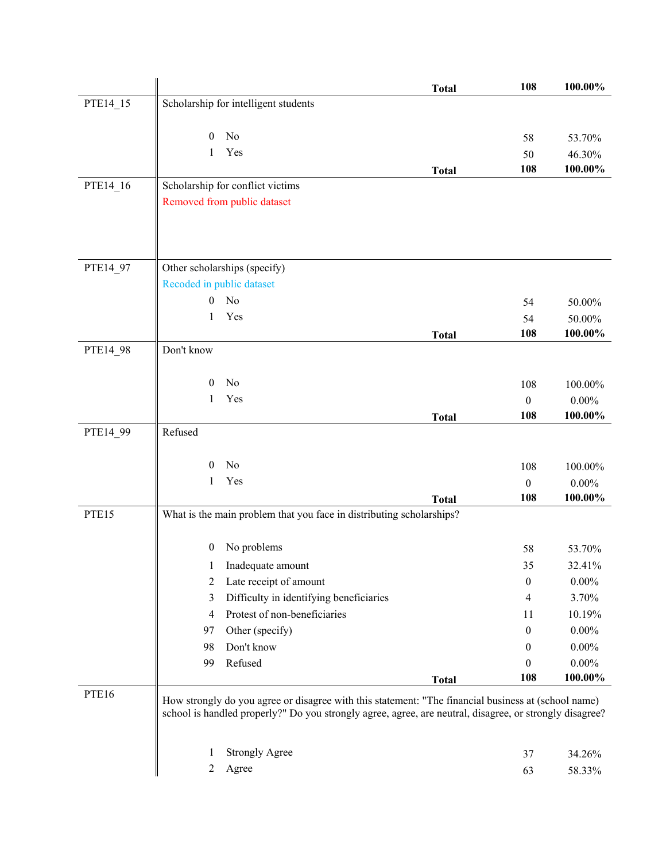|          |                                                                                                         | <b>Total</b> | 108                     | 100.00%             |
|----------|---------------------------------------------------------------------------------------------------------|--------------|-------------------------|---------------------|
| PTE14_15 | Scholarship for intelligent students                                                                    |              |                         |                     |
|          |                                                                                                         |              |                         |                     |
|          | No<br>$\mathbf{0}$                                                                                      |              | 58                      | 53.70%              |
|          | Yes<br>1                                                                                                |              | 50                      | 46.30%              |
|          |                                                                                                         | <b>Total</b> | 108                     | 100.00%             |
| PTE14_16 | Scholarship for conflict victims                                                                        |              |                         |                     |
|          | Removed from public dataset                                                                             |              |                         |                     |
|          |                                                                                                         |              |                         |                     |
|          |                                                                                                         |              |                         |                     |
|          |                                                                                                         |              |                         |                     |
| PTE14_97 | Other scholarships (specify)                                                                            |              |                         |                     |
|          | Recoded in public dataset                                                                               |              |                         |                     |
|          | $\mathbf{0}$<br>No                                                                                      |              | 54                      | 50.00%              |
|          | Yes<br>1                                                                                                |              | 54                      | 50.00%              |
|          |                                                                                                         | <b>Total</b> | 108                     | 100.00%             |
| PTE14_98 | Don't know                                                                                              |              |                         |                     |
|          | No                                                                                                      |              |                         |                     |
|          | $\mathbf{0}$<br>Yes<br>1                                                                                |              | 108                     | 100.00%             |
|          |                                                                                                         |              | $\boldsymbol{0}$<br>108 | $0.00\%$<br>100.00% |
| PTE14_99 | Refused                                                                                                 | <b>Total</b> |                         |                     |
|          |                                                                                                         |              |                         |                     |
|          | No<br>$\mathbf{0}$                                                                                      |              | 108                     | 100.00%             |
|          | Yes<br>1                                                                                                |              | $\boldsymbol{0}$        | $0.00\%$            |
|          |                                                                                                         | <b>Total</b> | 108                     | 100.00%             |
| PTE15    | What is the main problem that you face in distributing scholarships?                                    |              |                         |                     |
|          |                                                                                                         |              |                         |                     |
|          | No problems<br>$\boldsymbol{0}$                                                                         |              | 58                      | 53.70%              |
|          | Inadequate amount<br>$\mathbf{L}$                                                                       |              | 35                      | 32.41%              |
|          | Late receipt of amount<br>2                                                                             |              | $\boldsymbol{0}$        | $0.00\%$            |
|          | Difficulty in identifying beneficiaries<br>3                                                            |              | 4                       | 3.70%               |
|          | Protest of non-beneficiaries<br>4                                                                       |              | 11                      | 10.19%              |
|          | Other (specify)<br>97                                                                                   |              | $\mathbf{0}$            | $0.00\%$            |
|          | Don't know<br>98                                                                                        |              | $\bf{0}$                | $0.00\%$            |
|          | Refused<br>99                                                                                           |              | 0                       | $0.00\%$            |
|          |                                                                                                         | <b>Total</b> | 108                     | 100.00%             |
| PTE16    | How strongly do you agree or disagree with this statement: "The financial business at (school name)     |              |                         |                     |
|          | school is handled properly?" Do you strongly agree, agree, are neutral, disagree, or strongly disagree? |              |                         |                     |
|          |                                                                                                         |              |                         |                     |
|          | <b>Strongly Agree</b><br>1                                                                              |              | 37                      | 34.26%              |
|          | 2<br>Agree                                                                                              |              | 63                      | 58.33%              |
|          |                                                                                                         |              |                         |                     |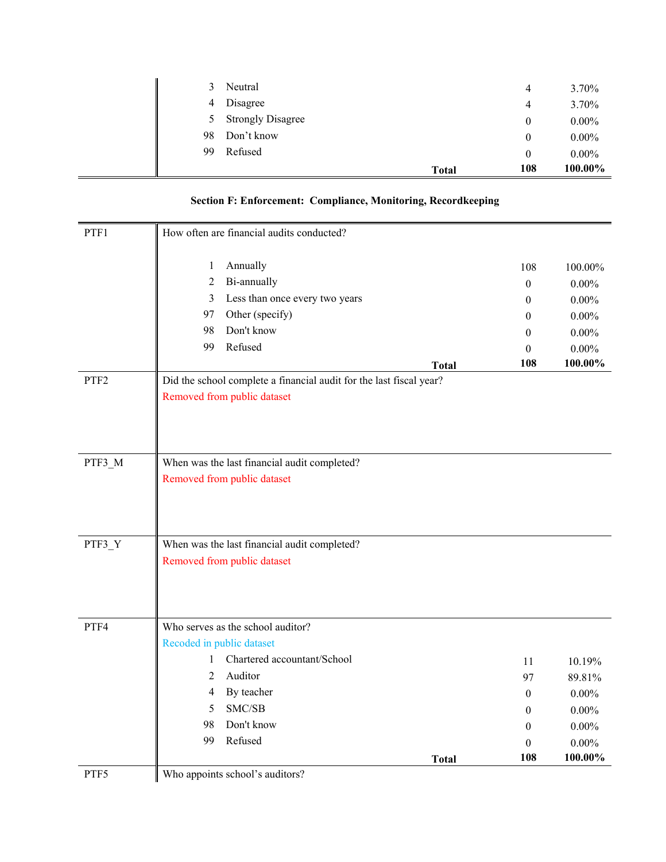|    |                          | <b>Total</b> | 108      | 100.00%  |
|----|--------------------------|--------------|----------|----------|
| 99 | Refused                  |              | $\theta$ | $0.00\%$ |
| 98 | Don't know               |              | $\theta$ | $0.00\%$ |
| Ć. | <b>Strongly Disagree</b> |              | $\theta$ | $0.00\%$ |
| 4  | Disagree                 |              | 4        | 3.70%    |
| 3  | Neutral                  |              | 4        | 3.70%    |

| <b>Section F: Enforcement: Compliance, Monitoring, Recordkeeping</b> |  |  |
|----------------------------------------------------------------------|--|--|
|                                                                      |  |  |

| PTF1             | How often are financial audits conducted?                           |                  |          |
|------------------|---------------------------------------------------------------------|------------------|----------|
|                  | Annually<br>1                                                       | 108              | 100.00%  |
|                  | 2<br>Bi-annually                                                    | $\boldsymbol{0}$ | $0.00\%$ |
|                  | Less than once every two years<br>3                                 | $\mathbf{0}$     | $0.00\%$ |
|                  | Other (specify)<br>97                                               | $\theta$         | $0.00\%$ |
|                  | Don't know<br>98                                                    | $\mathbf{0}$     | $0.00\%$ |
|                  | Refused<br>99                                                       | $\theta$         | $0.00\%$ |
|                  | <b>Total</b>                                                        | 108              | 100.00%  |
| PTF <sub>2</sub> | Did the school complete a financial audit for the last fiscal year? |                  |          |
|                  | Removed from public dataset                                         |                  |          |
|                  |                                                                     |                  |          |
|                  |                                                                     |                  |          |
| PTF3_M           | When was the last financial audit completed?                        |                  |          |
|                  | Removed from public dataset                                         |                  |          |
|                  |                                                                     |                  |          |
|                  |                                                                     |                  |          |
| PTF3_Y           | When was the last financial audit completed?                        |                  |          |
|                  | Removed from public dataset                                         |                  |          |
|                  |                                                                     |                  |          |
|                  |                                                                     |                  |          |
| PTF4             | Who serves as the school auditor?                                   |                  |          |
|                  | Recoded in public dataset                                           |                  |          |
|                  | Chartered accountant/School<br>1                                    | 11               | 10.19%   |
|                  | Auditor<br>2                                                        | 97               | 89.81%   |
|                  | By teacher<br>4                                                     | $\mathbf{0}$     | $0.00\%$ |
|                  | SMC/SB<br>5                                                         | $\theta$         | $0.00\%$ |
|                  | Don't know<br>98                                                    | $\mathbf{0}$     | $0.00\%$ |
|                  | Refused<br>99                                                       | $\mathbf{0}$     | $0.00\%$ |
|                  | <b>Total</b>                                                        | 108              | 100.00%  |
| PTF5             | Who appoints school's auditors?                                     |                  |          |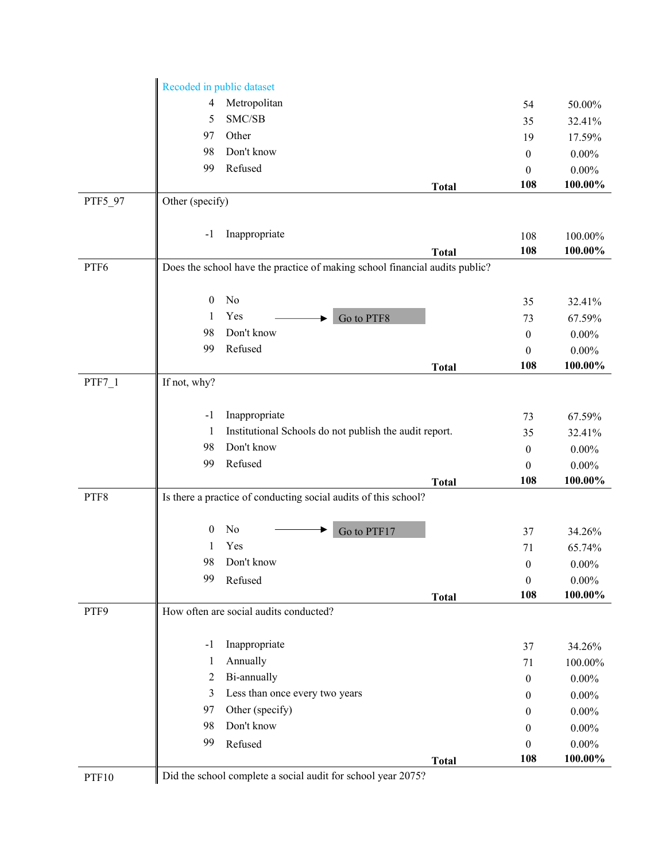|          | Recoded in public dataset                                       |                                                                             |              |                                  |                  |  |
|----------|-----------------------------------------------------------------|-----------------------------------------------------------------------------|--------------|----------------------------------|------------------|--|
|          | 4                                                               | Metropolitan                                                                |              | 54                               | 50.00%           |  |
|          | 5                                                               | SMC/SB                                                                      |              | 35                               | 32.41%           |  |
|          | 97                                                              | Other                                                                       |              | 19                               | 17.59%           |  |
|          | 98                                                              | Don't know                                                                  |              | $\mathbf{0}$                     | $0.00\%$         |  |
|          | 99                                                              | Refused                                                                     |              | $\boldsymbol{0}$                 | $0.00\%$         |  |
|          |                                                                 |                                                                             | <b>Total</b> | 108                              | 100.00%          |  |
| PTF5_97  | Other (specify)                                                 |                                                                             |              |                                  |                  |  |
|          |                                                                 |                                                                             |              |                                  |                  |  |
|          | $-1$                                                            | Inappropriate                                                               |              | 108                              | 100.00%          |  |
|          |                                                                 |                                                                             | <b>Total</b> | 108                              | 100.00%          |  |
| PTF6     |                                                                 | Does the school have the practice of making school financial audits public? |              |                                  |                  |  |
|          | $\overline{0}$                                                  | No                                                                          |              | 35                               | 32.41%           |  |
|          | 1                                                               | Yes<br>Go to PTF8                                                           |              | 73                               | 67.59%           |  |
|          | 98                                                              | Don't know                                                                  |              | $\theta$                         | $0.00\%$         |  |
|          | 99                                                              | Refused                                                                     |              | $\theta$                         | $0.00\%$         |  |
|          |                                                                 |                                                                             | <b>Total</b> | 108                              | 100.00%          |  |
| $PTF7_1$ | If not, why?                                                    |                                                                             |              |                                  |                  |  |
|          |                                                                 |                                                                             |              |                                  |                  |  |
|          | -1                                                              | Inappropriate                                                               |              | 73                               | 67.59%           |  |
|          | 1                                                               | Institutional Schools do not publish the audit report.                      |              | 35                               | 32.41%           |  |
|          | 98                                                              | Don't know                                                                  |              | $\theta$                         | $0.00\%$         |  |
|          | 99                                                              | Refused                                                                     |              | $\boldsymbol{0}$                 | $0.00\%$         |  |
|          |                                                                 |                                                                             | <b>Total</b> | 108                              | 100.00%          |  |
| PTF8     | Is there a practice of conducting social audits of this school? |                                                                             |              |                                  |                  |  |
|          | $\bf{0}$                                                        | No                                                                          |              |                                  |                  |  |
|          |                                                                 | Go to PTF17<br>Yes                                                          |              | 37<br>71                         | 34.26%<br>65.74% |  |
|          | 98                                                              | Don't know                                                                  |              |                                  | $0.00\%$         |  |
|          | 99                                                              | Refused                                                                     |              | $\boldsymbol{0}$<br>$\mathbf{0}$ | $0.00\%$         |  |
|          |                                                                 |                                                                             | <b>Total</b> | 108                              | 100.00%          |  |
| PTF9     |                                                                 | How often are social audits conducted?                                      |              |                                  |                  |  |
|          |                                                                 |                                                                             |              |                                  |                  |  |
|          | $-1$                                                            | Inappropriate                                                               |              | 37                               | 34.26%           |  |
|          | 1                                                               | Annually                                                                    |              | 71                               | 100.00%          |  |
|          | 2                                                               | Bi-annually                                                                 |              | $\boldsymbol{0}$                 | $0.00\%$         |  |
|          | 3                                                               | Less than once every two years                                              |              | $\theta$                         | $0.00\%$         |  |
|          | 97                                                              | Other (specify)                                                             |              | $\boldsymbol{0}$                 | $0.00\%$         |  |
|          | 98                                                              | Don't know                                                                  |              | $\theta$                         | $0.00\%$         |  |
|          | 99                                                              | Refused                                                                     |              | $\boldsymbol{0}$                 | $0.00\%$         |  |
|          |                                                                 |                                                                             | <b>Total</b> | 108                              | 100.00%          |  |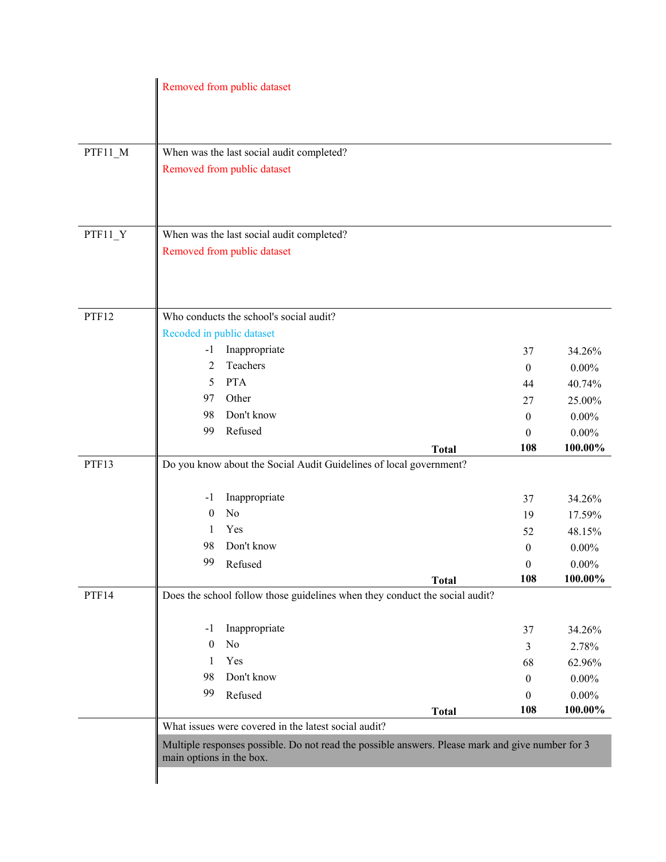|           |                                                                    | Removed from public dataset                          |                                                                                                  |                        |                    |  |
|-----------|--------------------------------------------------------------------|------------------------------------------------------|--------------------------------------------------------------------------------------------------|------------------------|--------------------|--|
|           |                                                                    |                                                      |                                                                                                  |                        |                    |  |
|           |                                                                    |                                                      |                                                                                                  |                        |                    |  |
| PTF11_M   |                                                                    | When was the last social audit completed?            |                                                                                                  |                        |                    |  |
|           |                                                                    | Removed from public dataset                          |                                                                                                  |                        |                    |  |
|           |                                                                    |                                                      |                                                                                                  |                        |                    |  |
|           |                                                                    |                                                      |                                                                                                  |                        |                    |  |
| $PTF11_Y$ |                                                                    | When was the last social audit completed?            |                                                                                                  |                        |                    |  |
|           |                                                                    | Removed from public dataset                          |                                                                                                  |                        |                    |  |
|           |                                                                    |                                                      |                                                                                                  |                        |                    |  |
|           |                                                                    |                                                      |                                                                                                  |                        |                    |  |
| PTF12     |                                                                    | Who conducts the school's social audit?              |                                                                                                  |                        |                    |  |
|           |                                                                    | Recoded in public dataset                            |                                                                                                  |                        |                    |  |
|           | $-1$                                                               | Inappropriate                                        |                                                                                                  |                        |                    |  |
|           | 2                                                                  | Teachers                                             |                                                                                                  | 37                     | 34.26%<br>$0.00\%$ |  |
|           | 5                                                                  | <b>PTA</b>                                           |                                                                                                  | $\boldsymbol{0}$       | 40.74%             |  |
|           | 97                                                                 | Other                                                |                                                                                                  | 44                     |                    |  |
|           | 98                                                                 | Don't know                                           |                                                                                                  | 27<br>$\boldsymbol{0}$ | 25.00%<br>$0.00\%$ |  |
|           | 99                                                                 | Refused                                              |                                                                                                  | $\theta$               | $0.00\%$           |  |
|           |                                                                    |                                                      | <b>Total</b>                                                                                     | 108                    | 100.00%            |  |
| PTF13     | Do you know about the Social Audit Guidelines of local government? |                                                      |                                                                                                  |                        |                    |  |
|           |                                                                    |                                                      |                                                                                                  |                        |                    |  |
|           | $-1$                                                               | Inappropriate                                        |                                                                                                  | 37                     | 34.26%             |  |
|           | $\theta$                                                           | No                                                   |                                                                                                  | 19                     | 17.59%             |  |
|           | 1                                                                  | Yes                                                  |                                                                                                  | 52                     | 48.15%             |  |
|           | 98                                                                 | Don't know                                           |                                                                                                  | $\boldsymbol{0}$       | $0.00\%$           |  |
|           | 99                                                                 | Refused                                              |                                                                                                  | $\theta$               | $0.00\%$           |  |
| PTF14     |                                                                    |                                                      | <b>Total</b><br>Does the school follow those guidelines when they conduct the social audit?      | 108                    | 100.00%            |  |
|           |                                                                    |                                                      |                                                                                                  |                        |                    |  |
|           | -1                                                                 | Inappropriate                                        |                                                                                                  | 37                     | 34.26%             |  |
|           | $\theta$                                                           | No                                                   |                                                                                                  | 3                      | 2.78%              |  |
|           | 1                                                                  | Yes                                                  |                                                                                                  | 68                     | 62.96%             |  |
|           | 98                                                                 | Don't know                                           |                                                                                                  | $\theta$               | $0.00\%$           |  |
|           | 99                                                                 | Refused                                              |                                                                                                  | $\theta$               | $0.00\%$           |  |
|           |                                                                    |                                                      | <b>Total</b>                                                                                     | 108                    | $100.00\%$         |  |
|           |                                                                    | What issues were covered in the latest social audit? |                                                                                                  |                        |                    |  |
|           |                                                                    |                                                      | Multiple responses possible. Do not read the possible answers. Please mark and give number for 3 |                        |                    |  |
|           | main options in the box.                                           |                                                      |                                                                                                  |                        |                    |  |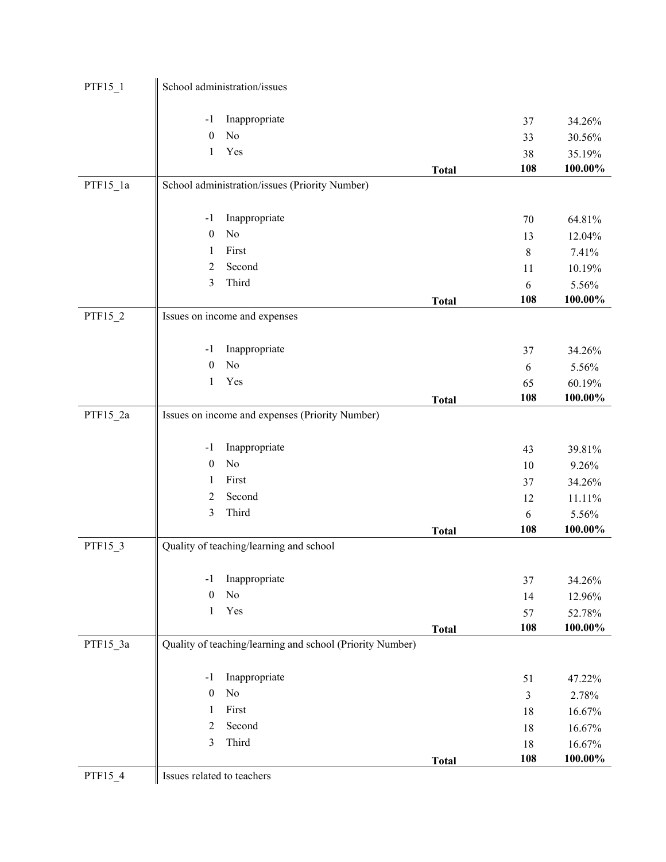| $PTF15_1$  | School administration/issues                              |       |            |
|------------|-----------------------------------------------------------|-------|------------|
|            | Inappropriate<br>$-1$                                     | 37    | 34.26%     |
|            | No<br>$\boldsymbol{0}$                                    | 33    | 30.56%     |
|            | Yes<br>1                                                  | 38    | 35.19%     |
|            | <b>Total</b>                                              | 108   | 100.00%    |
| $PTF15_1a$ | School administration/issues (Priority Number)            |       |            |
|            |                                                           |       |            |
|            | Inappropriate<br>$-1$                                     | 70    | 64.81%     |
|            | No<br>$\boldsymbol{0}$                                    | 13    | 12.04%     |
|            | First<br>1                                                | $8\,$ | 7.41%      |
|            | Second<br>$\overline{2}$                                  | 11    | 10.19%     |
|            | Third<br>3                                                | 6     | 5.56%      |
|            | <b>Total</b>                                              | 108   | 100.00%    |
| PTF15_2    | Issues on income and expenses                             |       |            |
|            | Inappropriate<br>$-1$                                     | 37    | 34.26%     |
|            | No<br>$\boldsymbol{0}$                                    | 6     | 5.56%      |
|            | Yes<br>1                                                  | 65    | 60.19%     |
|            | <b>Total</b>                                              | 108   | 100.00%    |
| PTF15_2a   | Issues on income and expenses (Priority Number)           |       |            |
|            | Inappropriate<br>$-1$                                     | 43    | 39.81%     |
|            | $\rm No$<br>$\boldsymbol{0}$                              | 10    | 9.26%      |
|            | First<br>1                                                | 37    | 34.26%     |
|            | Second<br>$\overline{2}$                                  | 12    | 11.11%     |
|            | Third<br>3                                                | 6     | 5.56%      |
|            | <b>Total</b>                                              | 108   | 100.00%    |
| PTF15_3    | Quality of teaching/learning and school                   |       |            |
|            | Inappropriate<br>$-1$                                     | 37    | 34.26%     |
|            | No<br>$\mathbf{0}$                                        | 14    | 12.96%     |
|            | Yes<br>1                                                  | 57    | 52.78%     |
|            | <b>Total</b>                                              | 108   | $100.00\%$ |
| PTF15_3a   | Quality of teaching/learning and school (Priority Number) |       |            |
|            | Inappropriate<br>$-1$                                     | 51    | 47.22%     |
|            | No<br>$\boldsymbol{0}$                                    | 3     | 2.78%      |
|            | First<br>1                                                | 18    | 16.67%     |
|            | Second<br>$\overline{2}$                                  | 18    | 16.67%     |
|            | $\mathfrak{Z}$<br>Third                                   | 18    | 16.67%     |
|            | <b>Total</b>                                              | 108   | 100.00%    |
| PTF15_4    | Issues related to teachers                                |       |            |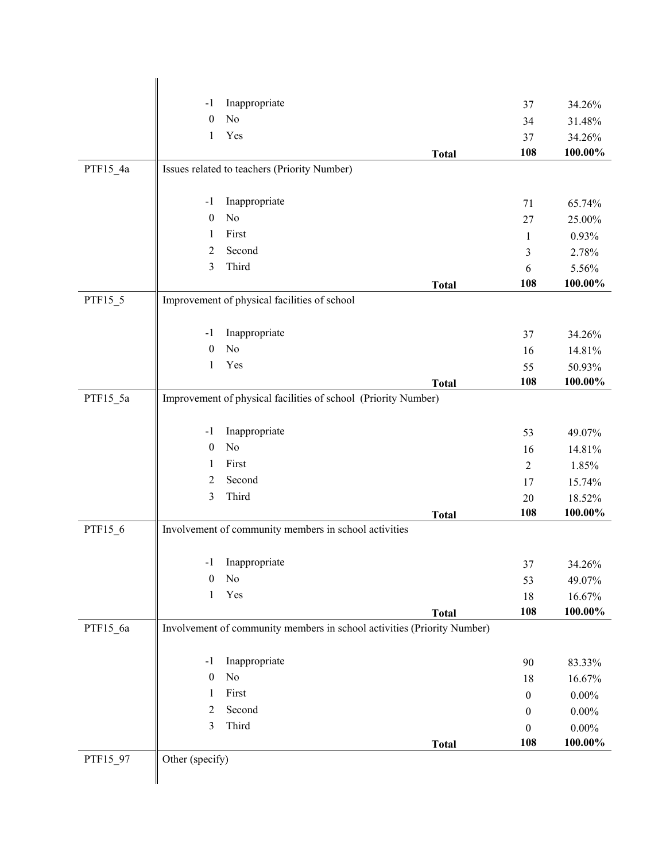|          | Inappropriate<br>$-1$                                                   |              | 37               | 34.26%            |  |  |
|----------|-------------------------------------------------------------------------|--------------|------------------|-------------------|--|--|
|          | No<br>$\mathbf{0}$                                                      |              | 34               | 31.48%            |  |  |
|          | Yes<br>1                                                                |              | 37               | 34.26%            |  |  |
|          |                                                                         | <b>Total</b> | 108              | 100.00%           |  |  |
| PTF15_4a | Issues related to teachers (Priority Number)                            |              |                  |                   |  |  |
|          |                                                                         |              |                  |                   |  |  |
|          | Inappropriate<br>$-1$                                                   |              | 71               | 65.74%            |  |  |
|          | No<br>$\mathbf{0}$                                                      |              | 27               | 25.00%            |  |  |
|          | First<br>1                                                              |              | $\mathbf{1}$     | 0.93%             |  |  |
|          | Second<br>$\overline{2}$                                                |              | $\mathfrak{Z}$   | 2.78%             |  |  |
|          | Third<br>3                                                              |              | 6                | 5.56%             |  |  |
|          |                                                                         | <b>Total</b> | 108              | 100.00%           |  |  |
| PTF15_5  | Improvement of physical facilities of school                            |              |                  |                   |  |  |
|          |                                                                         |              |                  |                   |  |  |
|          | Inappropriate<br>$-1$<br>No<br>$\mathbf{0}$                             |              | 37               | 34.26%            |  |  |
|          | Yes<br>1                                                                |              | 16               | 14.81%            |  |  |
|          |                                                                         |              | 55<br>108        | 50.93%<br>100.00% |  |  |
| PTF15_5a | Improvement of physical facilities of school (Priority Number)          | <b>Total</b> |                  |                   |  |  |
|          |                                                                         |              |                  |                   |  |  |
|          | Inappropriate<br>$-1$                                                   |              | 53               | 49.07%            |  |  |
|          | No<br>$\boldsymbol{0}$                                                  |              | 16               | 14.81%            |  |  |
|          | First<br>1                                                              |              | $\overline{2}$   | 1.85%             |  |  |
|          | Second<br>2                                                             |              | 17               | 15.74%            |  |  |
|          | Third<br>$\mathfrak{Z}$                                                 |              | 20               | 18.52%            |  |  |
|          |                                                                         | <b>Total</b> | 108              | 100.00%           |  |  |
| PTF15_6  | Involvement of community members in school activities                   |              |                  |                   |  |  |
|          |                                                                         |              |                  |                   |  |  |
|          | Inappropriate<br>$-1$                                                   |              | 37               | 34.26%            |  |  |
|          | No<br>$\boldsymbol{0}$                                                  |              | 53               | 49.07%            |  |  |
|          | Yes<br>1                                                                |              | 18               | 16.67%            |  |  |
|          |                                                                         | <b>Total</b> | 108              | $100.00\%$        |  |  |
| PTF15_6a | Involvement of community members in school activities (Priority Number) |              |                  |                   |  |  |
|          |                                                                         |              |                  |                   |  |  |
|          | Inappropriate<br>$-1$                                                   |              | 90               | 83.33%            |  |  |
|          | No<br>$\boldsymbol{0}$                                                  |              | 18               | 16.67%            |  |  |
|          | First<br>1                                                              |              | $\boldsymbol{0}$ | $0.00\%$          |  |  |
|          | Second<br>$\overline{2}$                                                |              | $\boldsymbol{0}$ | $0.00\%$          |  |  |
|          | $\mathfrak{Z}$<br>Third                                                 |              | $\mathbf{0}$     | $0.00\%$          |  |  |
|          |                                                                         | <b>Total</b> | 108              | 100.00%           |  |  |
| PTF15_97 | Other (specify)                                                         |              |                  |                   |  |  |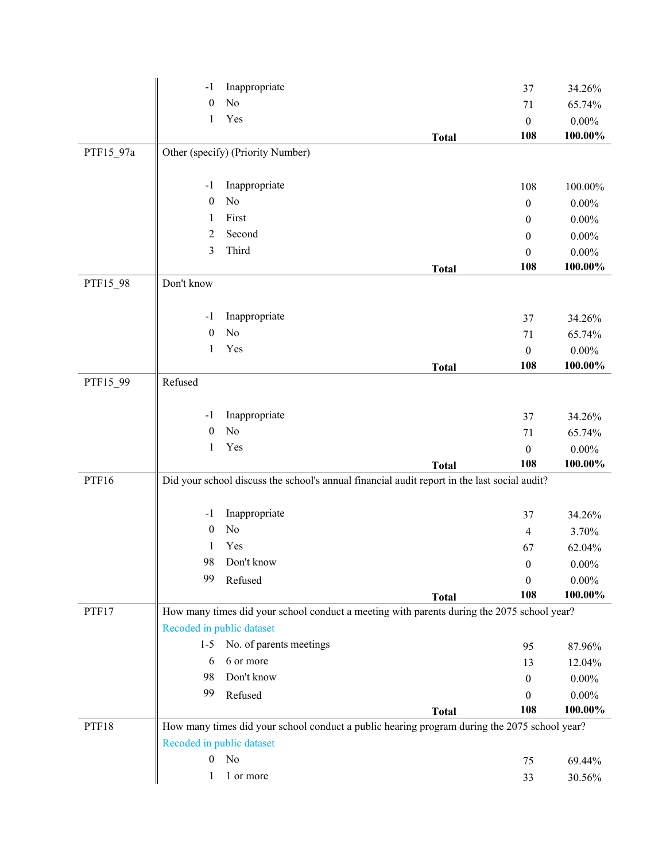|           | $-1$                                                                                         | Inappropriate                                                                                |              | 37               | 34.26%   |  |
|-----------|----------------------------------------------------------------------------------------------|----------------------------------------------------------------------------------------------|--------------|------------------|----------|--|
|           | $\boldsymbol{0}$                                                                             | No                                                                                           |              | 71               | 65.74%   |  |
|           | $\mathbf{1}$                                                                                 | Yes                                                                                          |              | $\boldsymbol{0}$ | $0.00\%$ |  |
|           |                                                                                              |                                                                                              | <b>Total</b> | 108              | 100.00%  |  |
| PTF15_97a |                                                                                              | Other (specify) (Priority Number)                                                            |              |                  |          |  |
|           | $-1$                                                                                         | Inappropriate                                                                                |              | 108              | 100.00%  |  |
|           | $\boldsymbol{0}$                                                                             | No                                                                                           |              | $\boldsymbol{0}$ | $0.00\%$ |  |
|           | -1                                                                                           | First                                                                                        |              | $\boldsymbol{0}$ | $0.00\%$ |  |
|           | 2                                                                                            | Second                                                                                       |              | $\boldsymbol{0}$ | $0.00\%$ |  |
|           | 3                                                                                            | Third                                                                                        |              | $\theta$         | $0.00\%$ |  |
|           |                                                                                              |                                                                                              | <b>Total</b> | 108              | 100.00%  |  |
| PTF15_98  | Don't know                                                                                   |                                                                                              |              |                  |          |  |
|           | $-1$                                                                                         | Inappropriate                                                                                |              | 37               | 34.26%   |  |
|           | $\boldsymbol{0}$                                                                             | No                                                                                           |              | 71               | 65.74%   |  |
|           | $\mathbf{1}$                                                                                 | Yes                                                                                          |              | $\mathbf{0}$     | $0.00\%$ |  |
|           |                                                                                              |                                                                                              | <b>Total</b> | 108              | 100.00%  |  |
| PTF15_99  | Refused                                                                                      |                                                                                              |              |                  |          |  |
|           | $-1$                                                                                         | Inappropriate                                                                                |              | 37               | 34.26%   |  |
|           | $\boldsymbol{0}$                                                                             | No                                                                                           |              | 71               | 65.74%   |  |
|           | $\mathbf{1}$                                                                                 | Yes                                                                                          |              | $\boldsymbol{0}$ | $0.00\%$ |  |
|           |                                                                                              |                                                                                              | <b>Total</b> | 108              | 100.00%  |  |
| PTF16     | Did your school discuss the school's annual financial audit report in the last social audit? |                                                                                              |              |                  |          |  |
|           | $-1$                                                                                         | Inappropriate                                                                                |              | 37               | 34.26%   |  |
|           | $\theta$                                                                                     | No                                                                                           |              | 4                | 3.70%    |  |
|           | 1                                                                                            | Yes                                                                                          |              | 67               | 62.04%   |  |
|           | 98                                                                                           | Don't know                                                                                   |              | $\overline{0}$   | $0.00\%$ |  |
|           | 99                                                                                           | Refused                                                                                      |              | $\boldsymbol{0}$ | $0.00\%$ |  |
|           |                                                                                              |                                                                                              | <b>Total</b> | 108              | 100.00%  |  |
| PTF17     | How many times did your school conduct a meeting with parents during the 2075 school year?   |                                                                                              |              |                  |          |  |
|           |                                                                                              | Recoded in public dataset                                                                    |              |                  |          |  |
|           | $1-5$                                                                                        | No. of parents meetings                                                                      |              | 95               | 87.96%   |  |
|           | 6                                                                                            | 6 or more                                                                                    |              | 13               | 12.04%   |  |
|           | 98                                                                                           | Don't know                                                                                   |              | $\theta$         | $0.00\%$ |  |
|           | 99                                                                                           | Refused                                                                                      |              | 0                | $0.00\%$ |  |
|           |                                                                                              |                                                                                              | <b>Total</b> | 108              | 100.00%  |  |
| PTF18     |                                                                                              | How many times did your school conduct a public hearing program during the 2075 school year? |              |                  |          |  |
|           |                                                                                              | Recoded in public dataset                                                                    |              |                  |          |  |
|           | $\boldsymbol{0}$                                                                             | No                                                                                           |              | 75               | 69.44%   |  |
|           | 1                                                                                            | 1 or more                                                                                    |              | 33               | 30.56%   |  |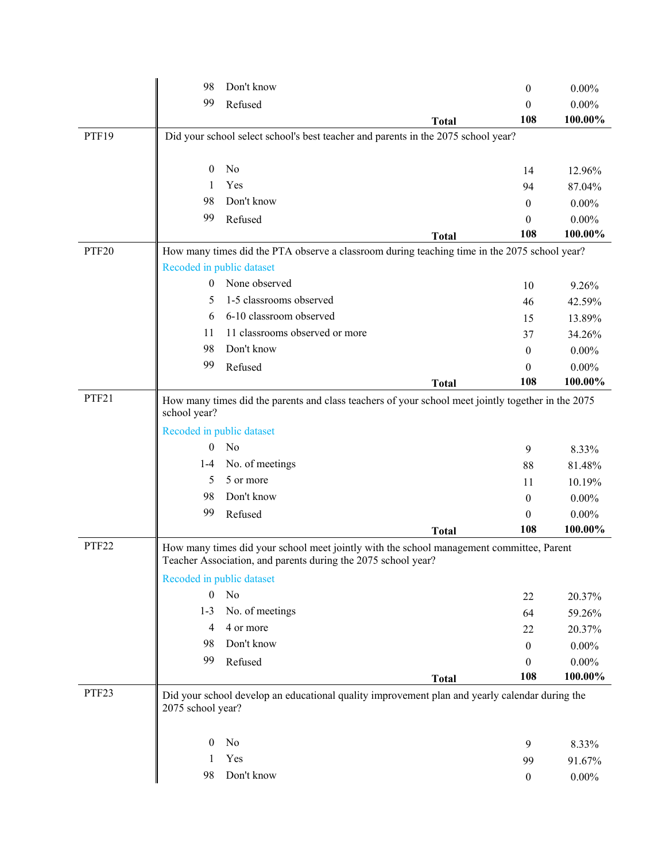|                   | 98                                                                                                                 | Don't know                                                                                                                                                |              | $\theta$         | $0.00\%$ |
|-------------------|--------------------------------------------------------------------------------------------------------------------|-----------------------------------------------------------------------------------------------------------------------------------------------------------|--------------|------------------|----------|
|                   | 99                                                                                                                 | Refused                                                                                                                                                   |              | 0                | $0.00\%$ |
|                   |                                                                                                                    |                                                                                                                                                           | <b>Total</b> | 108              | 100.00%  |
| PTF19             |                                                                                                                    | Did your school select school's best teacher and parents in the 2075 school year?                                                                         |              |                  |          |
|                   | $\mathbf{0}$                                                                                                       | No                                                                                                                                                        |              | 14               | 12.96%   |
|                   | 1                                                                                                                  | Yes                                                                                                                                                       |              | 94               | 87.04%   |
|                   | 98                                                                                                                 | Don't know                                                                                                                                                |              | $\theta$         | $0.00\%$ |
|                   | 99                                                                                                                 | Refused                                                                                                                                                   |              | 0                | $0.00\%$ |
|                   |                                                                                                                    |                                                                                                                                                           | <b>Total</b> | 108              | 100.00%  |
| PTF20             |                                                                                                                    | How many times did the PTA observe a classroom during teaching time in the 2075 school year?                                                              |              |                  |          |
|                   |                                                                                                                    | Recoded in public dataset                                                                                                                                 |              |                  |          |
|                   | $\theta$                                                                                                           | None observed                                                                                                                                             |              | 10               | 9.26%    |
|                   | 5                                                                                                                  | 1-5 classrooms observed                                                                                                                                   |              | 46               | 42.59%   |
|                   | 6                                                                                                                  | 6-10 classroom observed                                                                                                                                   |              | 15               | 13.89%   |
|                   | 11                                                                                                                 | 11 classrooms observed or more                                                                                                                            |              | 37               | 34.26%   |
|                   | 98                                                                                                                 | Don't know                                                                                                                                                |              | $\theta$         | $0.00\%$ |
|                   | 99                                                                                                                 | Refused                                                                                                                                                   |              | $\theta$         | $0.00\%$ |
|                   |                                                                                                                    |                                                                                                                                                           | <b>Total</b> | 108              | 100.00%  |
| PTF21             | How many times did the parents and class teachers of your school meet jointly together in the 2075<br>school year? |                                                                                                                                                           |              |                  |          |
|                   |                                                                                                                    | Recoded in public dataset                                                                                                                                 |              |                  |          |
|                   | $\theta$                                                                                                           | No                                                                                                                                                        |              | 9                | 8.33%    |
|                   | $1-4$                                                                                                              | No. of meetings                                                                                                                                           |              | 88               | 81.48%   |
|                   | 5                                                                                                                  | 5 or more                                                                                                                                                 |              | 11               | 10.19%   |
|                   | 98                                                                                                                 | Don't know                                                                                                                                                |              | $\mathbf{0}$     | $0.00\%$ |
|                   | 99                                                                                                                 | Refused                                                                                                                                                   |              | $\theta$         | $0.00\%$ |
|                   |                                                                                                                    |                                                                                                                                                           | <b>Total</b> | 108              | 100.00%  |
| PTF <sub>22</sub> |                                                                                                                    | How many times did your school meet jointly with the school management committee, Parent<br>Teacher Association, and parents during the 2075 school year? |              |                  |          |
|                   | Recoded in public dataset                                                                                          |                                                                                                                                                           |              |                  |          |
|                   | $\boldsymbol{0}$                                                                                                   | No                                                                                                                                                        |              | 22               | 20.37%   |
|                   | $1 - 3$                                                                                                            | No. of meetings                                                                                                                                           |              | 64               | 59.26%   |
|                   | $\overline{4}$                                                                                                     | 4 or more                                                                                                                                                 |              | 22               | 20.37%   |
|                   | 98                                                                                                                 | Don't know                                                                                                                                                |              | $\boldsymbol{0}$ | $0.00\%$ |
|                   | 99                                                                                                                 | Refused                                                                                                                                                   |              | $\mathbf{0}$     | $0.00\%$ |
|                   |                                                                                                                    |                                                                                                                                                           | <b>Total</b> | 108              | 100.00%  |
| PTF23             | 2075 school year?                                                                                                  | Did your school develop an educational quality improvement plan and yearly calendar during the                                                            |              |                  |          |
|                   | $\boldsymbol{0}$                                                                                                   | No                                                                                                                                                        |              | 9                | 8.33%    |
|                   | 1                                                                                                                  | Yes                                                                                                                                                       |              | 99               | 91.67%   |
|                   | 98                                                                                                                 | Don't know                                                                                                                                                |              | $\boldsymbol{0}$ | $0.00\%$ |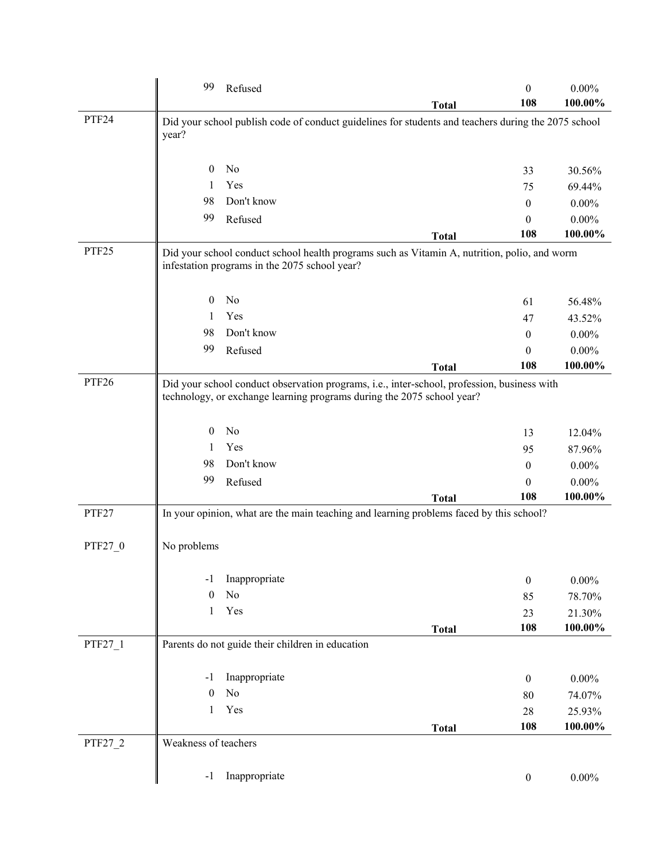|         | 99                   | Refused                                          |                                                                                                                                                                       |              | $\theta$<br>108  | $0.00\%$<br>100.00% |
|---------|----------------------|--------------------------------------------------|-----------------------------------------------------------------------------------------------------------------------------------------------------------------------|--------------|------------------|---------------------|
| PTF24   | year?                |                                                  | Did your school publish code of conduct guidelines for students and teachers during the 2075 school                                                                   | <b>Total</b> |                  |                     |
|         |                      |                                                  |                                                                                                                                                                       |              |                  |                     |
|         | $\theta$             | No                                               |                                                                                                                                                                       |              | 33               | 30.56%              |
|         | 1                    | Yes                                              |                                                                                                                                                                       |              | 75               | 69.44%              |
|         | 98                   | Don't know                                       |                                                                                                                                                                       |              | $\theta$         | $0.00\%$            |
|         | 99                   | Refused                                          |                                                                                                                                                                       |              | $\theta$         | $0.00\%$            |
|         |                      |                                                  |                                                                                                                                                                       | <b>Total</b> | 108              | 100.00%             |
| PTF25   |                      | infestation programs in the 2075 school year?    | Did your school conduct school health programs such as Vitamin A, nutrition, polio, and worm                                                                          |              |                  |                     |
|         | $\bf{0}$             | No                                               |                                                                                                                                                                       |              | 61               | 56.48%              |
|         | 1                    | Yes                                              |                                                                                                                                                                       |              | 47               | 43.52%              |
|         | 98                   | Don't know                                       |                                                                                                                                                                       |              | $\mathbf{0}$     | $0.00\%$            |
|         | 99                   | Refused                                          |                                                                                                                                                                       |              | $\theta$         | $0.00\%$            |
|         |                      |                                                  |                                                                                                                                                                       | <b>Total</b> | 108              | 100.00%             |
| PTF26   |                      |                                                  | Did your school conduct observation programs, i.e., inter-school, profession, business with<br>technology, or exchange learning programs during the 2075 school year? |              |                  |                     |
|         | $\mathbf{0}$         | No                                               |                                                                                                                                                                       |              | 13               | 12.04%              |
|         | 1                    | Yes                                              |                                                                                                                                                                       |              | 95               | 87.96%              |
|         | 98                   | Don't know                                       |                                                                                                                                                                       |              | $\mathbf{0}$     | $0.00\%$            |
|         | 99                   | Refused                                          |                                                                                                                                                                       |              | $\boldsymbol{0}$ | $0.00\%$            |
|         |                      |                                                  |                                                                                                                                                                       | <b>Total</b> | 108              | 100.00%             |
| PTF27   |                      |                                                  | In your opinion, what are the main teaching and learning problems faced by this school?                                                                               |              |                  |                     |
| PTF27 0 | No problems          |                                                  |                                                                                                                                                                       |              |                  |                     |
|         | $-1$                 | Inappropriate                                    |                                                                                                                                                                       |              | $\boldsymbol{0}$ | $0.00\%$            |
|         | $\theta$             | No                                               |                                                                                                                                                                       |              | 85               | 78.70%              |
|         | 1                    | Yes                                              |                                                                                                                                                                       |              | 23               | 21.30%              |
|         |                      |                                                  |                                                                                                                                                                       | <b>Total</b> | 108              | 100.00%             |
| PTF27 1 |                      | Parents do not guide their children in education |                                                                                                                                                                       |              |                  |                     |
|         | $-1$                 | Inappropriate                                    |                                                                                                                                                                       |              | $\boldsymbol{0}$ | $0.00\%$            |
|         | $\theta$             | No                                               |                                                                                                                                                                       |              | 80               | 74.07%              |
|         | 1                    | Yes                                              |                                                                                                                                                                       |              | 28               | 25.93%              |
|         |                      |                                                  |                                                                                                                                                                       | <b>Total</b> | 108              | 100.00%             |
| PTF27_2 | Weakness of teachers |                                                  |                                                                                                                                                                       |              |                  |                     |
|         | $-1$                 | Inappropriate                                    |                                                                                                                                                                       |              | $\boldsymbol{0}$ | $0.00\%$            |